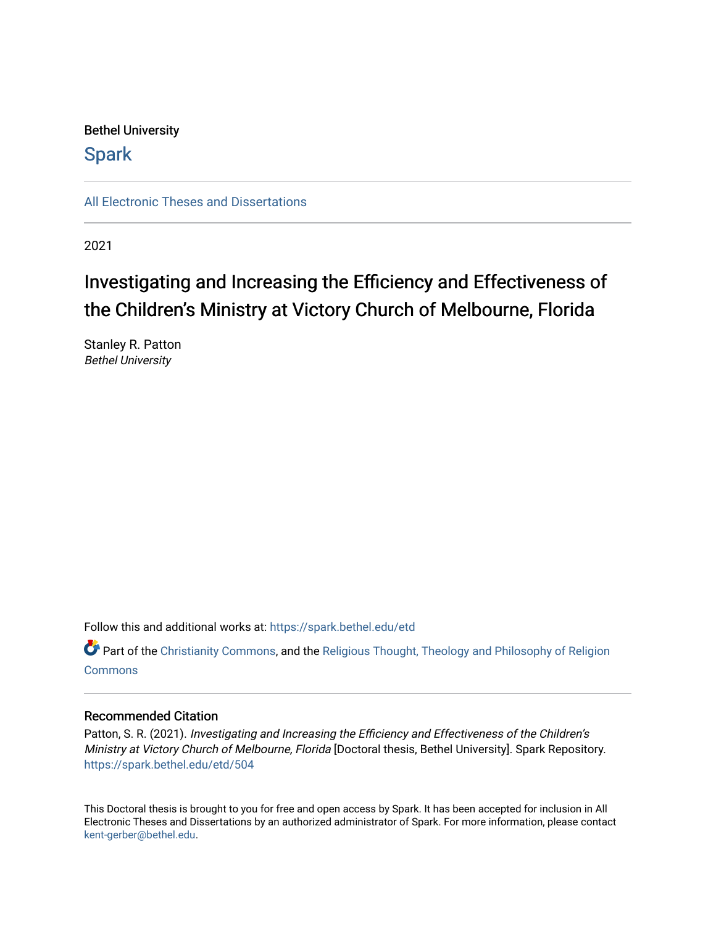## Bethel University

## **Spark**

[All Electronic Theses and Dissertations](https://spark.bethel.edu/etd) 

2021

# Investigating and Increasing the Efficiency and Effectiveness of the Children's Ministry at Victory Church of Melbourne, Florida

Stanley R. Patton Bethel University

Follow this and additional works at: [https://spark.bethel.edu/etd](https://spark.bethel.edu/etd?utm_source=spark.bethel.edu%2Fetd%2F504&utm_medium=PDF&utm_campaign=PDFCoverPages)

**C** Part of the [Christianity Commons,](http://network.bepress.com/hgg/discipline/1181?utm_source=spark.bethel.edu%2Fetd%2F504&utm_medium=PDF&utm_campaign=PDFCoverPages) and the Religious Thought, Theology and Philosophy of Religion **[Commons](http://network.bepress.com/hgg/discipline/544?utm_source=spark.bethel.edu%2Fetd%2F504&utm_medium=PDF&utm_campaign=PDFCoverPages)** 

#### Recommended Citation

Patton, S. R. (2021). Investigating and Increasing the Efficiency and Effectiveness of the Children's Ministry at Victory Church of Melbourne, Florida [Doctoral thesis, Bethel University]. Spark Repository. [https://spark.bethel.edu/etd/504](https://spark.bethel.edu/etd/504?utm_source=spark.bethel.edu%2Fetd%2F504&utm_medium=PDF&utm_campaign=PDFCoverPages)

This Doctoral thesis is brought to you for free and open access by Spark. It has been accepted for inclusion in All Electronic Theses and Dissertations by an authorized administrator of Spark. For more information, please contact [kent-gerber@bethel.edu](mailto:kent-gerber@bethel.edu).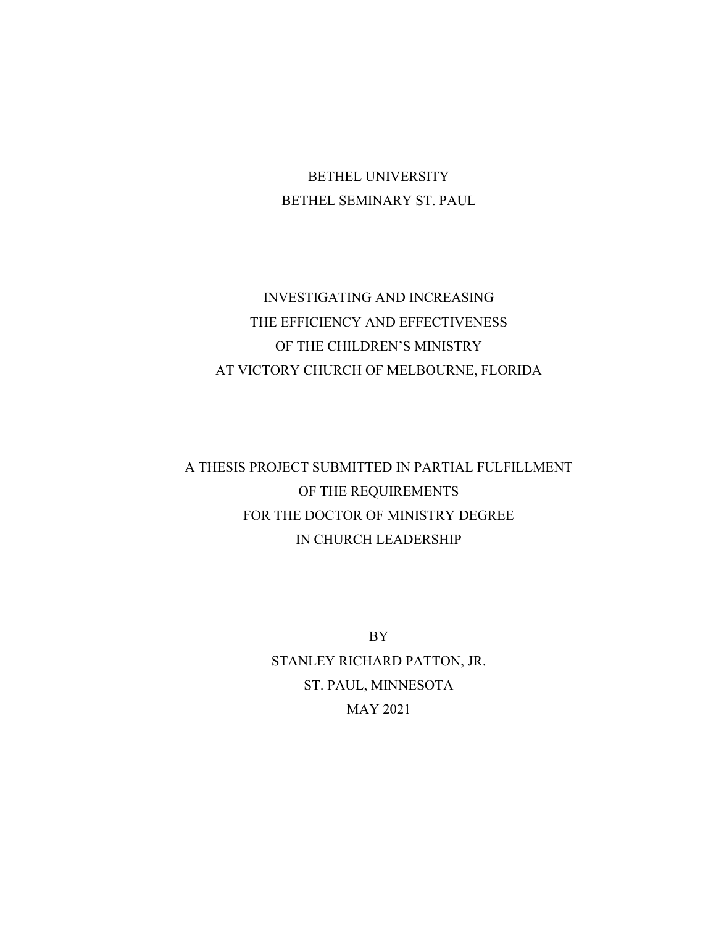## BETHEL UNIVERSITY BETHEL SEMINARY ST. PAUL

## INVESTIGATING AND INCREASING THE EFFICIENCY AND EFFECTIVENESS OF THE CHILDREN'S MINISTRY AT VICTORY CHURCH OF MELBOURNE, FLORIDA

## A THESIS PROJECT SUBMITTED IN PARTIAL FULFILLMENT OF THE REQUIREMENTS FOR THE DOCTOR OF MINISTRY DEGREE IN CHURCH LEADERSHIP

BY STANLEY RICHARD PATTON, JR. ST. PAUL, MINNESOTA MAY 2021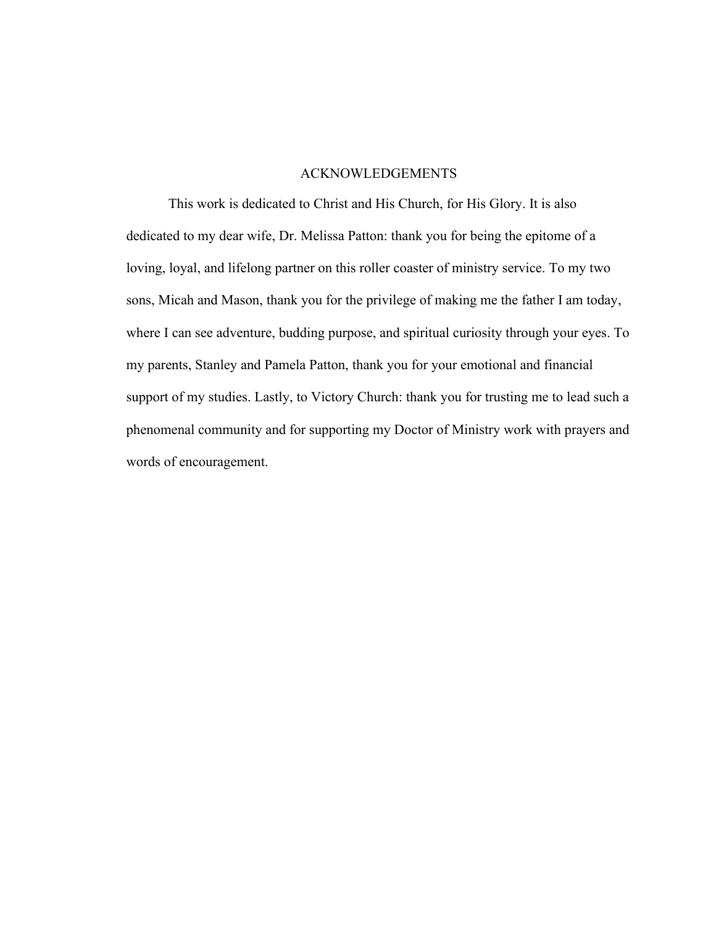#### ACKNOWLEDGEMENTS

<span id="page-3-0"></span>This work is dedicated to Christ and His Church, for His Glory. It is also dedicated to my dear wife, Dr. Melissa Patton: thank you for being the epitome of a loving, loyal, and lifelong partner on this roller coaster of ministry service. To my two sons, Micah and Mason, thank you for the privilege of making me the father I am today, where I can see adventure, budding purpose, and spiritual curiosity through your eyes. To my parents, Stanley and Pamela Patton, thank you for your emotional and financial support of my studies. Lastly, to Victory Church: thank you for trusting me to lead such a phenomenal community and for supporting my Doctor of Ministry work with prayers and words of encouragement.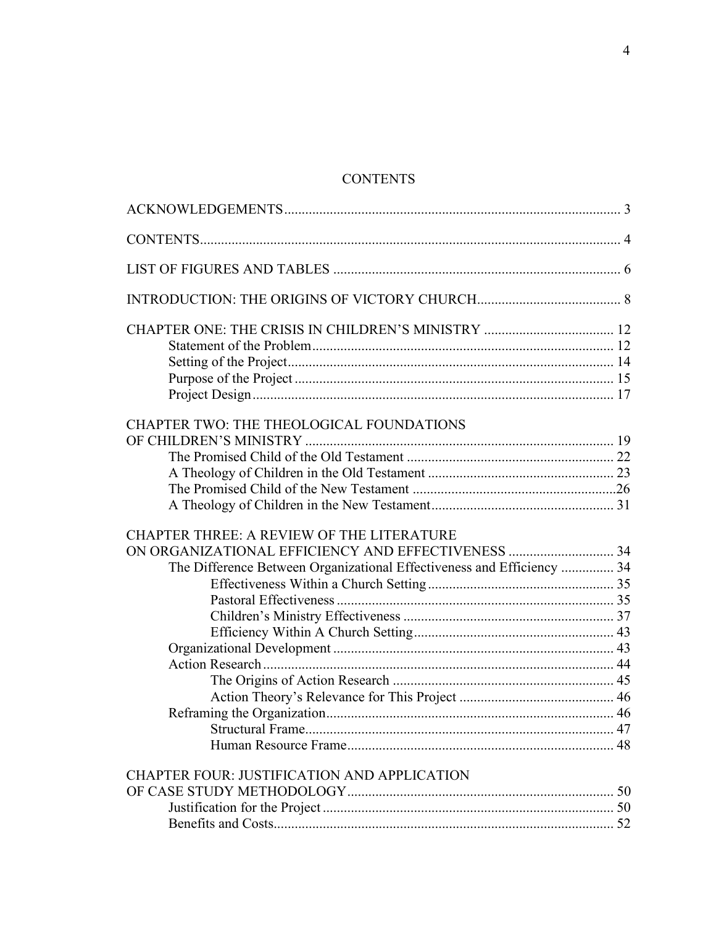### **CONTENTS**

<span id="page-4-0"></span>

| CHAPTER TWO: THE THEOLOGICAL FOUNDATIONS                               |  |
|------------------------------------------------------------------------|--|
|                                                                        |  |
|                                                                        |  |
|                                                                        |  |
|                                                                        |  |
|                                                                        |  |
|                                                                        |  |
| CHAPTER THREE: A REVIEW OF THE LITERATURE                              |  |
|                                                                        |  |
|                                                                        |  |
| The Difference Between Organizational Effectiveness and Efficiency  34 |  |
|                                                                        |  |
|                                                                        |  |
|                                                                        |  |
|                                                                        |  |
|                                                                        |  |
|                                                                        |  |
|                                                                        |  |
|                                                                        |  |
|                                                                        |  |
|                                                                        |  |
|                                                                        |  |
| <b>CHAPTER FOUR: JUSTIFICATION AND APPLICATION</b>                     |  |
|                                                                        |  |
|                                                                        |  |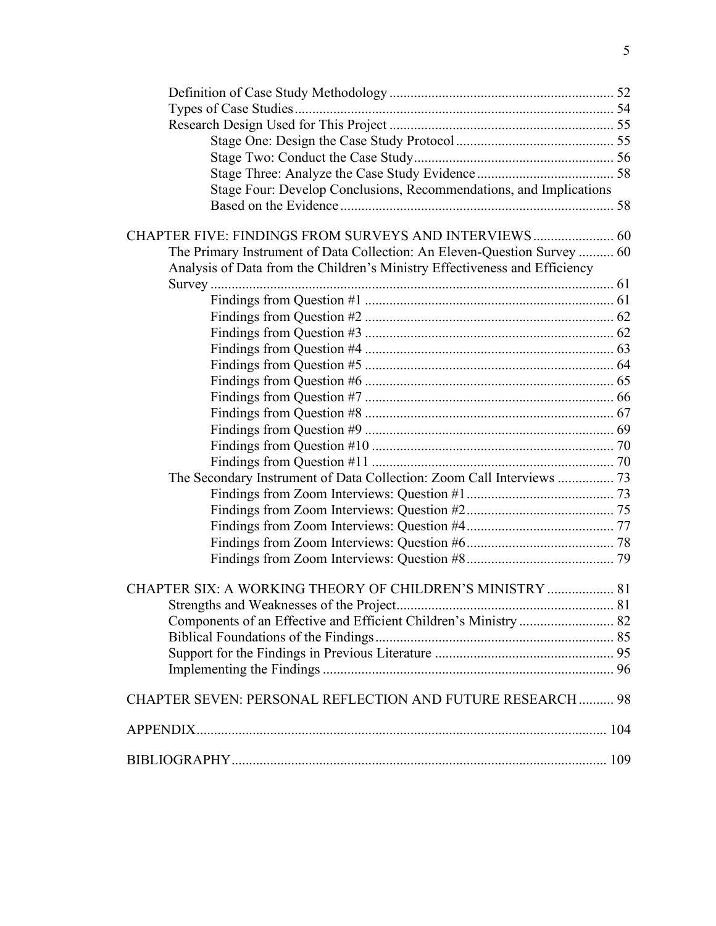| Stage Four: Develop Conclusions, Recommendations, and Implications         |  |
|----------------------------------------------------------------------------|--|
|                                                                            |  |
| CHAPTER FIVE: FINDINGS FROM SURVEYS AND INTERVIEWS 60                      |  |
| The Primary Instrument of Data Collection: An Eleven-Question Survey  60   |  |
| Analysis of Data from the Children's Ministry Effectiveness and Efficiency |  |
|                                                                            |  |
|                                                                            |  |
|                                                                            |  |
|                                                                            |  |
|                                                                            |  |
|                                                                            |  |
|                                                                            |  |
|                                                                            |  |
|                                                                            |  |
|                                                                            |  |
|                                                                            |  |
|                                                                            |  |
| The Secondary Instrument of Data Collection: Zoom Call Interviews  73      |  |
|                                                                            |  |
|                                                                            |  |
|                                                                            |  |
|                                                                            |  |
|                                                                            |  |
| CHAPTER SIX: A WORKING THEORY OF CHILDREN'S MINISTRY  81                   |  |
|                                                                            |  |
| Components of an Effective and Efficient Children's Ministry  82           |  |
|                                                                            |  |
|                                                                            |  |
|                                                                            |  |
| <b>CHAPTER SEVEN: PERSONAL REFLECTION AND FUTURE RESEARCH  98</b>          |  |
|                                                                            |  |
|                                                                            |  |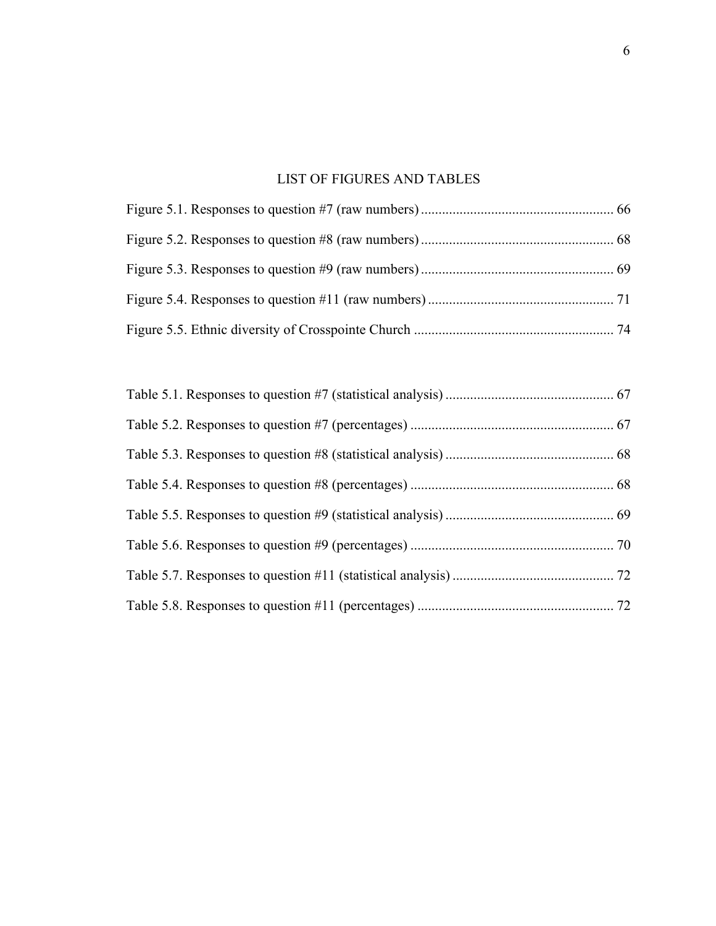### LIST OF FIGURES AND TABLES

<span id="page-6-0"></span>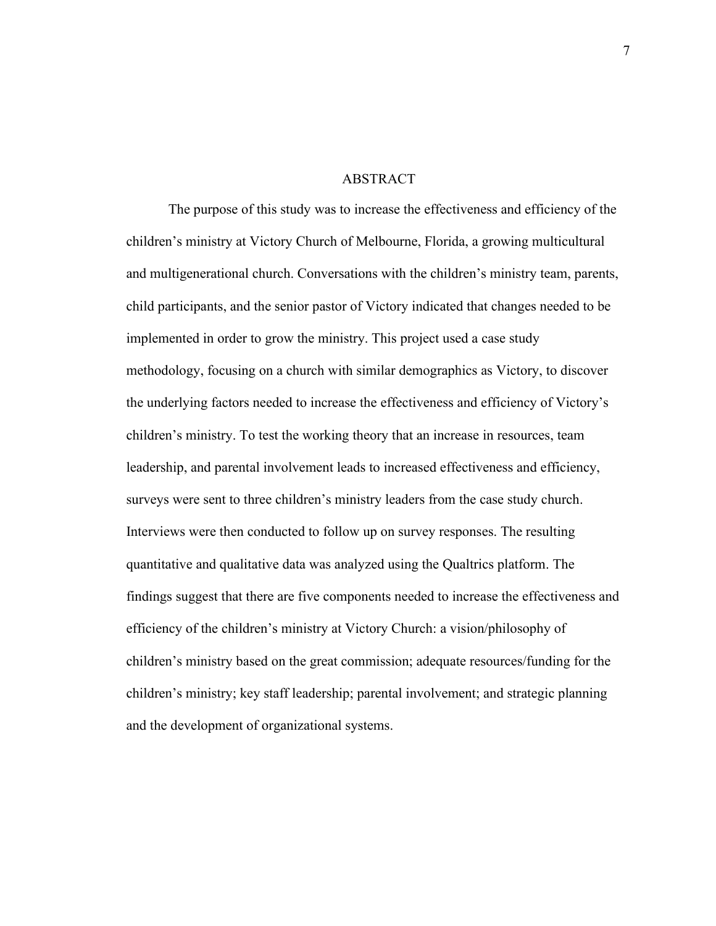#### ABSTRACT

The purpose of this study was to increase the effectiveness and efficiency of the children's ministry at Victory Church of Melbourne, Florida, a growing multicultural and multigenerational church. Conversations with the children's ministry team, parents, child participants, and the senior pastor of Victory indicated that changes needed to be implemented in order to grow the ministry. This project used a case study methodology, focusing on a church with similar demographics as Victory, to discover the underlying factors needed to increase the effectiveness and efficiency of Victory's children's ministry. To test the working theory that an increase in resources, team leadership, and parental involvement leads to increased effectiveness and efficiency, surveys were sent to three children's ministry leaders from the case study church. Interviews were then conducted to follow up on survey responses. The resulting quantitative and qualitative data was analyzed using the Qualtrics platform. The findings suggest that there are five components needed to increase the effectiveness and efficiency of the children's ministry at Victory Church: a vision/philosophy of children's ministry based on the great commission; adequate resources/funding for the children's ministry; key staff leadership; parental involvement; and strategic planning and the development of organizational systems.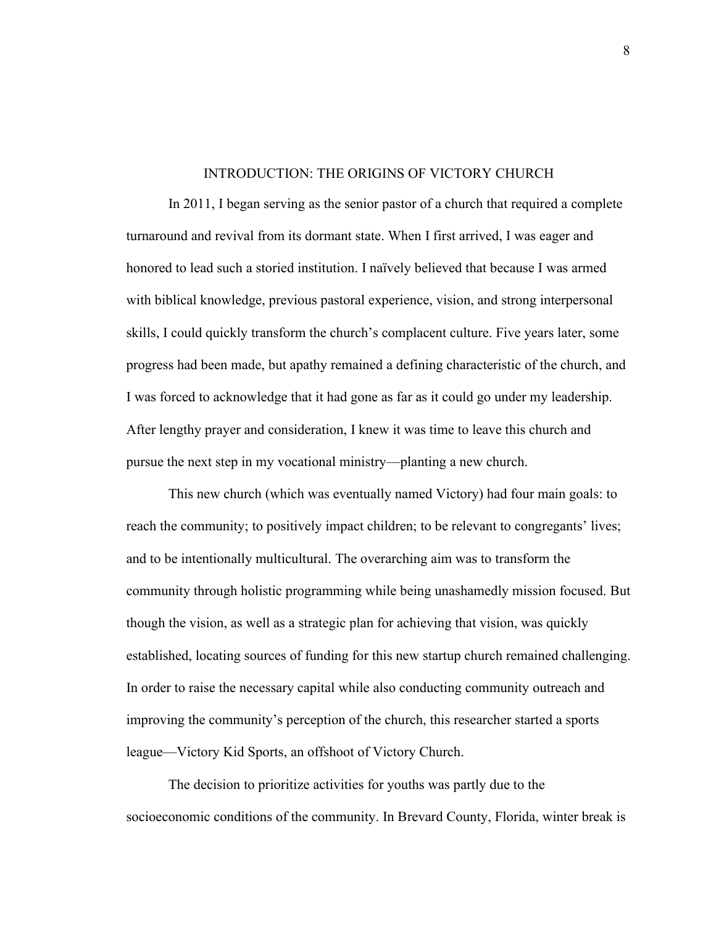#### INTRODUCTION: THE ORIGINS OF VICTORY CHURCH

<span id="page-8-0"></span>In 2011, I began serving as the senior pastor of a church that required a complete turnaround and revival from its dormant state. When I first arrived, I was eager and honored to lead such a storied institution. I naïvely believed that because I was armed with biblical knowledge, previous pastoral experience, vision, and strong interpersonal skills, I could quickly transform the church's complacent culture. Five years later, some progress had been made, but apathy remained a defining characteristic of the church, and I was forced to acknowledge that it had gone as far as it could go under my leadership. After lengthy prayer and consideration, I knew it was time to leave this church and pursue the next step in my vocational ministry—planting a new church.

This new church (which was eventually named Victory) had four main goals: to reach the community; to positively impact children; to be relevant to congregants' lives; and to be intentionally multicultural. The overarching aim was to transform the community through holistic programming while being unashamedly mission focused. But though the vision, as well as a strategic plan for achieving that vision, was quickly established, locating sources of funding for this new startup church remained challenging. In order to raise the necessary capital while also conducting community outreach and improving the community's perception of the church, this researcher started a sports league—Victory Kid Sports, an offshoot of Victory Church.

The decision to prioritize activities for youths was partly due to the socioeconomic conditions of the community. In Brevard County, Florida, winter break is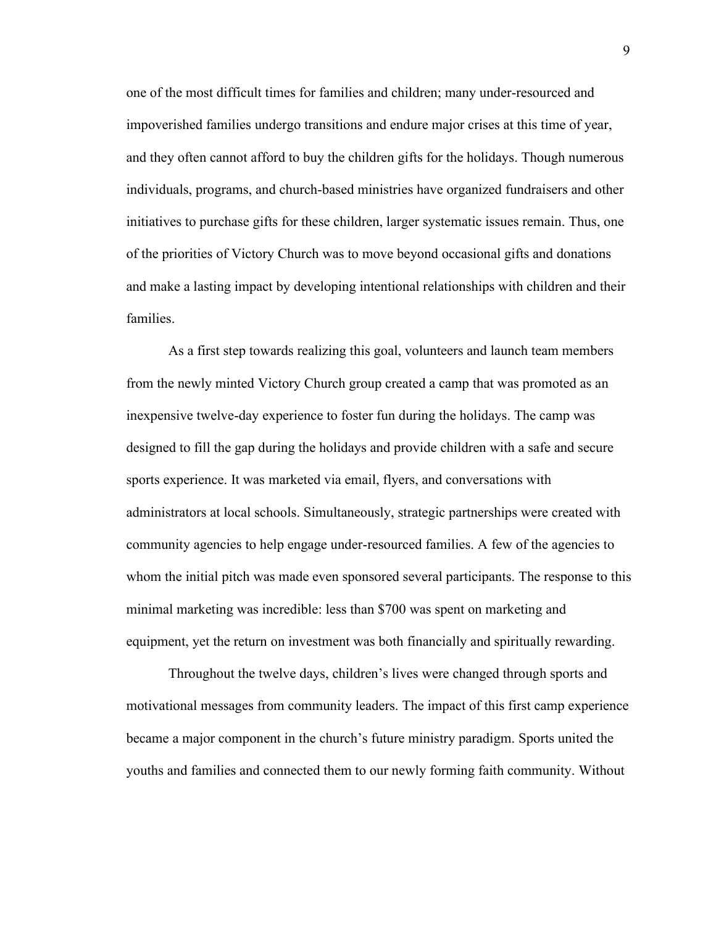one of the most difficult times for families and children; many under-resourced and impoverished families undergo transitions and endure major crises at this time of year, and they often cannot afford to buy the children gifts for the holidays. Though numerous individuals, programs, and church-based ministries have organized fundraisers and other initiatives to purchase gifts for these children, larger systematic issues remain. Thus, one of the priorities of Victory Church was to move beyond occasional gifts and donations and make a lasting impact by developing intentional relationships with children and their families.

As a first step towards realizing this goal, volunteers and launch team members from the newly minted Victory Church group created a camp that was promoted as an inexpensive twelve-day experience to foster fun during the holidays. The camp was designed to fill the gap during the holidays and provide children with a safe and secure sports experience. It was marketed via email, flyers, and conversations with administrators at local schools. Simultaneously, strategic partnerships were created with community agencies to help engage under-resourced families. A few of the agencies to whom the initial pitch was made even sponsored several participants. The response to this minimal marketing was incredible: less than \$700 was spent on marketing and equipment, yet the return on investment was both financially and spiritually rewarding.

Throughout the twelve days, children's lives were changed through sports and motivational messages from community leaders. The impact of this first camp experience became a major component in the church's future ministry paradigm. Sports united the youths and families and connected them to our newly forming faith community. Without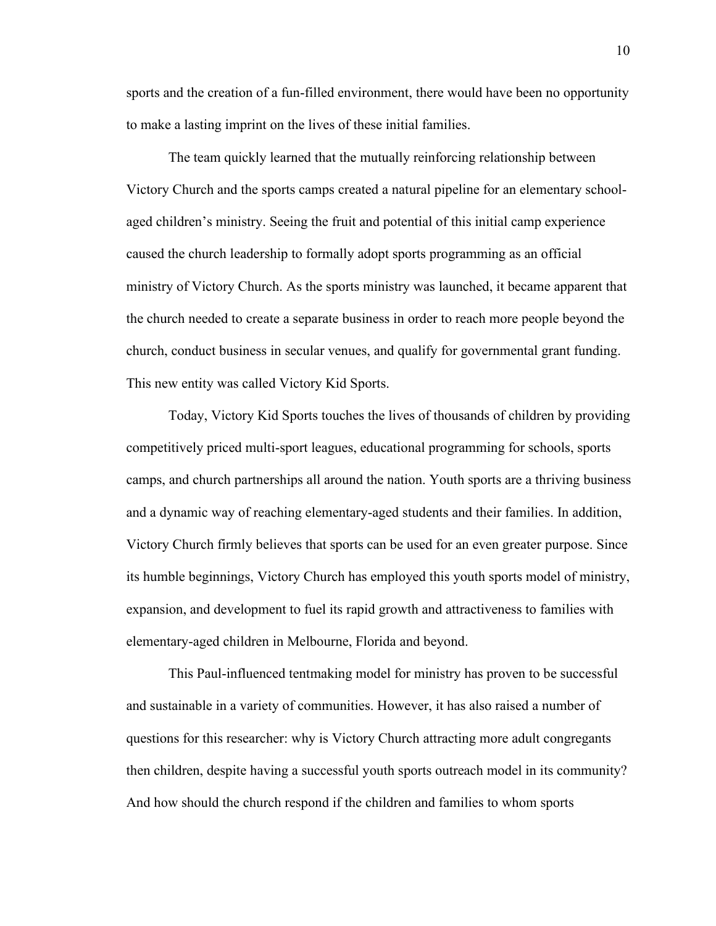sports and the creation of a fun-filled environment, there would have been no opportunity to make a lasting imprint on the lives of these initial families.

The team quickly learned that the mutually reinforcing relationship between Victory Church and the sports camps created a natural pipeline for an elementary schoolaged children's ministry. Seeing the fruit and potential of this initial camp experience caused the church leadership to formally adopt sports programming as an official ministry of Victory Church. As the sports ministry was launched, it became apparent that the church needed to create a separate business in order to reach more people beyond the church, conduct business in secular venues, and qualify for governmental grant funding. This new entity was called Victory Kid Sports.

Today, Victory Kid Sports touches the lives of thousands of children by providing competitively priced multi-sport leagues, educational programming for schools, sports camps, and church partnerships all around the nation. Youth sports are a thriving business and a dynamic way of reaching elementary-aged students and their families. In addition, Victory Church firmly believes that sports can be used for an even greater purpose. Since its humble beginnings, Victory Church has employed this youth sports model of ministry, expansion, and development to fuel its rapid growth and attractiveness to families with elementary-aged children in Melbourne, Florida and beyond.

This Paul-influenced tentmaking model for ministry has proven to be successful and sustainable in a variety of communities. However, it has also raised a number of questions for this researcher: why is Victory Church attracting more adult congregants then children, despite having a successful youth sports outreach model in its community? And how should the church respond if the children and families to whom sports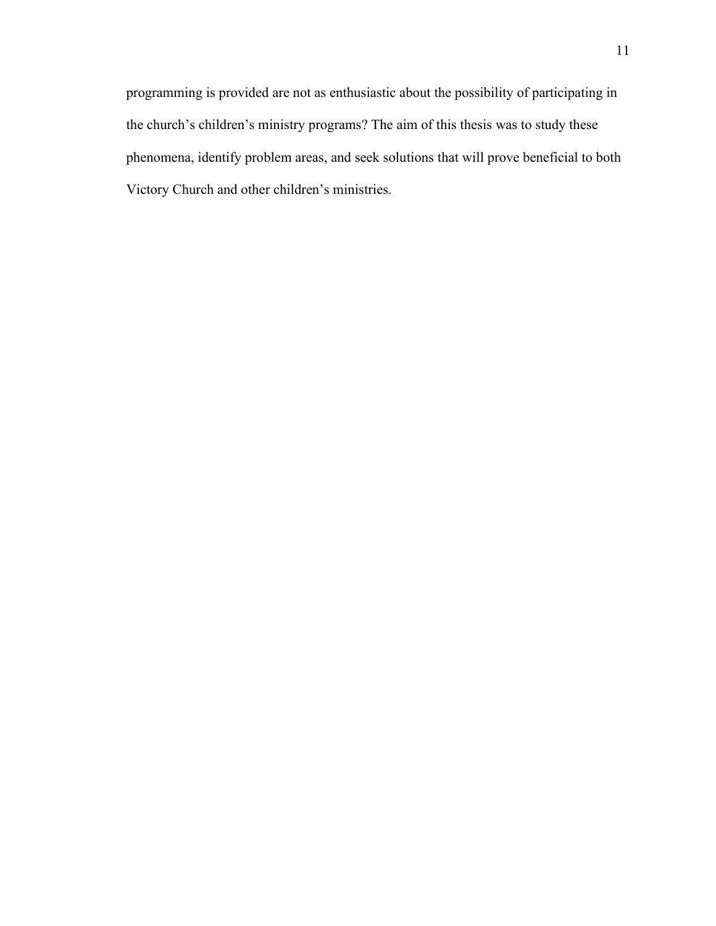programming is provided are not as enthusiastic about the possibility of participating in the church's children's ministry programs? The aim of this thesis was to study these phenomena, identify problem areas, and seek solutions that will prove beneficial to both Victory Church and other children's ministries.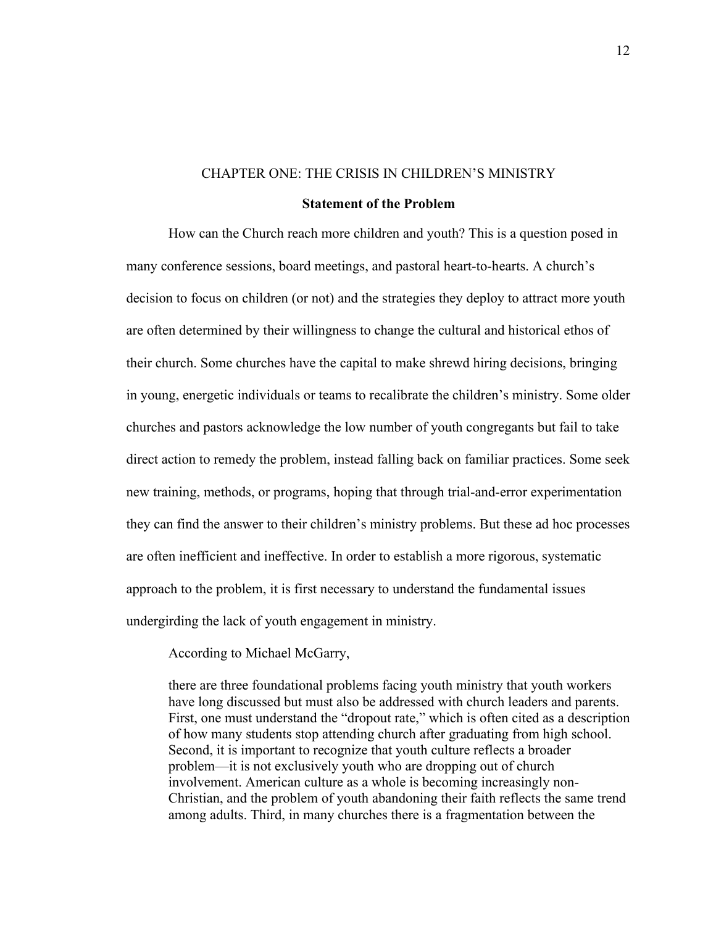#### CHAPTER ONE: THE CRISIS IN CHILDREN'S MINISTRY

#### **Statement of the Problem**

<span id="page-12-1"></span><span id="page-12-0"></span>How can the Church reach more children and youth? This is a question posed in many conference sessions, board meetings, and pastoral heart-to-hearts. A church's decision to focus on children (or not) and the strategies they deploy to attract more youth are often determined by their willingness to change the cultural and historical ethos of their church. Some churches have the capital to make shrewd hiring decisions, bringing in young, energetic individuals or teams to recalibrate the children's ministry. Some older churches and pastors acknowledge the low number of youth congregants but fail to take direct action to remedy the problem, instead falling back on familiar practices. Some seek new training, methods, or programs, hoping that through trial-and-error experimentation they can find the answer to their children's ministry problems. But these ad hoc processes are often inefficient and ineffective. In order to establish a more rigorous, systematic approach to the problem, it is first necessary to understand the fundamental issues undergirding the lack of youth engagement in ministry.

According to Michael McGarry,

there are three foundational problems facing youth ministry that youth workers have long discussed but must also be addressed with church leaders and parents. First, one must understand the "dropout rate," which is often cited as a description of how many students stop attending church after graduating from high school. Second, it is important to recognize that youth culture reflects a broader problem—it is not exclusively youth who are dropping out of church involvement. American culture as a whole is becoming increasingly non-Christian, and the problem of youth abandoning their faith reflects the same trend among adults. Third, in many churches there is a fragmentation between the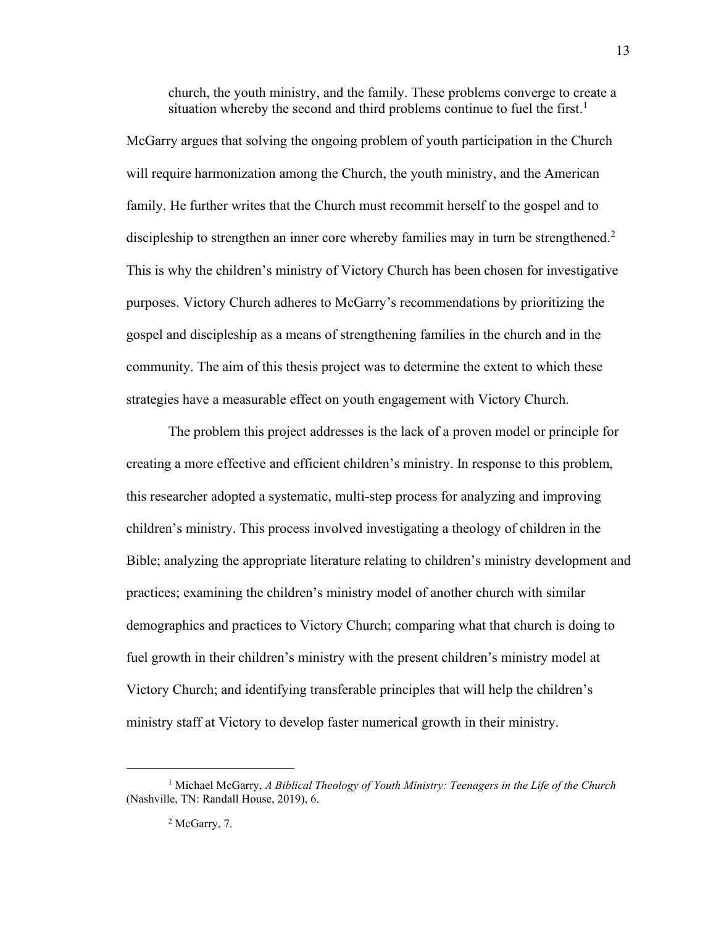church, the youth ministry, and the family. These problems converge to create a situation whereby the second and third problems continue to fuel the first.<sup>1</sup>

McGarry argues that solving the ongoing problem of youth participation in the Church will require harmonization among the Church, the youth ministry, and the American family. He further writes that the Church must recommit herself to the gospel and to discipleship to strengthen an inner core whereby families may in turn be strengthened.<sup>2</sup> This is why the children's ministry of Victory Church has been chosen for investigative purposes. Victory Church adheres to McGarry's recommendations by prioritizing the gospel and discipleship as a means of strengthening families in the church and in the community. The aim of this thesis project was to determine the extent to which these strategies have a measurable effect on youth engagement with Victory Church.

The problem this project addresses is the lack of a proven model or principle for creating a more effective and efficient children's ministry. In response to this problem, this researcher adopted a systematic, multi-step process for analyzing and improving children's ministry. This process involved investigating a theology of children in the Bible; analyzing the appropriate literature relating to children's ministry development and practices; examining the children's ministry model of another church with similar demographics and practices to Victory Church; comparing what that church is doing to fuel growth in their children's ministry with the present children's ministry model at Victory Church; and identifying transferable principles that will help the children's ministry staff at Victory to develop faster numerical growth in their ministry.

<sup>1</sup> Michael McGarry, *A Biblical Theology of Youth Ministry: Teenagers in the Life of the Church* (Nashville, TN: Randall House, 2019), 6.

<sup>&</sup>lt;sup>2</sup> McGarry, 7.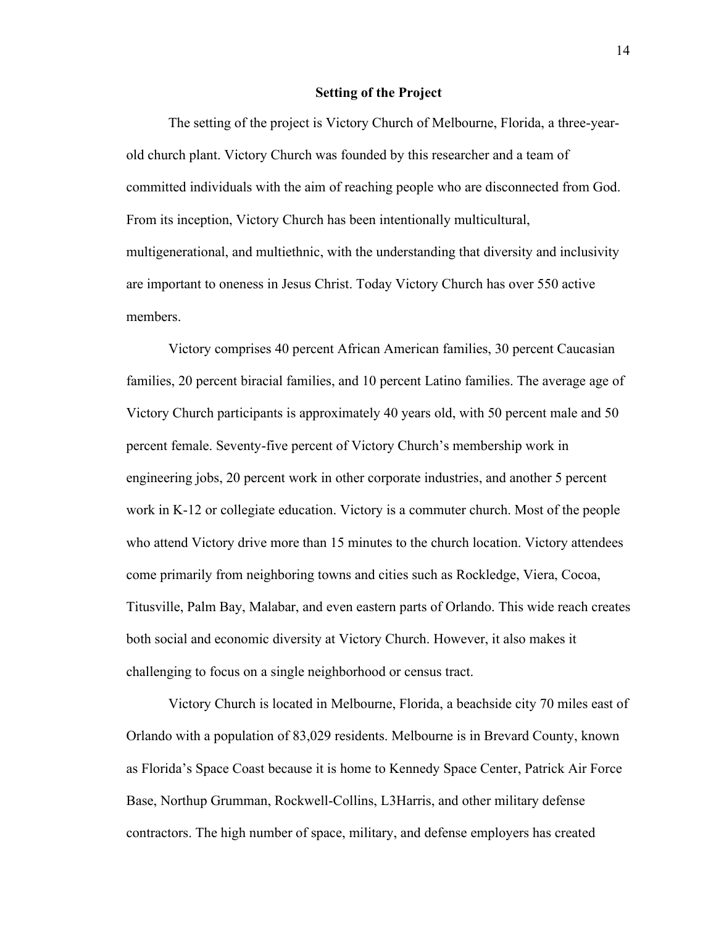#### **Setting of the Project**

<span id="page-14-0"></span>The setting of the project is Victory Church of Melbourne, Florida, a three-yearold church plant. Victory Church was founded by this researcher and a team of committed individuals with the aim of reaching people who are disconnected from God. From its inception, Victory Church has been intentionally multicultural, multigenerational, and multiethnic, with the understanding that diversity and inclusivity are important to oneness in Jesus Christ. Today Victory Church has over 550 active members.

Victory comprises 40 percent African American families, 30 percent Caucasian families, 20 percent biracial families, and 10 percent Latino families. The average age of Victory Church participants is approximately 40 years old, with 50 percent male and 50 percent female. Seventy-five percent of Victory Church's membership work in engineering jobs, 20 percent work in other corporate industries, and another 5 percent work in K-12 or collegiate education. Victory is a commuter church. Most of the people who attend Victory drive more than 15 minutes to the church location. Victory attendees come primarily from neighboring towns and cities such as Rockledge, Viera, Cocoa, Titusville, Palm Bay, Malabar, and even eastern parts of Orlando. This wide reach creates both social and economic diversity at Victory Church. However, it also makes it challenging to focus on a single neighborhood or census tract.

Victory Church is located in Melbourne, Florida, a beachside city 70 miles east of Orlando with a population of 83,029 residents. Melbourne is in Brevard County, known as Florida's Space Coast because it is home to Kennedy Space Center, Patrick Air Force Base, Northup Grumman, Rockwell-Collins, L3Harris, and other military defense contractors. The high number of space, military, and defense employers has created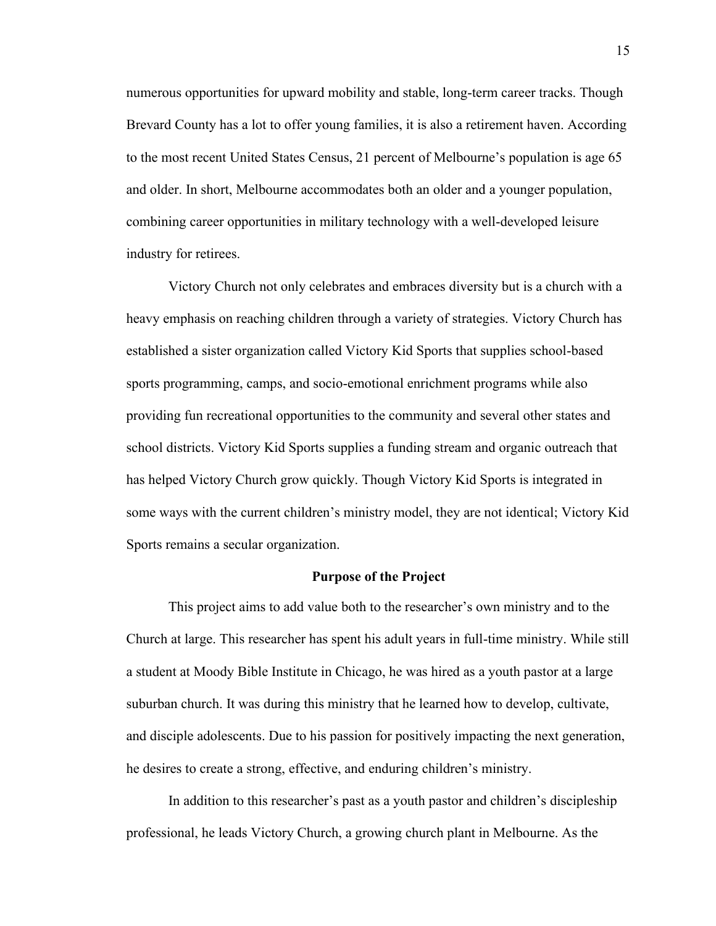numerous opportunities for upward mobility and stable, long-term career tracks. Though Brevard County has a lot to offer young families, it is also a retirement haven. According to the most recent United States Census, 21 percent of Melbourne's population is age 65 and older. In short, Melbourne accommodates both an older and a younger population, combining career opportunities in military technology with a well-developed leisure industry for retirees.

Victory Church not only celebrates and embraces diversity but is a church with a heavy emphasis on reaching children through a variety of strategies. Victory Church has established a sister organization called Victory Kid Sports that supplies school-based sports programming, camps, and socio-emotional enrichment programs while also providing fun recreational opportunities to the community and several other states and school districts. Victory Kid Sports supplies a funding stream and organic outreach that has helped Victory Church grow quickly. Though Victory Kid Sports is integrated in some ways with the current children's ministry model, they are not identical; Victory Kid Sports remains a secular organization.

#### **Purpose of the Project**

<span id="page-15-0"></span>This project aims to add value both to the researcher's own ministry and to the Church at large. This researcher has spent his adult years in full-time ministry. While still a student at Moody Bible Institute in Chicago, he was hired as a youth pastor at a large suburban church. It was during this ministry that he learned how to develop, cultivate, and disciple adolescents. Due to his passion for positively impacting the next generation, he desires to create a strong, effective, and enduring children's ministry.

In addition to this researcher's past as a youth pastor and children's discipleship professional, he leads Victory Church, a growing church plant in Melbourne. As the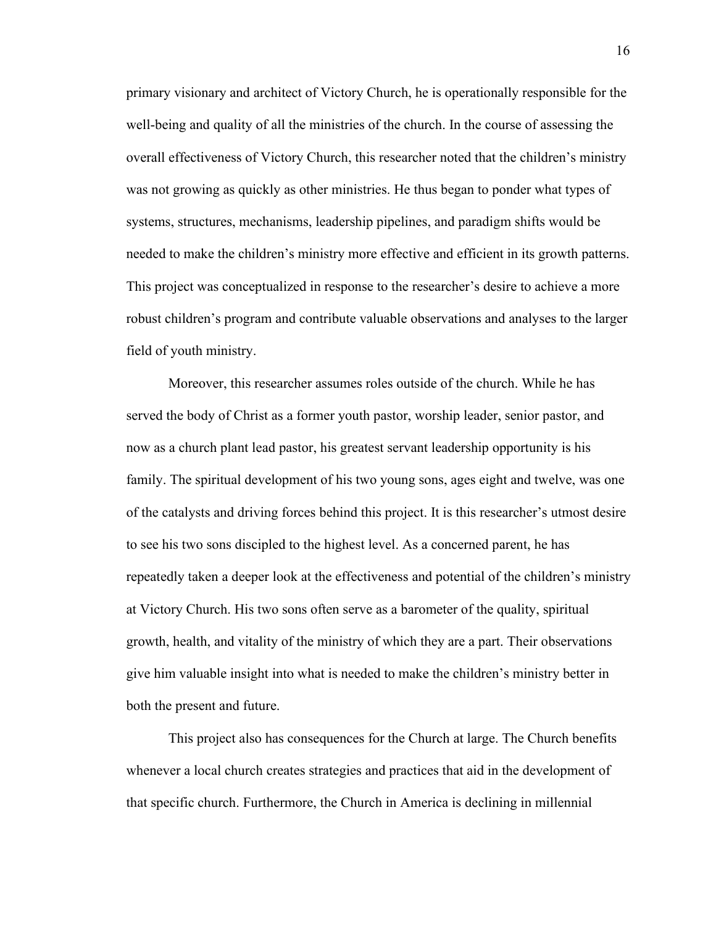primary visionary and architect of Victory Church, he is operationally responsible for the well-being and quality of all the ministries of the church. In the course of assessing the overall effectiveness of Victory Church, this researcher noted that the children's ministry was not growing as quickly as other ministries. He thus began to ponder what types of systems, structures, mechanisms, leadership pipelines, and paradigm shifts would be needed to make the children's ministry more effective and efficient in its growth patterns. This project was conceptualized in response to the researcher's desire to achieve a more robust children's program and contribute valuable observations and analyses to the larger field of youth ministry.

Moreover, this researcher assumes roles outside of the church. While he has served the body of Christ as a former youth pastor, worship leader, senior pastor, and now as a church plant lead pastor, his greatest servant leadership opportunity is his family. The spiritual development of his two young sons, ages eight and twelve, was one of the catalysts and driving forces behind this project. It is this researcher's utmost desire to see his two sons discipled to the highest level. As a concerned parent, he has repeatedly taken a deeper look at the effectiveness and potential of the children's ministry at Victory Church. His two sons often serve as a barometer of the quality, spiritual growth, health, and vitality of the ministry of which they are a part. Their observations give him valuable insight into what is needed to make the children's ministry better in both the present and future.

This project also has consequences for the Church at large. The Church benefits whenever a local church creates strategies and practices that aid in the development of that specific church. Furthermore, the Church in America is declining in millennial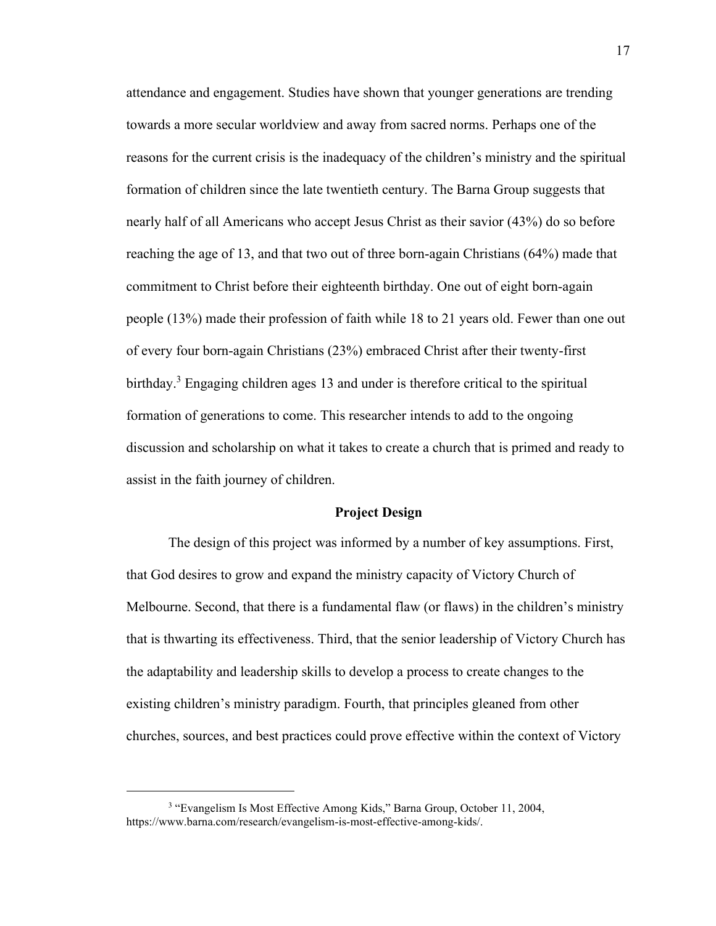attendance and engagement. Studies have shown that younger generations are trending towards a more secular worldview and away from sacred norms. Perhaps one of the reasons for the current crisis is the inadequacy of the children's ministry and the spiritual formation of children since the late twentieth century. The Barna Group suggests that nearly half of all Americans who accept Jesus Christ as their savior (43%) do so before reaching the age of 13, and that two out of three born-again Christians (64%) made that commitment to Christ before their eighteenth birthday. One out of eight born-again people (13%) made their profession of faith while 18 to 21 years old. Fewer than one out of every four born-again Christians (23%) embraced Christ after their twenty-first birthday.<sup>3</sup> Engaging children ages 13 and under is therefore critical to the spiritual formation of generations to come. This researcher intends to add to the ongoing discussion and scholarship on what it takes to create a church that is primed and ready to assist in the faith journey of children.

#### **Project Design**

<span id="page-17-0"></span>The design of this project was informed by a number of key assumptions. First, that God desires to grow and expand the ministry capacity of Victory Church of Melbourne. Second, that there is a fundamental flaw (or flaws) in the children's ministry that is thwarting its effectiveness. Third, that the senior leadership of Victory Church has the adaptability and leadership skills to develop a process to create changes to the existing children's ministry paradigm. Fourth, that principles gleaned from other churches, sources, and best practices could prove effective within the context of Victory

<sup>&</sup>lt;sup>3</sup> "Evangelism Is Most Effective Among Kids," Barna Group, October 11, 2004, https://www.barna.com/research/evangelism-is-most-effective-among-kids/.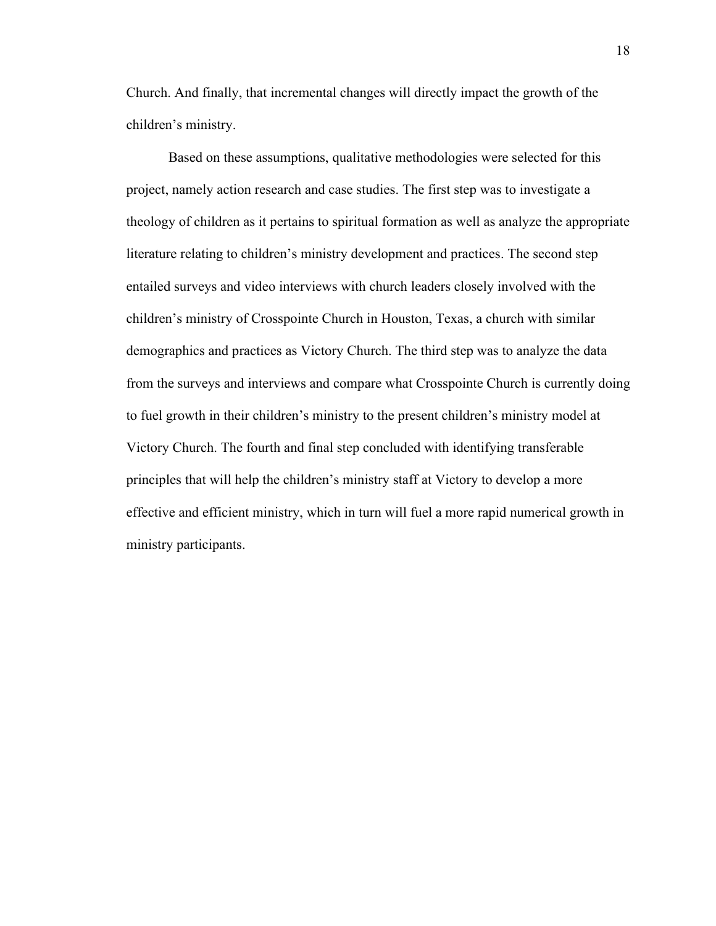Church. And finally, that incremental changes will directly impact the growth of the children's ministry.

Based on these assumptions, qualitative methodologies were selected for this project, namely action research and case studies. The first step was to investigate a theology of children as it pertains to spiritual formation as well as analyze the appropriate literature relating to children's ministry development and practices. The second step entailed surveys and video interviews with church leaders closely involved with the children's ministry of Crosspointe Church in Houston, Texas, a church with similar demographics and practices as Victory Church. The third step was to analyze the data from the surveys and interviews and compare what Crosspointe Church is currently doing to fuel growth in their children's ministry to the present children's ministry model at Victory Church. The fourth and final step concluded with identifying transferable principles that will help the children's ministry staff at Victory to develop a more effective and efficient ministry, which in turn will fuel a more rapid numerical growth in ministry participants.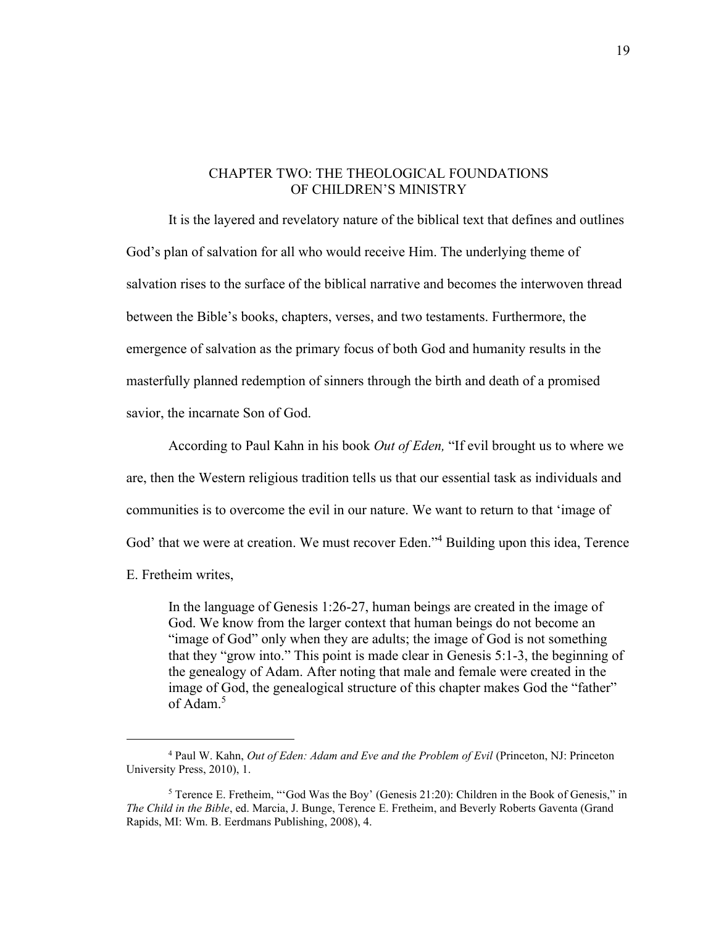#### <span id="page-19-0"></span>CHAPTER TWO: THE THEOLOGICAL FOUNDATIONS OF CHILDREN'S MINISTRY

<span id="page-19-1"></span>It is the layered and revelatory nature of the biblical text that defines and outlines God's plan of salvation for all who would receive Him. The underlying theme of salvation rises to the surface of the biblical narrative and becomes the interwoven thread between the Bible's books, chapters, verses, and two testaments. Furthermore, the emergence of salvation as the primary focus of both God and humanity results in the masterfully planned redemption of sinners through the birth and death of a promised savior, the incarnate Son of God.

According to Paul Kahn in his book *Out of Eden,* "If evil brought us to where we are, then the Western religious tradition tells us that our essential task as individuals and communities is to overcome the evil in our nature. We want to return to that 'image of God' that we were at creation. We must recover Eden."<sup>4</sup> Building upon this idea, Terence

E. Fretheim writes,

In the language of Genesis 1:26-27, human beings are created in the image of God. We know from the larger context that human beings do not become an "image of God" only when they are adults; the image of God is not something that they "grow into." This point is made clear in Genesis 5:1-3, the beginning of the genealogy of Adam. After noting that male and female were created in the image of God, the genealogical structure of this chapter makes God the "father" of Adam. 5

<sup>4</sup> Paul W. Kahn, *Out of Eden: Adam and Eve and the Problem of Evil* (Princeton, NJ: Princeton University Press, 2010), 1.

<sup>5</sup> Terence E. Fretheim, "'God Was the Boy' (Genesis 21:20): Children in the Book of Genesis," in *The Child in the Bible*, ed. Marcia, J. Bunge, Terence E. Fretheim, and Beverly Roberts Gaventa (Grand Rapids, MI: Wm. B. Eerdmans Publishing, 2008), 4.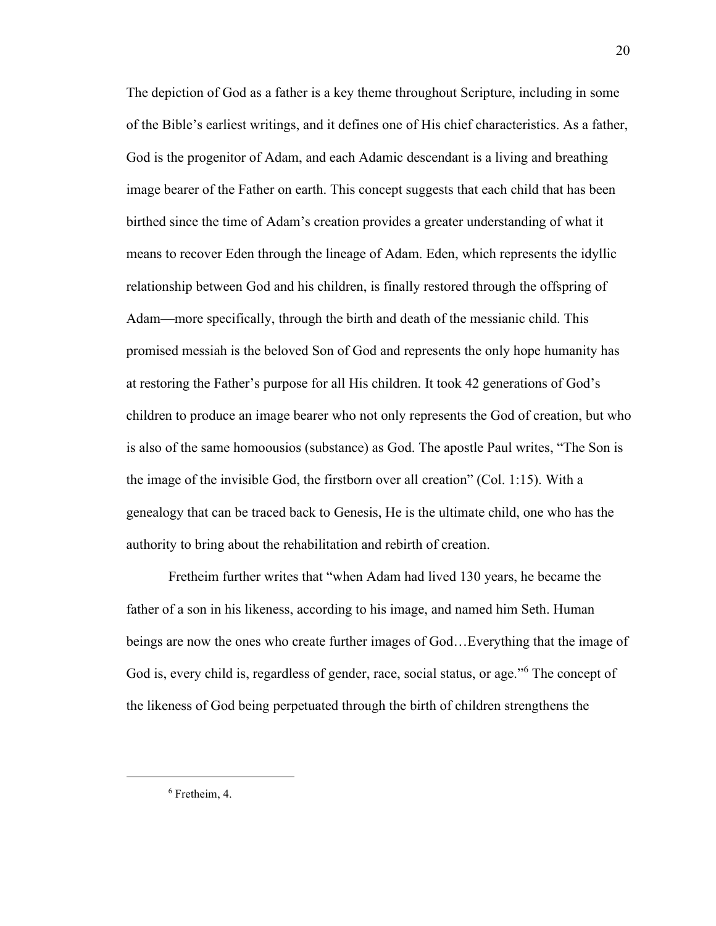The depiction of God as a father is a key theme throughout Scripture, including in some of the Bible's earliest writings, and it defines one of His chief characteristics. As a father, God is the progenitor of Adam, and each Adamic descendant is a living and breathing image bearer of the Father on earth. This concept suggests that each child that has been birthed since the time of Adam's creation provides a greater understanding of what it means to recover Eden through the lineage of Adam. Eden, which represents the idyllic relationship between God and his children, is finally restored through the offspring of Adam—more specifically, through the birth and death of the messianic child. This promised messiah is the beloved Son of God and represents the only hope humanity has at restoring the Father's purpose for all His children. It took 42 generations of God's children to produce an image bearer who not only represents the God of creation, but who is also of the same homoousios (substance) as God. The apostle Paul writes, "The Son is the image of the invisible God, the firstborn over all creation" (Col. 1:15). With a genealogy that can be traced back to Genesis, He is the ultimate child, one who has the authority to bring about the rehabilitation and rebirth of creation.

Fretheim further writes that "when Adam had lived 130 years, he became the father of a son in his likeness, according to his image, and named him Seth. Human beings are now the ones who create further images of God…Everything that the image of God is, every child is, regardless of gender, race, social status, or age."<sup>6</sup> The concept of the likeness of God being perpetuated through the birth of children strengthens the

20

<sup>6</sup> Fretheim, 4.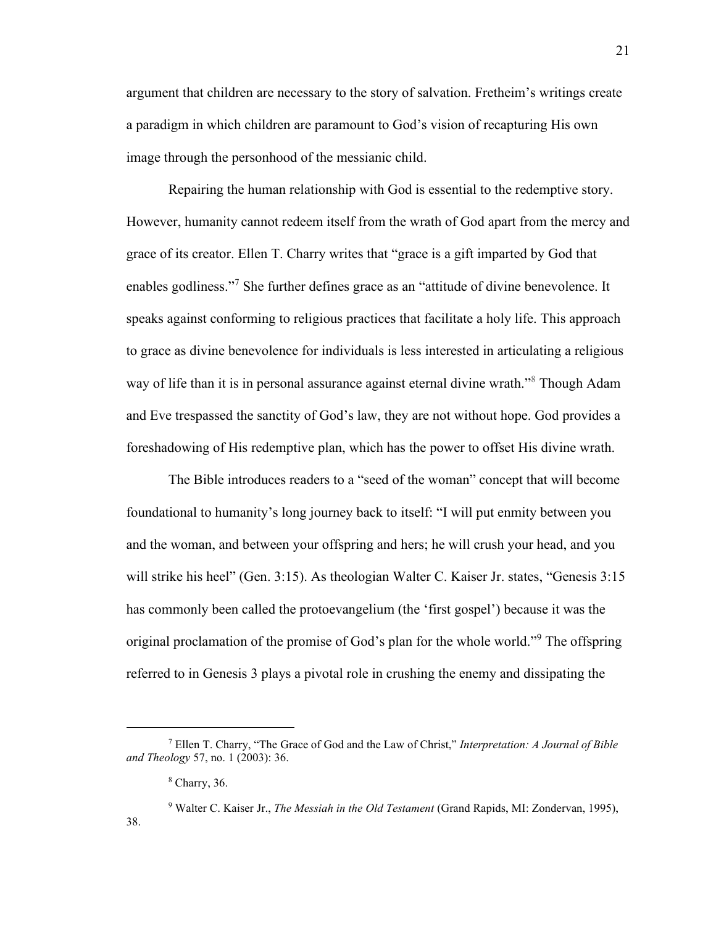argument that children are necessary to the story of salvation. Fretheim's writings create a paradigm in which children are paramount to God's vision of recapturing His own image through the personhood of the messianic child.

Repairing the human relationship with God is essential to the redemptive story. However, humanity cannot redeem itself from the wrath of God apart from the mercy and grace of its creator. Ellen T. Charry writes that "grace is a gift imparted by God that enables godliness."<sup>7</sup> She further defines grace as an "attitude of divine benevolence. It speaks against conforming to religious practices that facilitate a holy life. This approach to grace as divine benevolence for individuals is less interested in articulating a religious way of life than it is in personal assurance against eternal divine wrath."<sup>8</sup> Though Adam and Eve trespassed the sanctity of God's law, they are not without hope. God provides a foreshadowing of His redemptive plan, which has the power to offset His divine wrath.

The Bible introduces readers to a "seed of the woman" concept that will become foundational to humanity's long journey back to itself: "I will put enmity between you and the woman, and between your offspring and hers; he will crush your head, and you will strike his heel" (Gen. 3:15). As theologian Walter C. Kaiser Jr. states, "Genesis 3:15 has commonly been called the protoevangelium (the 'first gospel') because it was the original proclamation of the promise of God's plan for the whole world."<sup>9</sup> The offspring referred to in Genesis 3 plays a pivotal role in crushing the enemy and dissipating the

38.

<sup>7</sup> Ellen T. Charry, "The Grace of God and the Law of Christ," *Interpretation: A Journal of Bible and Theology* 57, no. 1 (2003): 36.

<sup>8</sup> Charry, 36.

<sup>9</sup> Walter C. Kaiser Jr., *The Messiah in the Old Testament* (Grand Rapids, MI: Zondervan, 1995),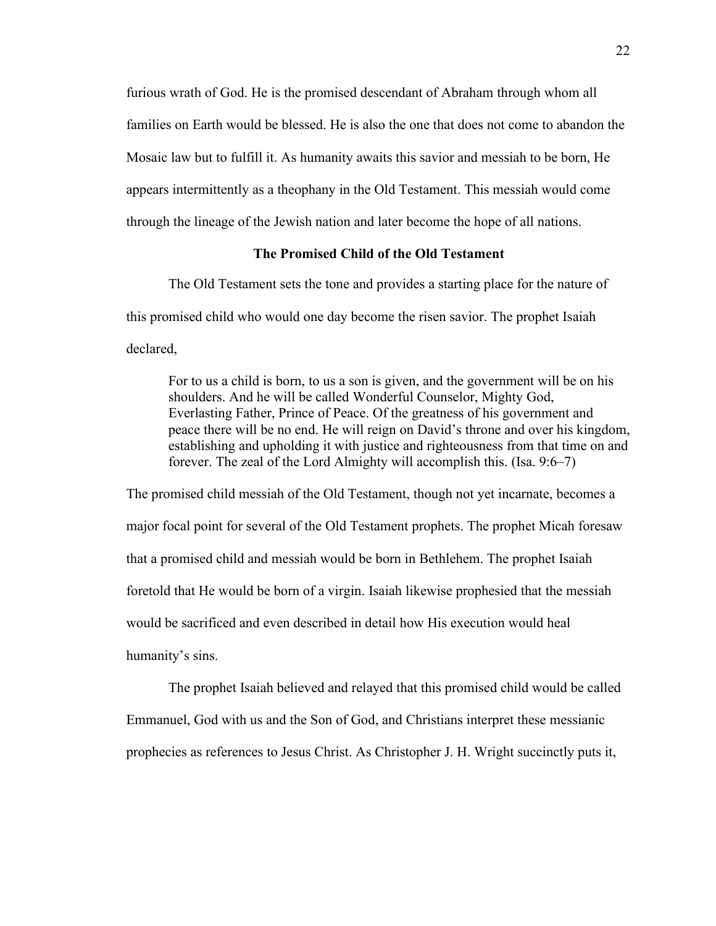furious wrath of God. He is the promised descendant of Abraham through whom all families on Earth would be blessed. He is also the one that does not come to abandon the Mosaic law but to fulfill it. As humanity awaits this savior and messiah to be born, He appears intermittently as a theophany in the Old Testament. This messiah would come through the lineage of the Jewish nation and later become the hope of all nations.

#### **The Promised Child of the Old Testament**

<span id="page-22-0"></span>The Old Testament sets the tone and provides a starting place for the nature of this promised child who would one day become the risen savior. The prophet Isaiah declared,

For to us a child is born, to us a son is given, and the government will be on his shoulders. And he will be called Wonderful Counselor, Mighty God, Everlasting Father, Prince of Peace. Of the greatness of his government and peace there will be no end. He will reign on David's throne and over his kingdom, establishing and upholding it with justice and righteousness from that time on and forever. The zeal of the Lord Almighty will accomplish this. (Isa. 9:6–7)

The promised child messiah of the Old Testament, though not yet incarnate, becomes a major focal point for several of the Old Testament prophets. The prophet Micah foresaw that a promised child and messiah would be born in Bethlehem. The prophet Isaiah foretold that He would be born of a virgin. Isaiah likewise prophesied that the messiah would be sacrificed and even described in detail how His execution would heal humanity's sins.

The prophet Isaiah believed and relayed that this promised child would be called Emmanuel, God with us and the Son of God, and Christians interpret these messianic prophecies as references to Jesus Christ. As Christopher J. H. Wright succinctly puts it,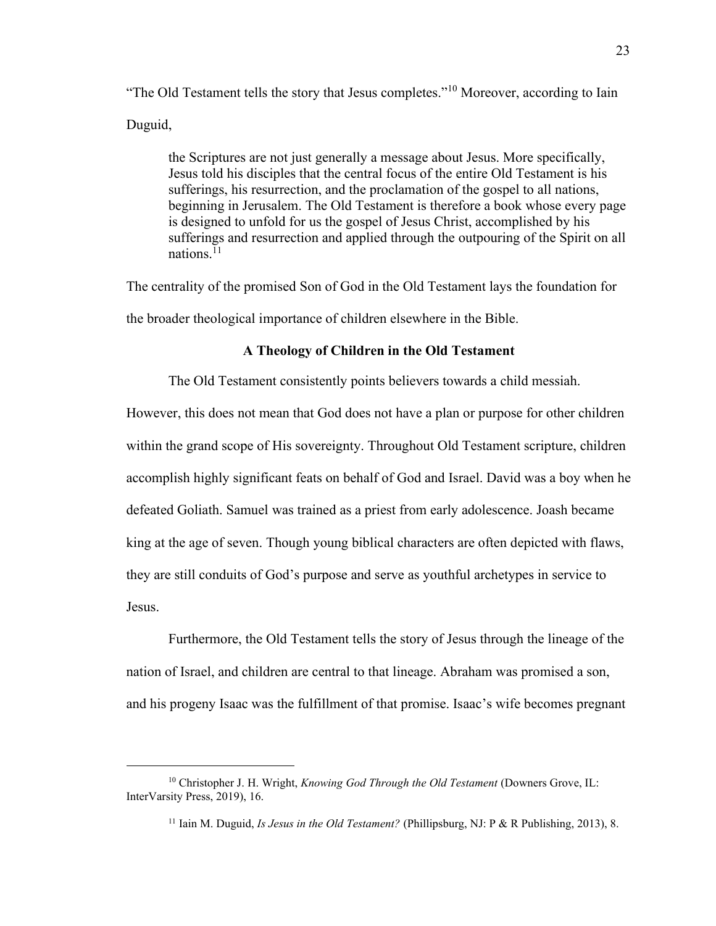"The Old Testament tells the story that Jesus completes."<sup>10</sup> Moreover, according to Iain Duguid,

the Scriptures are not just generally a message about Jesus. More specifically, Jesus told his disciples that the central focus of the entire Old Testament is his sufferings, his resurrection, and the proclamation of the gospel to all nations, beginning in Jerusalem. The Old Testament is therefore a book whose every page is designed to unfold for us the gospel of Jesus Christ, accomplished by his sufferings and resurrection and applied through the outpouring of the Spirit on all nations $11$ 

The centrality of the promised Son of God in the Old Testament lays the foundation for the broader theological importance of children elsewhere in the Bible.

#### **A Theology of Children in the Old Testament**

<span id="page-23-0"></span>The Old Testament consistently points believers towards a child messiah.

However, this does not mean that God does not have a plan or purpose for other children within the grand scope of His sovereignty. Throughout Old Testament scripture, children accomplish highly significant feats on behalf of God and Israel. David was a boy when he defeated Goliath. Samuel was trained as a priest from early adolescence. Joash became king at the age of seven. Though young biblical characters are often depicted with flaws, they are still conduits of God's purpose and serve as youthful archetypes in service to Jesus.

Furthermore, the Old Testament tells the story of Jesus through the lineage of the nation of Israel, and children are central to that lineage. Abraham was promised a son, and his progeny Isaac was the fulfillment of that promise. Isaac's wife becomes pregnant

<sup>&</sup>lt;sup>10</sup> Christopher J. H. Wright, *Knowing God Through the Old Testament* (Downers Grove, IL: InterVarsity Press, 2019), 16.

<sup>11</sup> Iain M. Duguid, *Is Jesus in the Old Testament?* (Phillipsburg, NJ: P & R Publishing, 2013), 8.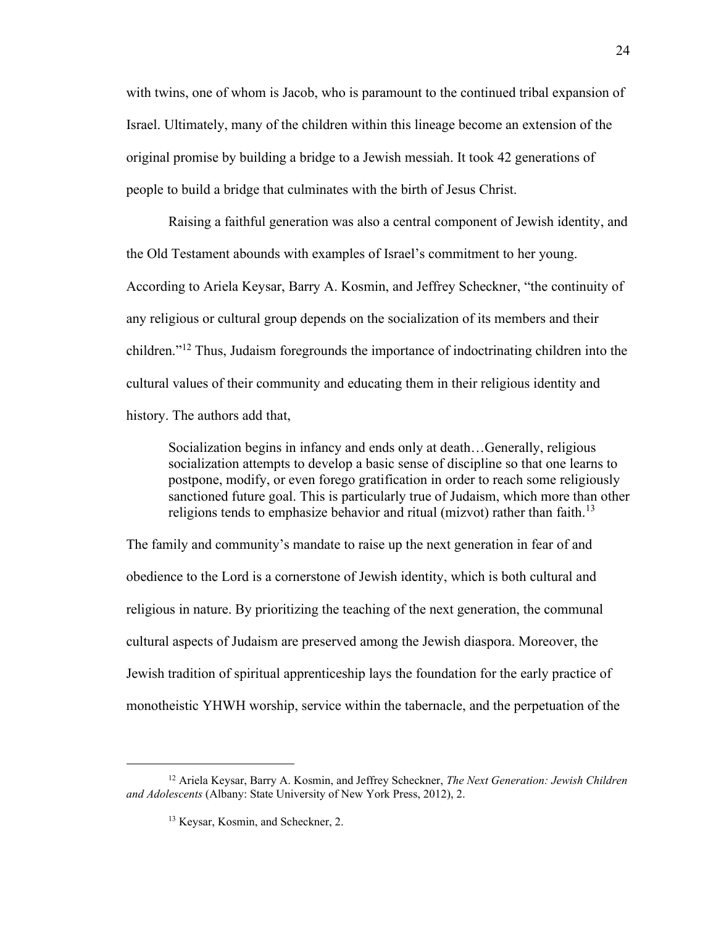with twins, one of whom is Jacob, who is paramount to the continued tribal expansion of Israel. Ultimately, many of the children within this lineage become an extension of the original promise by building a bridge to a Jewish messiah. It took 42 generations of people to build a bridge that culminates with the birth of Jesus Christ.

Raising a faithful generation was also a central component of Jewish identity, and the Old Testament abounds with examples of Israel's commitment to her young. According to Ariela Keysar, Barry A. Kosmin, and Jeffrey Scheckner, "the continuity of any religious or cultural group depends on the socialization of its members and their children." <sup>12</sup> Thus, Judaism foregrounds the importance of indoctrinating children into the cultural values of their community and educating them in their religious identity and history. The authors add that,

Socialization begins in infancy and ends only at death…Generally, religious socialization attempts to develop a basic sense of discipline so that one learns to postpone, modify, or even forego gratification in order to reach some religiously sanctioned future goal. This is particularly true of Judaism, which more than other religions tends to emphasize behavior and ritual (mizvot) rather than faith.<sup>13</sup>

The family and community's mandate to raise up the next generation in fear of and obedience to the Lord is a cornerstone of Jewish identity, which is both cultural and religious in nature. By prioritizing the teaching of the next generation, the communal cultural aspects of Judaism are preserved among the Jewish diaspora. Moreover, the Jewish tradition of spiritual apprenticeship lays the foundation for the early practice of monotheistic YHWH worship, service within the tabernacle, and the perpetuation of the

<sup>12</sup> Ariela Keysar, Barry A. Kosmin, and Jeffrey Scheckner, *The Next Generation: Jewish Children and Adolescents* (Albany: State University of New York Press, 2012), 2.

<sup>&</sup>lt;sup>13</sup> Keysar, Kosmin, and Scheckner, 2.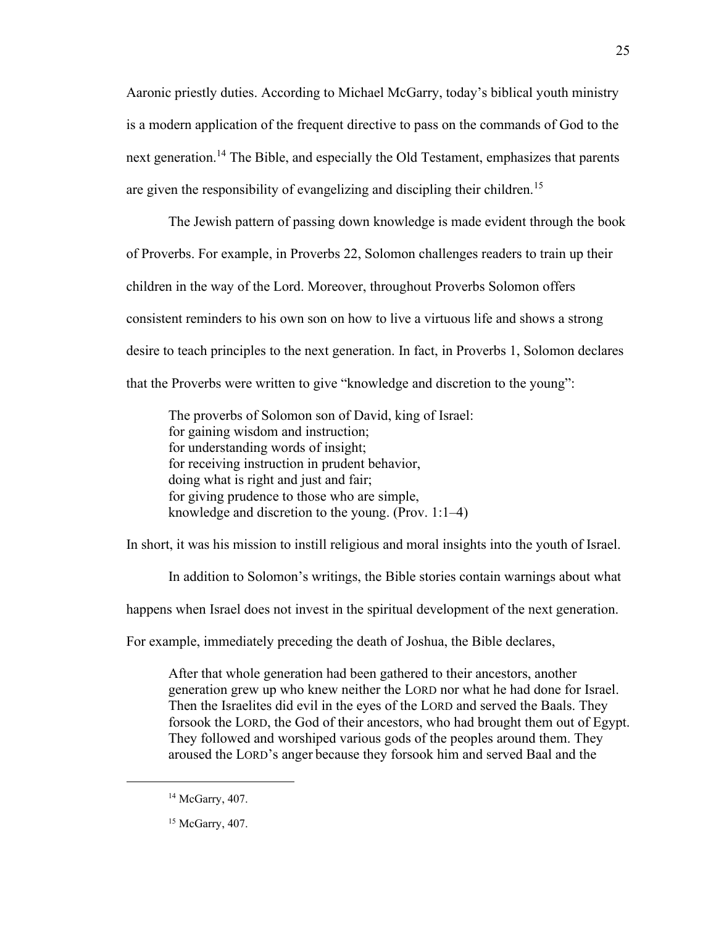Aaronic priestly duties. According to Michael McGarry, today's biblical youth ministry is a modern application of the frequent directive to pass on the commands of God to the next generation.<sup>14</sup> The Bible, and especially the Old Testament, emphasizes that parents are given the responsibility of evangelizing and discipling their children.<sup>15</sup>

The Jewish pattern of passing down knowledge is made evident through the book of Proverbs. For example, in Proverbs 22, Solomon challenges readers to train up their children in the way of the Lord. Moreover, throughout Proverbs Solomon offers consistent reminders to his own son on how to live a virtuous life and shows a strong desire to teach principles to the next generation. In fact, in Proverbs 1, Solomon declares that the Proverbs were written to give "knowledge and discretion to the young":

The proverbs of Solomon son of David, king of Israel: for gaining wisdom and instruction; for understanding words of insight; for receiving instruction in prudent behavior, doing what is right and just and fair; for giving prudence to those who are simple, knowledge and discretion to the young. (Prov. 1:1–4)

In short, it was his mission to instill religious and moral insights into the youth of Israel.

In addition to Solomon's writings, the Bible stories contain warnings about what

happens when Israel does not invest in the spiritual development of the next generation.

For example, immediately preceding the death of Joshua, the Bible declares,

After that whole generation had been gathered to their ancestors, another generation grew up who knew neither the LORD nor what he had done for Israel. Then the Israelites did evil in the eyes of the LORD and served the Baals. They forsook the LORD, the God of their ancestors, who had brought them out of Egypt. They followed and worshiped various gods of the peoples around them. They aroused the LORD's anger because they forsook him and served Baal and the

25

<sup>&</sup>lt;sup>14</sup> McGarry, 407.

<sup>&</sup>lt;sup>15</sup> McGarry, 407.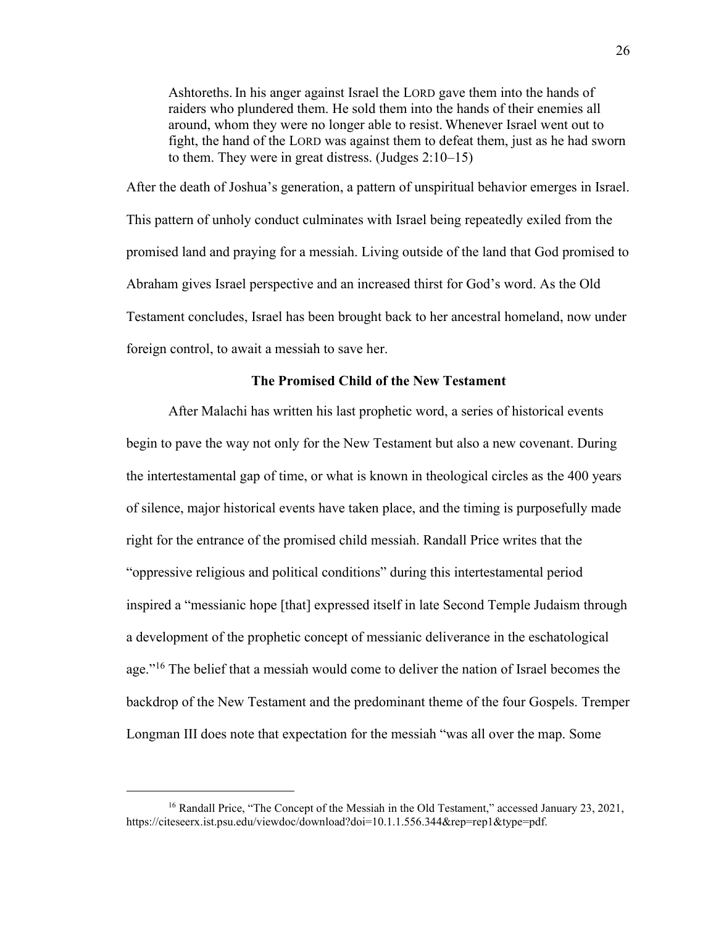Ashtoreths. In his anger against Israel the LORD gave them into the hands of raiders who plundered them. He sold them into the hands of their enemies all around, whom they were no longer able to resist. Whenever Israel went out to fight, the hand of the LORD was against them to defeat them, just as he had sworn to them. They were in great distress. (Judges 2:10–15)

After the death of Joshua's generation, a pattern of unspiritual behavior emerges in Israel. This pattern of unholy conduct culminates with Israel being repeatedly exiled from the promised land and praying for a messiah. Living outside of the land that God promised to Abraham gives Israel perspective and an increased thirst for God's word. As the Old Testament concludes, Israel has been brought back to her ancestral homeland, now under foreign control, to await a messiah to save her.

#### **The Promised Child of the New Testament**

<span id="page-26-0"></span>After Malachi has written his last prophetic word, a series of historical events begin to pave the way not only for the New Testament but also a new covenant. During the intertestamental gap of time, or what is known in theological circles as the 400 years of silence, major historical events have taken place, and the timing is purposefully made right for the entrance of the promised child messiah. Randall Price writes that the "oppressive religious and political conditions" during this intertestamental period inspired a "messianic hope [that] expressed itself in late Second Temple Judaism through a development of the prophetic concept of messianic deliverance in the eschatological age."<sup>16</sup> The belief that a messiah would come to deliver the nation of Israel becomes the backdrop of the New Testament and the predominant theme of the four Gospels. Tremper Longman III does note that expectation for the messiah "was all over the map. Some

<sup>&</sup>lt;sup>16</sup> Randall Price, "The Concept of the Messiah in the Old Testament," accessed January 23, 2021, https://citeseerx.ist.psu.edu/viewdoc/download?doi=10.1.1.556.344&rep=rep1&type=pdf.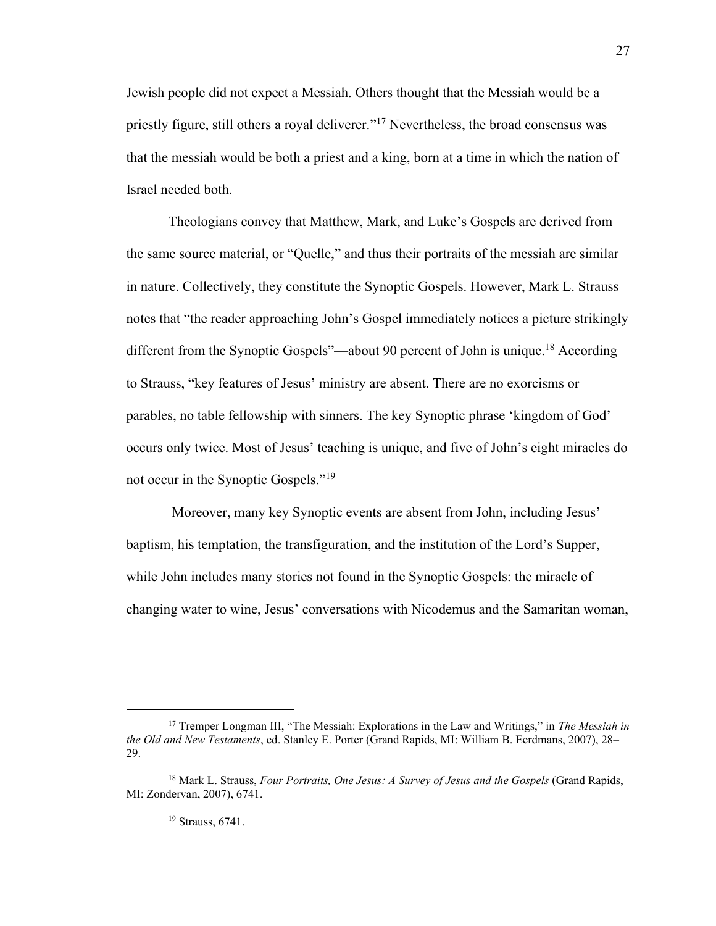Jewish people did not expect a Messiah. Others thought that the Messiah would be a priestly figure, still others a royal deliverer."<sup>17</sup> Nevertheless, the broad consensus was that the messiah would be both a priest and a king, born at a time in which the nation of Israel needed both.

Theologians convey that Matthew, Mark, and Luke's Gospels are derived from the same source material, or "Quelle," and thus their portraits of the messiah are similar in nature. Collectively, they constitute the Synoptic Gospels. However, Mark L. Strauss notes that "the reader approaching John's Gospel immediately notices a picture strikingly different from the Synoptic Gospels"—about 90 percent of John is unique.<sup>18</sup> According to Strauss, "key features of Jesus' ministry are absent. There are no exorcisms or parables, no table fellowship with sinners. The key Synoptic phrase 'kingdom of God' occurs only twice. Most of Jesus' teaching is unique, and five of John's eight miracles do not occur in the Synoptic Gospels."<sup>19</sup>

Moreover, many key Synoptic events are absent from John, including Jesus' baptism, his temptation, the transfiguration, and the institution of the Lord's Supper, while John includes many stories not found in the Synoptic Gospels: the miracle of changing water to wine, Jesus' conversations with Nicodemus and the Samaritan woman,

<sup>17</sup> Tremper Longman III, "The Messiah: Explorations in the Law and Writings," in *The Messiah in the Old and New Testaments*, ed. Stanley E. Porter (Grand Rapids, MI: William B. Eerdmans, 2007), 28– 29.

<sup>18</sup> Mark L. Strauss, *Four Portraits, One Jesus: A Survey of Jesus and the Gospels* (Grand Rapids, MI: Zondervan, 2007), 6741.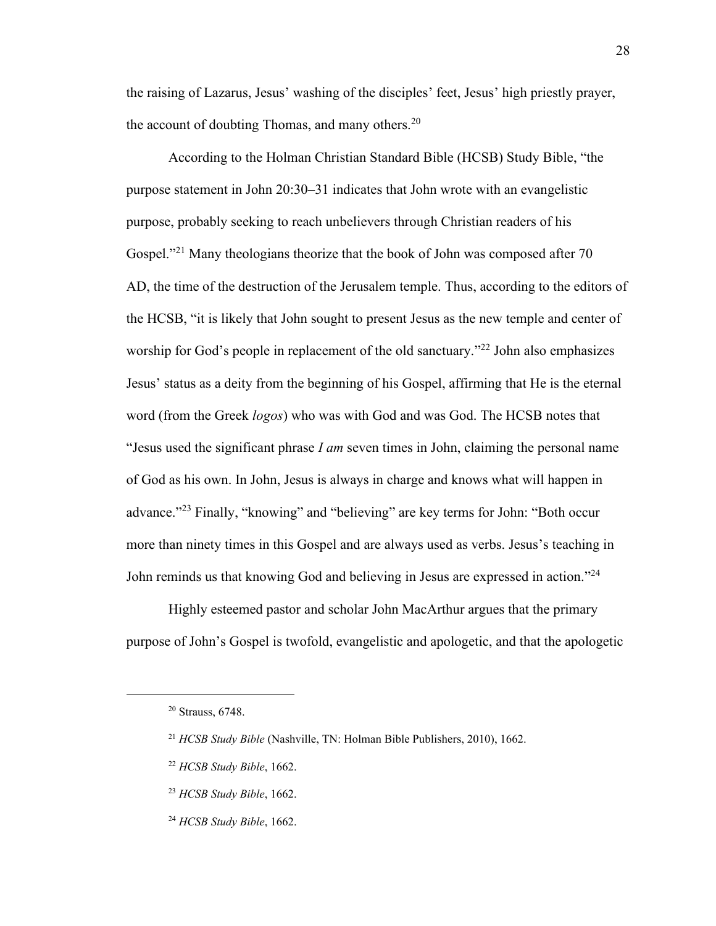the raising of Lazarus, Jesus' washing of the disciples' feet, Jesus' high priestly prayer, the account of doubting Thomas, and many others. $20$ 

According to the Holman Christian Standard Bible (HCSB) Study Bible, "the purpose statement in John 20:30–31 indicates that John wrote with an evangelistic purpose, probably seeking to reach unbelievers through Christian readers of his Gospel."<sup>21</sup> Many theologians theorize that the book of John was composed after 70 AD, the time of the destruction of the Jerusalem temple. Thus, according to the editors of the HCSB, "it is likely that John sought to present Jesus as the new temple and center of worship for God's people in replacement of the old sanctuary."<sup>22</sup> John also emphasizes Jesus' status as a deity from the beginning of his Gospel, affirming that He is the eternal word (from the Greek *logos*) who was with God and was God. The HCSB notes that "Jesus used the significant phrase *I am* seven times in John, claiming the personal name of God as his own. In John, Jesus is always in charge and knows what will happen in advance."<sup>23</sup> Finally, "knowing" and "believing" are key terms for John: "Both occur more than ninety times in this Gospel and are always used as verbs. Jesus's teaching in John reminds us that knowing God and believing in Jesus are expressed in action."<sup>24</sup>

Highly esteemed pastor and scholar John MacArthur argues that the primary purpose of John's Gospel is twofold, evangelistic and apologetic, and that the apologetic

- <sup>22</sup> *HCSB Study Bible*, 1662.
- <sup>23</sup> *HCSB Study Bible*, 1662.
- <sup>24</sup> *HCSB Study Bible*, 1662.

<sup>20</sup> Strauss, 6748.

<sup>21</sup> *HCSB Study Bible* (Nashville, TN: Holman Bible Publishers, 2010), 1662.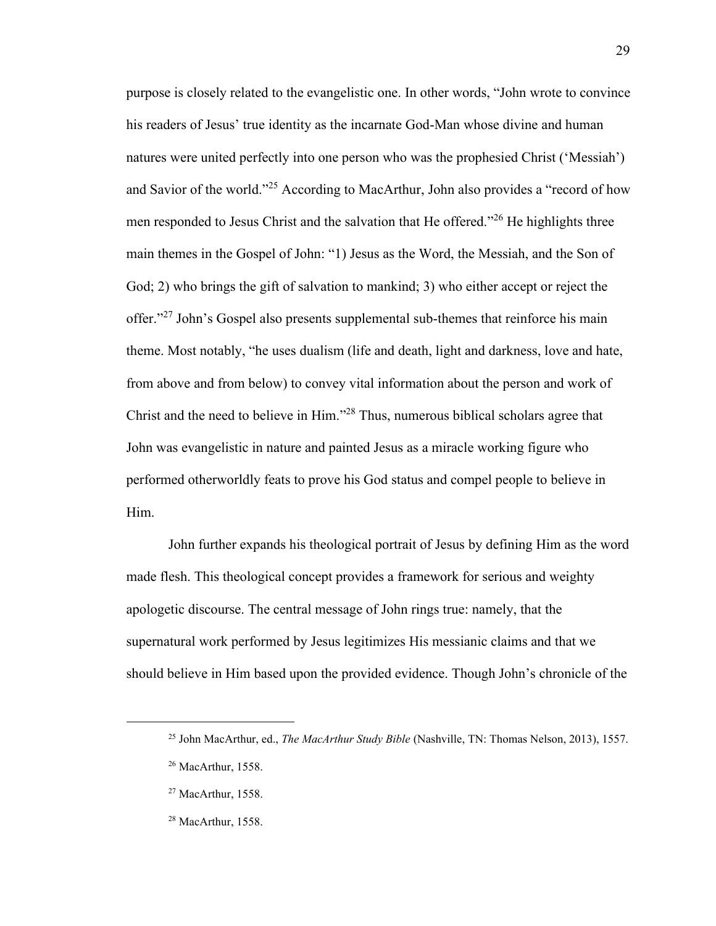purpose is closely related to the evangelistic one. In other words, "John wrote to convince his readers of Jesus' true identity as the incarnate God-Man whose divine and human natures were united perfectly into one person who was the prophesied Christ ('Messiah') and Savior of the world."<sup>25</sup> According to MacArthur, John also provides a "record of how men responded to Jesus Christ and the salvation that He offered."<sup>26</sup> He highlights three main themes in the Gospel of John: "1) Jesus as the Word, the Messiah, and the Son of God; 2) who brings the gift of salvation to mankind; 3) who either accept or reject the offer."<sup>27</sup> John's Gospel also presents supplemental sub-themes that reinforce his main theme. Most notably, "he uses dualism (life and death, light and darkness, love and hate, from above and from below) to convey vital information about the person and work of Christ and the need to believe in Him."<sup>28</sup> Thus, numerous biblical scholars agree that John was evangelistic in nature and painted Jesus as a miracle working figure who performed otherworldly feats to prove his God status and compel people to believe in Him.

John further expands his theological portrait of Jesus by defining Him as the word made flesh. This theological concept provides a framework for serious and weighty apologetic discourse. The central message of John rings true: namely, that the supernatural work performed by Jesus legitimizes His messianic claims and that we should believe in Him based upon the provided evidence. Though John's chronicle of the

<sup>25</sup> John MacArthur, ed., *The MacArthur Study Bible* (Nashville, TN: Thomas Nelson, 2013), 1557.

<sup>&</sup>lt;sup>26</sup> MacArthur, 1558.

<sup>&</sup>lt;sup>27</sup> MacArthur, 1558.

 $28$  MacArthur, 1558.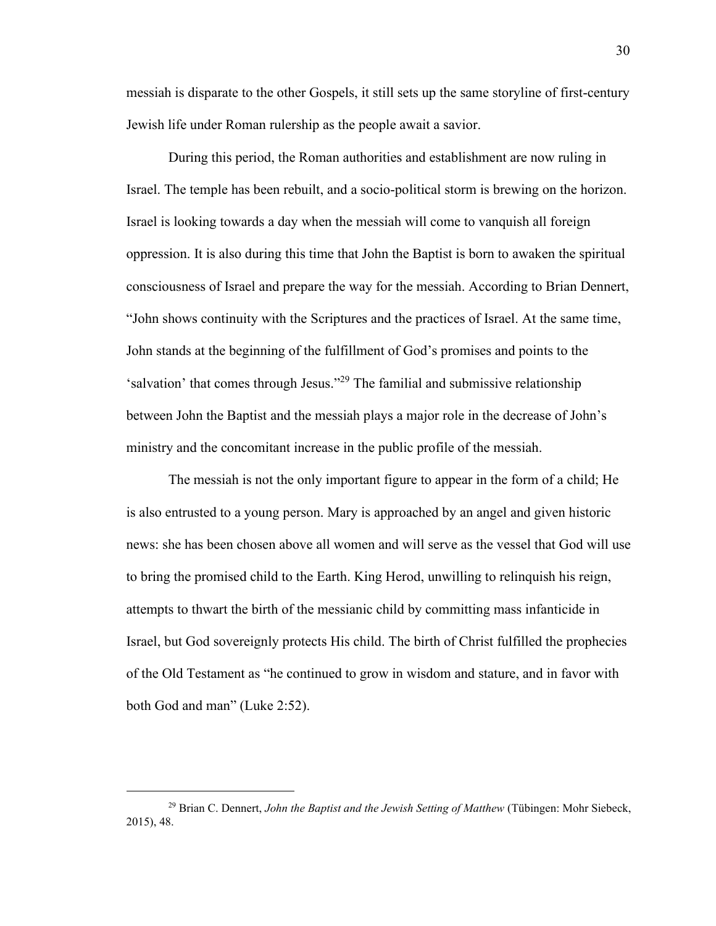messiah is disparate to the other Gospels, it still sets up the same storyline of first-century Jewish life under Roman rulership as the people await a savior.

During this period, the Roman authorities and establishment are now ruling in Israel. The temple has been rebuilt, and a socio-political storm is brewing on the horizon. Israel is looking towards a day when the messiah will come to vanquish all foreign oppression. It is also during this time that John the Baptist is born to awaken the spiritual consciousness of Israel and prepare the way for the messiah. According to Brian Dennert, "John shows continuity with the Scriptures and the practices of Israel. At the same time, John stands at the beginning of the fulfillment of God's promises and points to the 'salvation' that comes through Jesus."<sup>29</sup> The familial and submissive relationship between John the Baptist and the messiah plays a major role in the decrease of John's ministry and the concomitant increase in the public profile of the messiah.

The messiah is not the only important figure to appear in the form of a child; He is also entrusted to a young person. Mary is approached by an angel and given historic news: she has been chosen above all women and will serve as the vessel that God will use to bring the promised child to the Earth. King Herod, unwilling to relinquish his reign, attempts to thwart the birth of the messianic child by committing mass infanticide in Israel, but God sovereignly protects His child. The birth of Christ fulfilled the prophecies of the Old Testament as "he continued to grow in wisdom and stature, and in favor with both God and man" (Luke 2:52).

<sup>29</sup> Brian C. Dennert, *John the Baptist and the Jewish Setting of Matthew* (Tübingen: Mohr Siebeck, 2015), 48.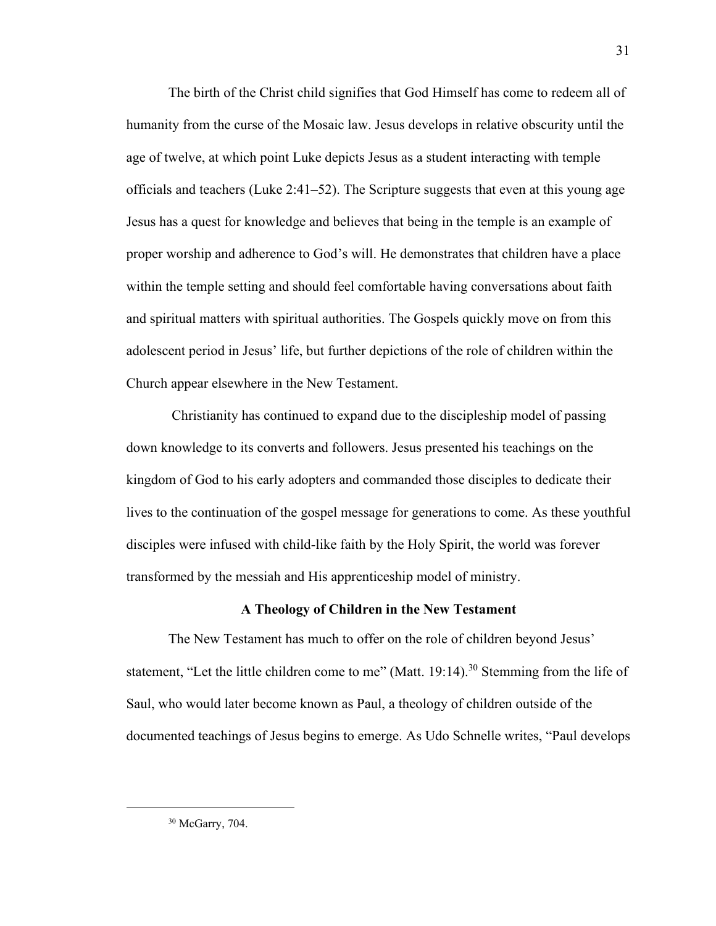The birth of the Christ child signifies that God Himself has come to redeem all of humanity from the curse of the Mosaic law. Jesus develops in relative obscurity until the age of twelve, at which point Luke depicts Jesus as a student interacting with temple officials and teachers (Luke 2:41–52). The Scripture suggests that even at this young age Jesus has a quest for knowledge and believes that being in the temple is an example of proper worship and adherence to God's will. He demonstrates that children have a place within the temple setting and should feel comfortable having conversations about faith and spiritual matters with spiritual authorities. The Gospels quickly move on from this adolescent period in Jesus' life, but further depictions of the role of children within the Church appear elsewhere in the New Testament.

Christianity has continued to expand due to the discipleship model of passing down knowledge to its converts and followers. Jesus presented his teachings on the kingdom of God to his early adopters and commanded those disciples to dedicate their lives to the continuation of the gospel message for generations to come. As these youthful disciples were infused with child-like faith by the Holy Spirit, the world was forever transformed by the messiah and His apprenticeship model of ministry.

#### **A Theology of Children in the New Testament**

<span id="page-31-0"></span>The New Testament has much to offer on the role of children beyond Jesus' statement, "Let the little children come to me" (Matt. 19:14).<sup>30</sup> Stemming from the life of Saul, who would later become known as Paul, a theology of children outside of the documented teachings of Jesus begins to emerge. As Udo Schnelle writes, "Paul develops

<sup>30</sup> McGarry, 704.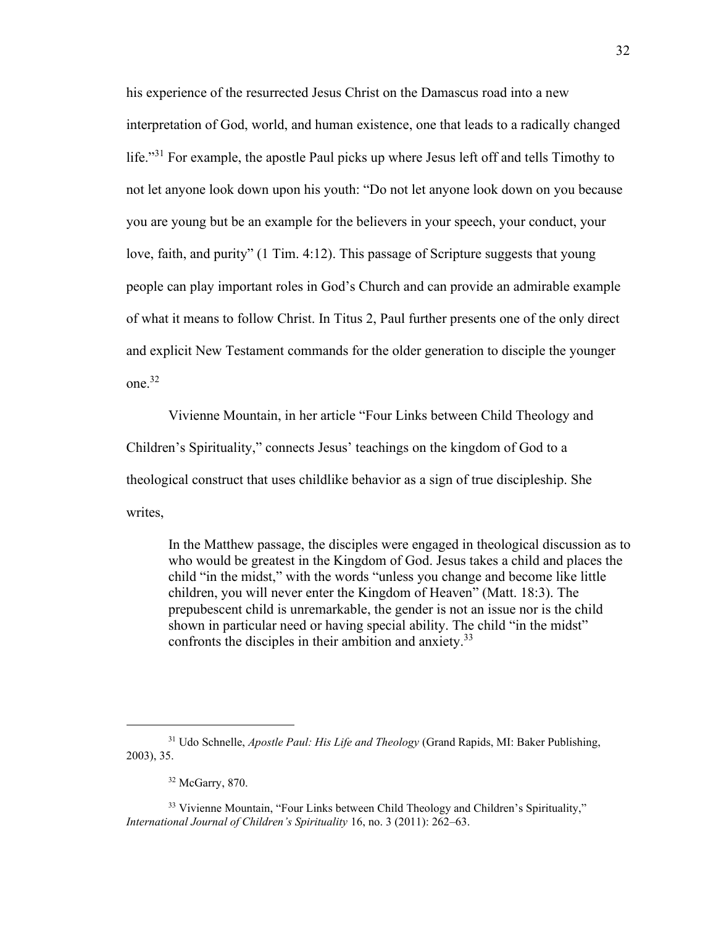his experience of the resurrected Jesus Christ on the Damascus road into a new interpretation of God, world, and human existence, one that leads to a radically changed life."<sup>31</sup> For example, the apostle Paul picks up where Jesus left off and tells Timothy to not let anyone look down upon his youth: "Do not let anyone look down on you because you are young but be an example for the believers in your speech, your conduct, your love, faith, and purity" (1 Tim. 4:12). This passage of Scripture suggests that young people can play important roles in God's Church and can provide an admirable example of what it means to follow Christ. In Titus 2, Paul further presents one of the only direct and explicit New Testament commands for the older generation to disciple the younger one. 32

Vivienne Mountain, in her article "Four Links between Child Theology and Children's Spirituality," connects Jesus' teachings on the kingdom of God to a theological construct that uses childlike behavior as a sign of true discipleship. She writes,

In the Matthew passage, the disciples were engaged in theological discussion as to who would be greatest in the Kingdom of God. Jesus takes a child and places the child "in the midst," with the words "unless you change and become like little children, you will never enter the Kingdom of Heaven" (Matt. 18:3). The prepubescent child is unremarkable, the gender is not an issue nor is the child shown in particular need or having special ability. The child "in the midst" confronts the disciples in their ambition and anxiety.<sup>33</sup>

<sup>31</sup> Udo Schnelle, *Apostle Paul: His Life and Theology* (Grand Rapids, MI: Baker Publishing, 2003), 35.

 $32$  McGarry, 870.

<sup>&</sup>lt;sup>33</sup> Vivienne Mountain, "Four Links between Child Theology and Children's Spirituality," *International Journal of Children's Spirituality* 16, no. 3 (2011): 262–63.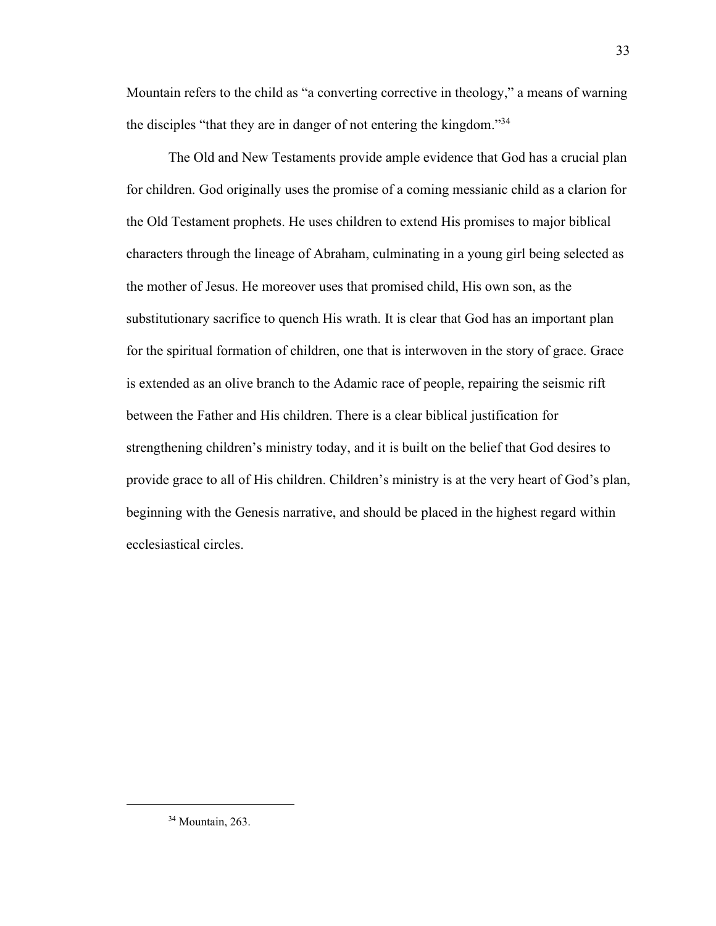Mountain refers to the child as "a converting corrective in theology," a means of warning the disciples "that they are in danger of not entering the kingdom."<sup>34</sup>

The Old and New Testaments provide ample evidence that God has a crucial plan for children. God originally uses the promise of a coming messianic child as a clarion for the Old Testament prophets. He uses children to extend His promises to major biblical characters through the lineage of Abraham, culminating in a young girl being selected as the mother of Jesus. He moreover uses that promised child, His own son, as the substitutionary sacrifice to quench His wrath. It is clear that God has an important plan for the spiritual formation of children, one that is interwoven in the story of grace. Grace is extended as an olive branch to the Adamic race of people, repairing the seismic rift between the Father and His children. There is a clear biblical justification for strengthening children's ministry today, and it is built on the belief that God desires to provide grace to all of His children. Children's ministry is at the very heart of God's plan, beginning with the Genesis narrative, and should be placed in the highest regard within ecclesiastical circles.

<sup>34</sup> Mountain, 263.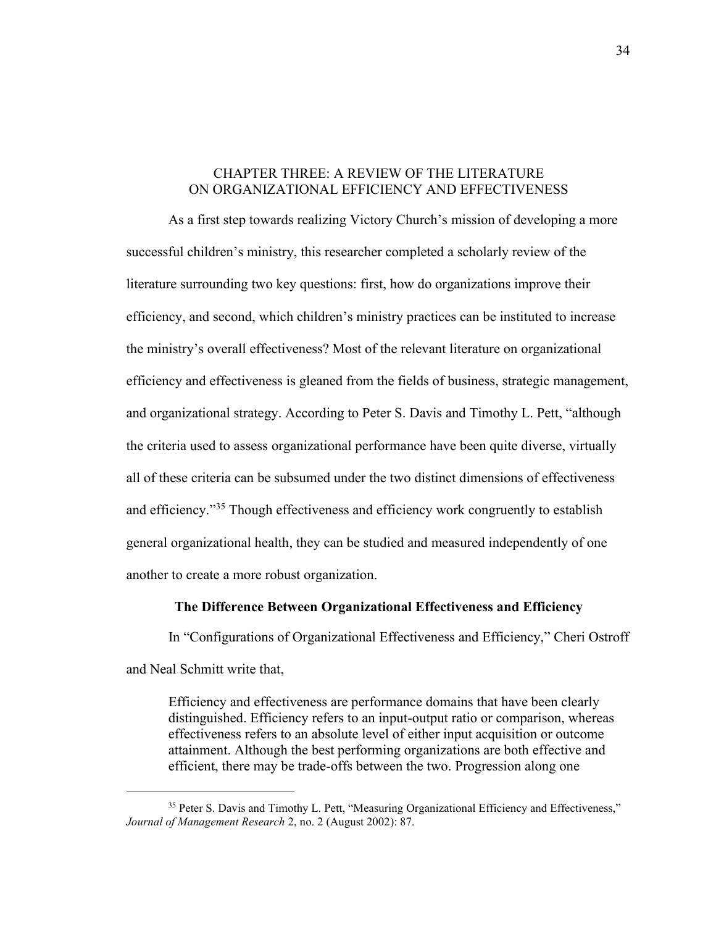#### <span id="page-34-0"></span>CHAPTER THREE: A REVIEW OF THE LITERATURE ON ORGANIZATIONAL EFFICIENCY AND EFFECTIVENESS

As a first step towards realizing Victory Church's mission of developing a more successful children's ministry, this researcher completed a scholarly review of the literature surrounding two key questions: first, how do organizations improve their efficiency, and second, which children's ministry practices can be instituted to increase the ministry's overall effectiveness? Most of the relevant literature on organizational efficiency and effectiveness is gleaned from the fields of business, strategic management, and organizational strategy. According to Peter S. Davis and Timothy L. Pett, "although the criteria used to assess organizational performance have been quite diverse, virtually all of these criteria can be subsumed under the two distinct dimensions of effectiveness and efficiency."<sup>35</sup> Though effectiveness and efficiency work congruently to establish general organizational health, they can be studied and measured independently of one another to create a more robust organization.

#### **The Difference Between Organizational Effectiveness and Efficiency**

<span id="page-34-1"></span>In "Configurations of Organizational Effectiveness and Efficiency," Cheri Ostroff and Neal Schmitt write that,

Efficiency and effectiveness are performance domains that have been clearly distinguished. Efficiency refers to an input-output ratio or comparison, whereas effectiveness refers to an absolute level of either input acquisition or outcome attainment. Although the best performing organizations are both effective and efficient, there may be trade-offs between the two. Progression along one

<sup>&</sup>lt;sup>35</sup> Peter S. Davis and Timothy L. Pett, "Measuring Organizational Efficiency and Effectiveness," *Journal of Management Research* 2, no. 2 (August 2002): 87.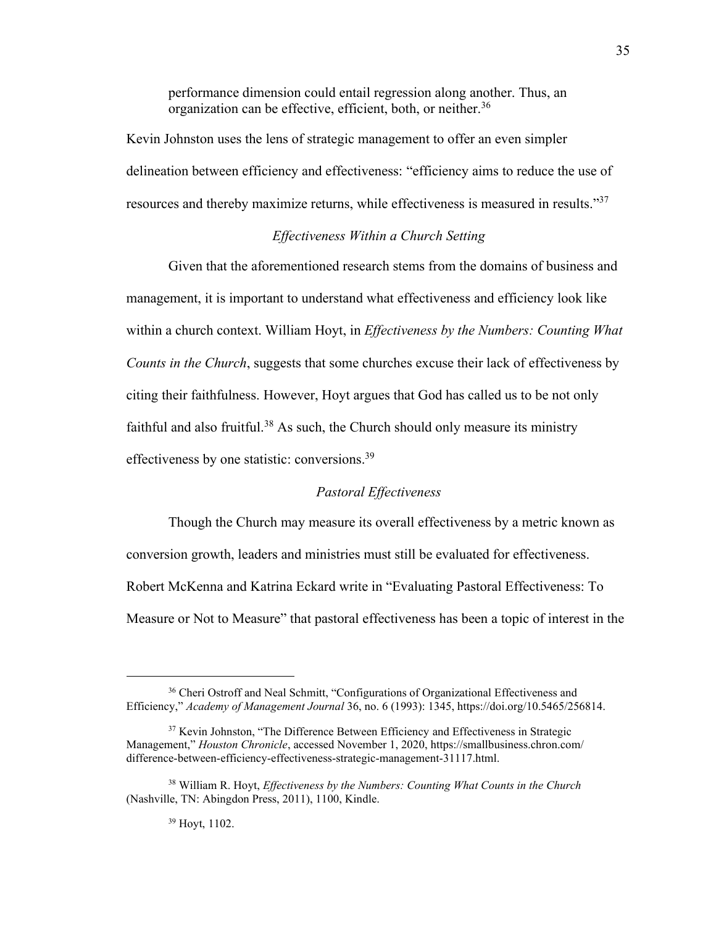performance dimension could entail regression along another. Thus, an organization can be effective, efficient, both, or neither.<sup>36</sup>

Kevin Johnston uses the lens of strategic management to offer an even simpler delineation between efficiency and effectiveness: "efficiency aims to reduce the use of resources and thereby maximize returns, while effectiveness is measured in results."<sup>37</sup>

#### *Effectiveness Within a Church Setting*

<span id="page-35-0"></span>Given that the aforementioned research stems from the domains of business and management, it is important to understand what effectiveness and efficiency look like within a church context. William Hoyt, in *Effectiveness by the Numbers: Counting What Counts in the Church*, suggests that some churches excuse their lack of effectiveness by citing their faithfulness. However, Hoyt argues that God has called us to be not only faithful and also fruitful.<sup>38</sup> As such, the Church should only measure its ministry effectiveness by one statistic: conversions.<sup>39</sup>

#### *Pastoral Effectiveness*

<span id="page-35-1"></span>Though the Church may measure its overall effectiveness by a metric known as conversion growth, leaders and ministries must still be evaluated for effectiveness. Robert McKenna and Katrina Eckard write in "Evaluating Pastoral Effectiveness: To Measure or Not to Measure" that pastoral effectiveness has been a topic of interest in the

#### <sup>39</sup> Hoyt, 1102.

<sup>&</sup>lt;sup>36</sup> Cheri Ostroff and Neal Schmitt, "Configurations of Organizational Effectiveness and Efficiency," *Academy of Management Journal* 36, no. 6 (1993): 1345, https://doi.org/10.5465/256814.

<sup>&</sup>lt;sup>37</sup> Kevin Johnston, "The Difference Between Efficiency and Effectiveness in Strategic Management," *Houston Chronicle*, accessed November 1, 2020, https://smallbusiness.chron.com/ difference-between-efficiency-effectiveness-strategic-management-31117.html.

<sup>38</sup> William R. Hoyt, *Effectiveness by the Numbers: Counting What Counts in the Church* (Nashville, TN: Abingdon Press, 2011), 1100, Kindle.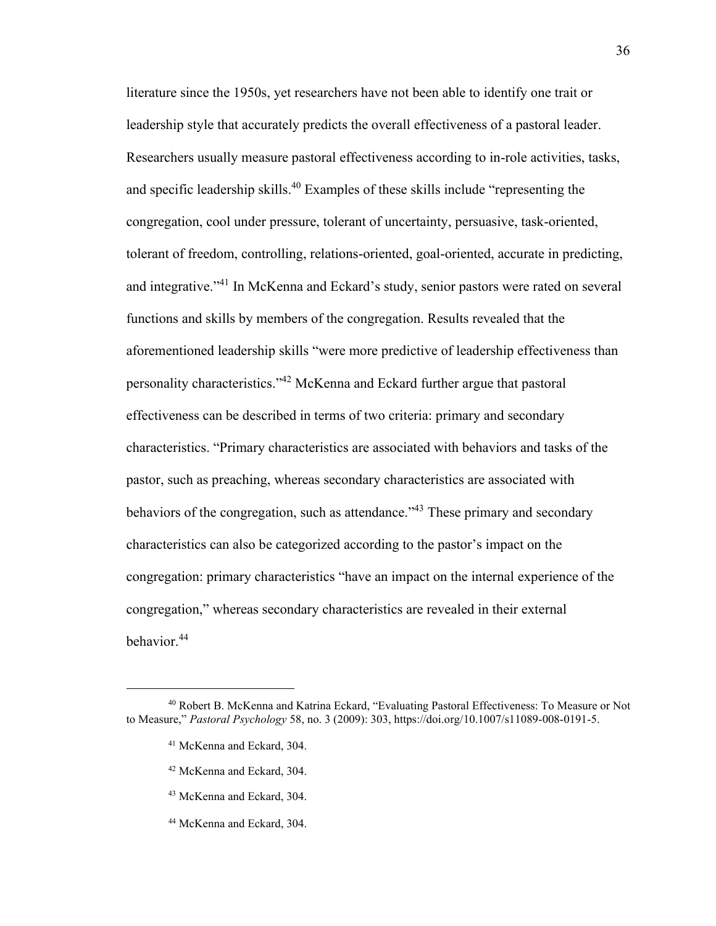literature since the 1950s, yet researchers have not been able to identify one trait or leadership style that accurately predicts the overall effectiveness of a pastoral leader. Researchers usually measure pastoral effectiveness according to in-role activities, tasks, and specific leadership skills.<sup>40</sup> Examples of these skills include "representing the congregation, cool under pressure, tolerant of uncertainty, persuasive, task-oriented, tolerant of freedom, controlling, relations-oriented, goal-oriented, accurate in predicting, and integrative."<sup>41</sup> In McKenna and Eckard's study, senior pastors were rated on several functions and skills by members of the congregation. Results revealed that the aforementioned leadership skills "were more predictive of leadership effectiveness than personality characteristics."<sup>42</sup> McKenna and Eckard further argue that pastoral effectiveness can be described in terms of two criteria: primary and secondary characteristics. "Primary characteristics are associated with behaviors and tasks of the pastor, such as preaching, whereas secondary characteristics are associated with behaviors of the congregation, such as attendance."<sup>43</sup> These primary and secondary characteristics can also be categorized according to the pastor's impact on the congregation: primary characteristics "have an impact on the internal experience of the congregation," whereas secondary characteristics are revealed in their external behavior.<sup>44</sup>

- <sup>43</sup> McKenna and Eckard, 304.
- <sup>44</sup> McKenna and Eckard, 304.

<sup>40</sup> Robert B. McKenna and Katrina Eckard, "Evaluating Pastoral Effectiveness: To Measure or Not to Measure," *Pastoral Psychology* 58, no. 3 (2009): 303, https://doi.org/10.1007/s11089-008-0191-5.

<sup>41</sup> McKenna and Eckard, 304.

<sup>42</sup> McKenna and Eckard, 304.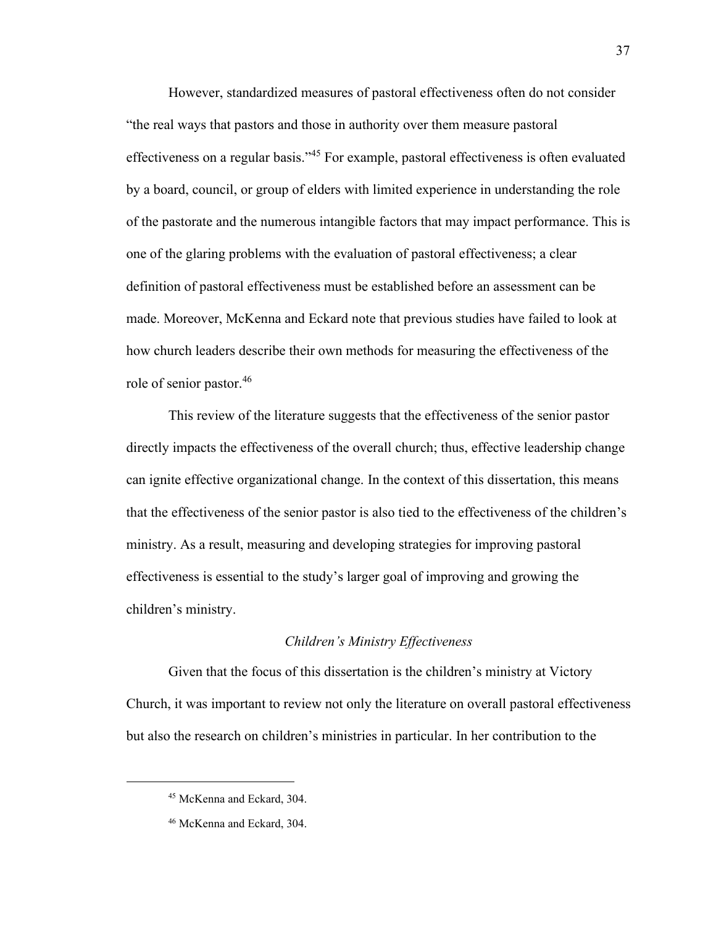However, standardized measures of pastoral effectiveness often do not consider "the real ways that pastors and those in authority over them measure pastoral effectiveness on a regular basis." <sup>45</sup> For example, pastoral effectiveness is often evaluated by a board, council, or group of elders with limited experience in understanding the role of the pastorate and the numerous intangible factors that may impact performance. This is one of the glaring problems with the evaluation of pastoral effectiveness; a clear definition of pastoral effectiveness must be established before an assessment can be made. Moreover, McKenna and Eckard note that previous studies have failed to look at how church leaders describe their own methods for measuring the effectiveness of the role of senior pastor.<sup>46</sup>

This review of the literature suggests that the effectiveness of the senior pastor directly impacts the effectiveness of the overall church; thus, effective leadership change can ignite effective organizational change. In the context of this dissertation, this means that the effectiveness of the senior pastor is also tied to the effectiveness of the children's ministry. As a result, measuring and developing strategies for improving pastoral effectiveness is essential to the study's larger goal of improving and growing the children's ministry.

#### *Children's Ministry Effectiveness*

Given that the focus of this dissertation is the children's ministry at Victory Church, it was important to review not only the literature on overall pastoral effectiveness but also the research on children's ministries in particular. In her contribution to the

<sup>45</sup> McKenna and Eckard, 304.

<sup>46</sup> McKenna and Eckard, 304.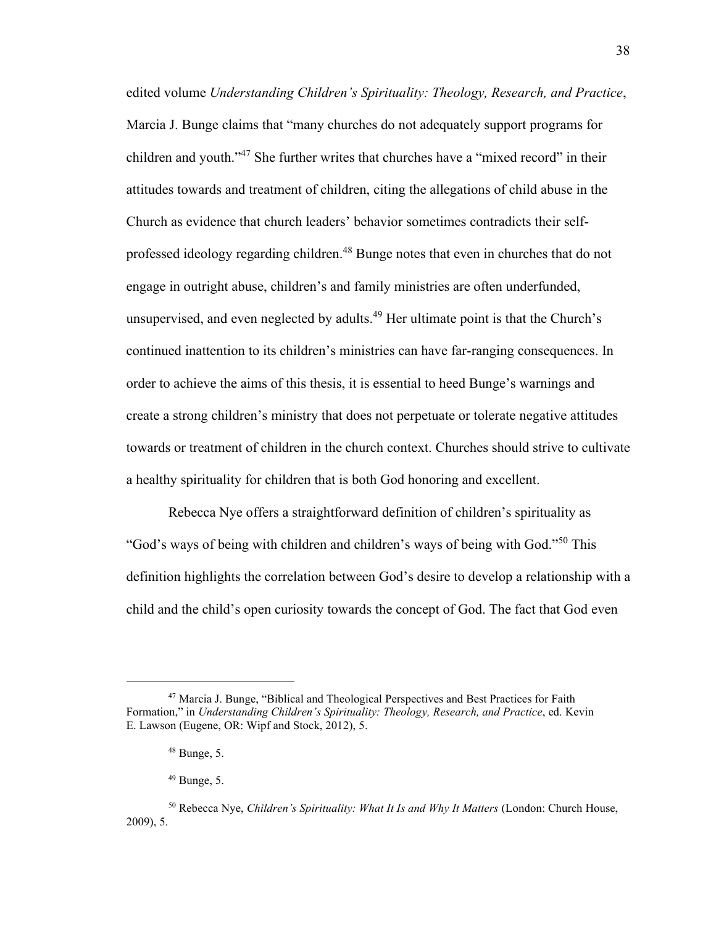edited volume *Understanding Children's Spirituality: Theology, Research, and Practice*, Marcia J. Bunge claims that "many churches do not adequately support programs for children and youth."<sup>47</sup> She further writes that churches have a "mixed record" in their attitudes towards and treatment of children, citing the allegations of child abuse in the Church as evidence that church leaders' behavior sometimes contradicts their selfprofessed ideology regarding children.<sup>48</sup> Bunge notes that even in churches that do not engage in outright abuse, children's and family ministries are often underfunded, unsupervised, and even neglected by adults.<sup>49</sup> Her ultimate point is that the Church's continued inattention to its children's ministries can have far-ranging consequences. In order to achieve the aims of this thesis, it is essential to heed Bunge's warnings and create a strong children's ministry that does not perpetuate or tolerate negative attitudes towards or treatment of children in the church context. Churches should strive to cultivate a healthy spirituality for children that is both God honoring and excellent.

Rebecca Nye offers a straightforward definition of children's spirituality as "God's ways of being with children and children's ways of being with God."<sup>50</sup> This definition highlights the correlation between God's desire to develop a relationship with a child and the child's open curiosity towards the concept of God. The fact that God even

 $47$  Marcia J. Bunge, "Biblical and Theological Perspectives and Best Practices for Faith Formation," in *Understanding Children's Spirituality: Theology, Research, and Practice*, ed. Kevin E. Lawson (Eugene, OR: Wipf and Stock, 2012), 5.

 $48$  Bunge, 5.

 $49$  Bunge, 5.

<sup>50</sup> Rebecca Nye, *Children's Spirituality: What It Is and Why It Matters* (London: Church House, 2009), 5.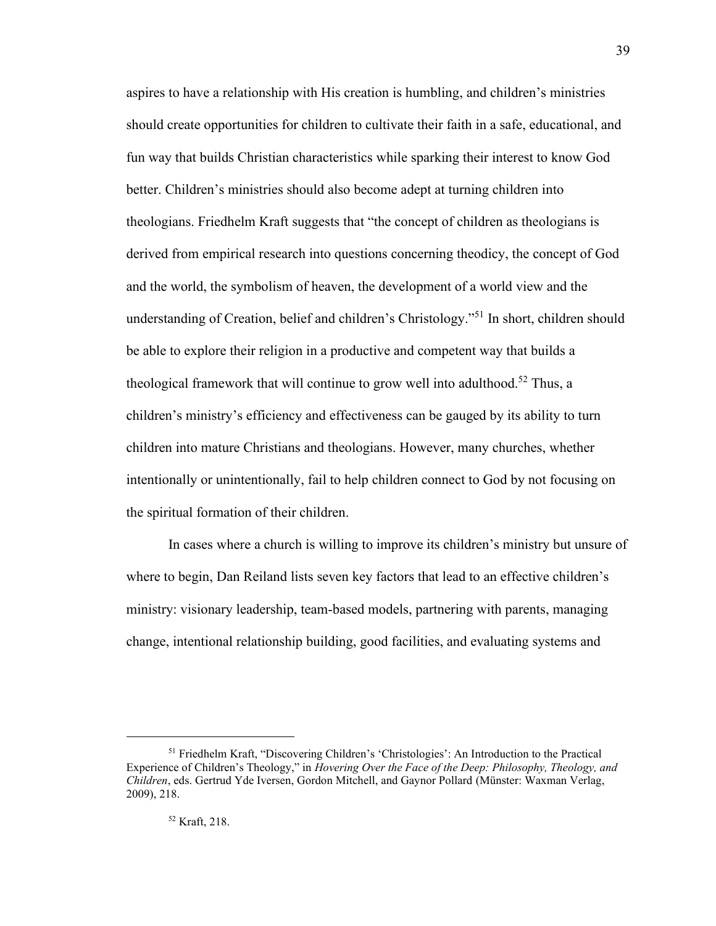aspires to have a relationship with His creation is humbling, and children's ministries should create opportunities for children to cultivate their faith in a safe, educational, and fun way that builds Christian characteristics while sparking their interest to know God better. Children's ministries should also become adept at turning children into theologians. Friedhelm Kraft suggests that "the concept of children as theologians is derived from empirical research into questions concerning theodicy, the concept of God and the world, the symbolism of heaven, the development of a world view and the understanding of Creation, belief and children's Christology."<sup>51</sup> In short, children should be able to explore their religion in a productive and competent way that builds a theological framework that will continue to grow well into adulthood.<sup>52</sup> Thus, a children's ministry's efficiency and effectiveness can be gauged by its ability to turn children into mature Christians and theologians. However, many churches, whether intentionally or unintentionally, fail to help children connect to God by not focusing on the spiritual formation of their children.

In cases where a church is willing to improve its children's ministry but unsure of where to begin, Dan Reiland lists seven key factors that lead to an effective children's ministry: visionary leadership, team-based models, partnering with parents, managing change, intentional relationship building, good facilities, and evaluating systems and

<sup>51</sup> Friedhelm Kraft, "Discovering Children's 'Christologies': An Introduction to the Practical Experience of Children's Theology," in *Hovering Over the Face of the Deep: Philosophy, Theology, and Children*, eds. Gertrud Yde Iversen, Gordon Mitchell, and Gaynor Pollard (Münster: Waxman Verlag, 2009), 218.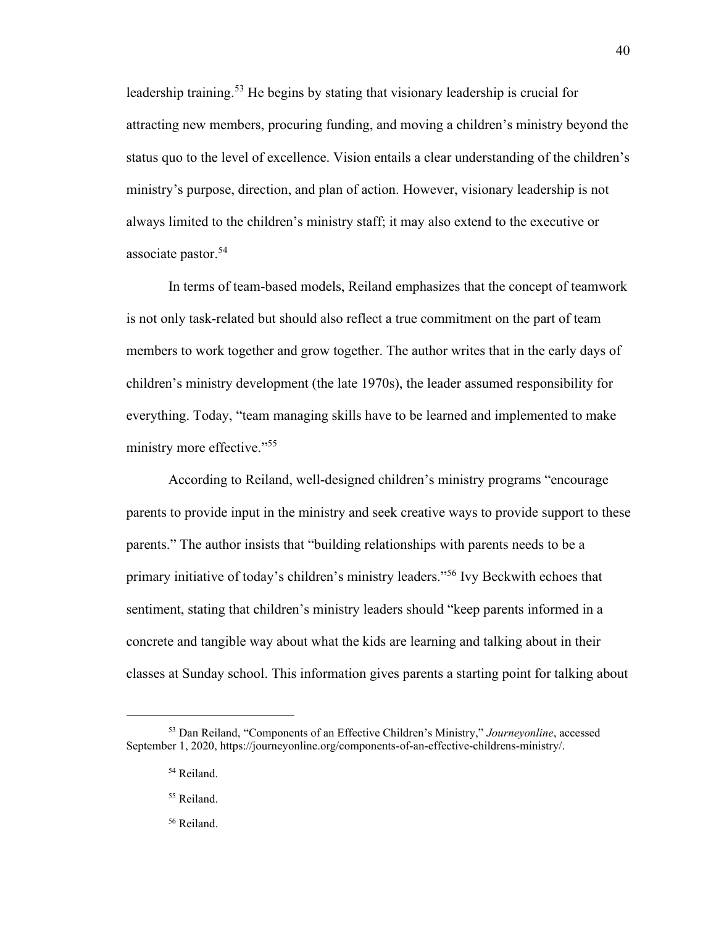leadership training.<sup>53</sup> He begins by stating that visionary leadership is crucial for attracting new members, procuring funding, and moving a children's ministry beyond the status quo to the level of excellence. Vision entails a clear understanding of the children's ministry's purpose, direction, and plan of action. However, visionary leadership is not always limited to the children's ministry staff; it may also extend to the executive or associate pastor. 54

In terms of team-based models, Reiland emphasizes that the concept of teamwork is not only task-related but should also reflect a true commitment on the part of team members to work together and grow together. The author writes that in the early days of children's ministry development (the late 1970s), the leader assumed responsibility for everything. Today, "team managing skills have to be learned and implemented to make ministry more effective."<sup>55</sup>

According to Reiland, well-designed children's ministry programs "encourage parents to provide input in the ministry and seek creative ways to provide support to these parents." The author insists that "building relationships with parents needs to be a primary initiative of today's children's ministry leaders." <sup>56</sup> Ivy Beckwith echoes that sentiment, stating that children's ministry leaders should "keep parents informed in a concrete and tangible way about what the kids are learning and talking about in their classes at Sunday school. This information gives parents a starting point for talking about

- <sup>55</sup> Reiland.
- <sup>56</sup> Reiland.

<sup>53</sup> Dan Reiland, "Components of an Effective Children's Ministry," *Journeyonline*, accessed September 1, 2020, https://journeyonline.org/components-of-an-effective-childrens-ministry/.

<sup>54</sup> Reiland.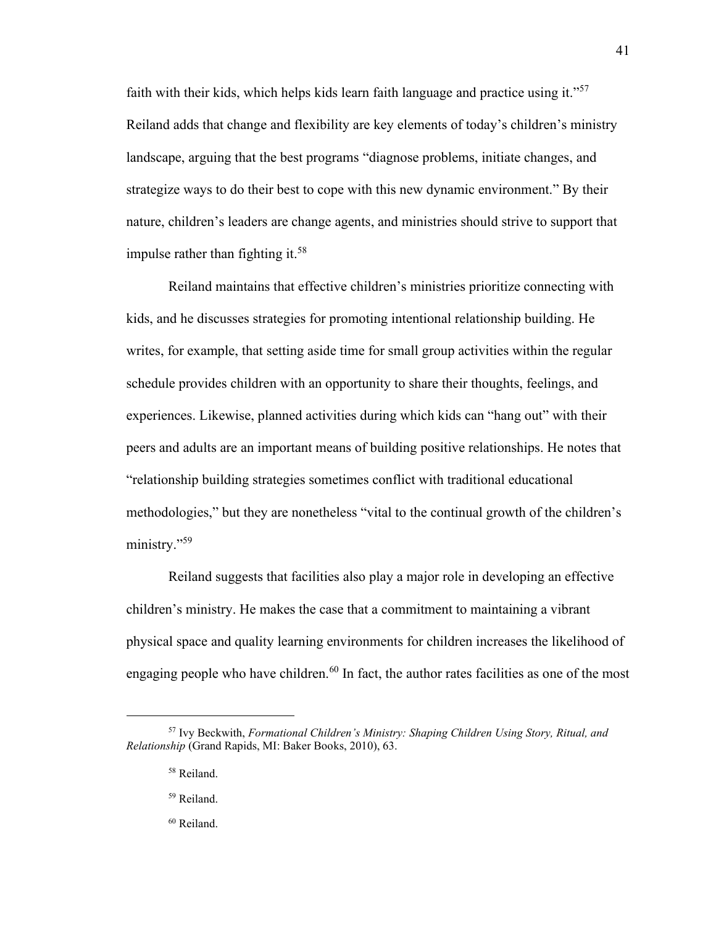faith with their kids, which helps kids learn faith language and practice using it."<sup>57</sup> Reiland adds that change and flexibility are key elements of today's children's ministry landscape, arguing that the best programs "diagnose problems, initiate changes, and strategize ways to do their best to cope with this new dynamic environment." By their nature, children's leaders are change agents, and ministries should strive to support that impulse rather than fighting it.<sup>58</sup>

Reiland maintains that effective children's ministries prioritize connecting with kids, and he discusses strategies for promoting intentional relationship building. He writes, for example, that setting aside time for small group activities within the regular schedule provides children with an opportunity to share their thoughts, feelings, and experiences. Likewise, planned activities during which kids can "hang out" with their peers and adults are an important means of building positive relationships. He notes that "relationship building strategies sometimes conflict with traditional educational methodologies," but they are nonetheless "vital to the continual growth of the children's ministry." 59

Reiland suggests that facilities also play a major role in developing an effective children's ministry. He makes the case that a commitment to maintaining a vibrant physical space and quality learning environments for children increases the likelihood of engaging people who have children.<sup>60</sup> In fact, the author rates facilities as one of the most

- <sup>59</sup> Reiland.
- <sup>60</sup> Reiland.

<sup>57</sup> Ivy Beckwith, *Formational Children's Ministry: Shaping Children Using Story, Ritual, and Relationship* (Grand Rapids, MI: Baker Books, 2010), 63.

<sup>58</sup> Reiland.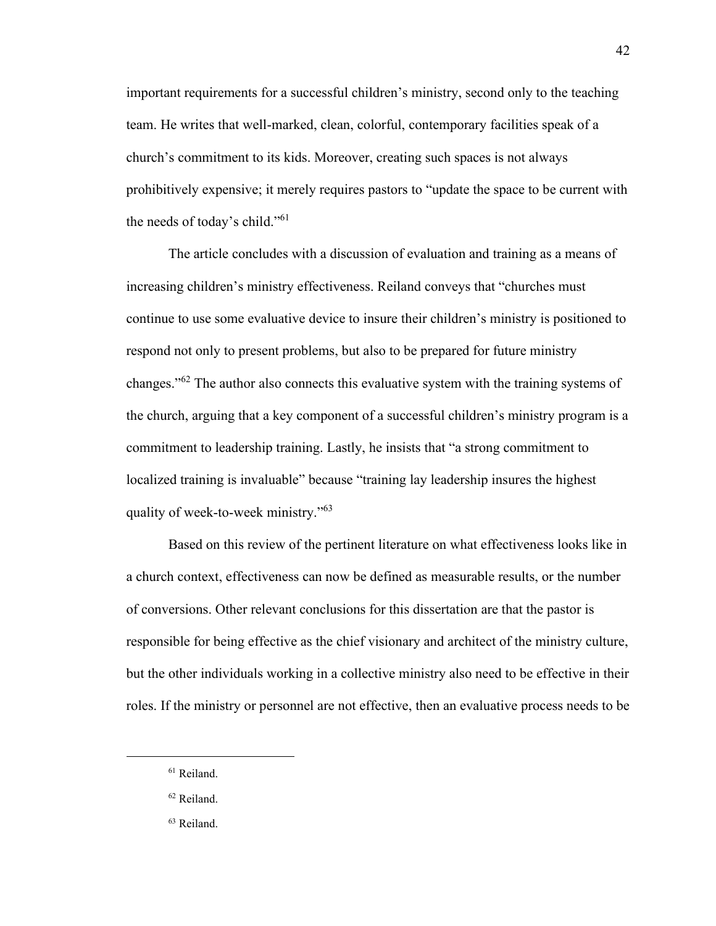important requirements for a successful children's ministry, second only to the teaching team. He writes that well-marked, clean, colorful, contemporary facilities speak of a church's commitment to its kids. Moreover, creating such spaces is not always prohibitively expensive; it merely requires pastors to "update the space to be current with the needs of today's child."<sup>61</sup>

The article concludes with a discussion of evaluation and training as a means of increasing children's ministry effectiveness. Reiland conveys that "churches must continue to use some evaluative device to insure their children's ministry is positioned to respond not only to present problems, but also to be prepared for future ministry changes."<sup>62</sup> The author also connects this evaluative system with the training systems of the church, arguing that a key component of a successful children's ministry program is a commitment to leadership training. Lastly, he insists that "a strong commitment to localized training is invaluable" because "training lay leadership insures the highest quality of week-to-week ministry."<sup>63</sup>

Based on this review of the pertinent literature on what effectiveness looks like in a church context, effectiveness can now be defined as measurable results, or the number of conversions. Other relevant conclusions for this dissertation are that the pastor is responsible for being effective as the chief visionary and architect of the ministry culture, but the other individuals working in a collective ministry also need to be effective in their roles. If the ministry or personnel are not effective, then an evaluative process needs to be

<sup>61</sup> Reiland.

<sup>62</sup> Reiland.

<sup>63</sup> Reiland.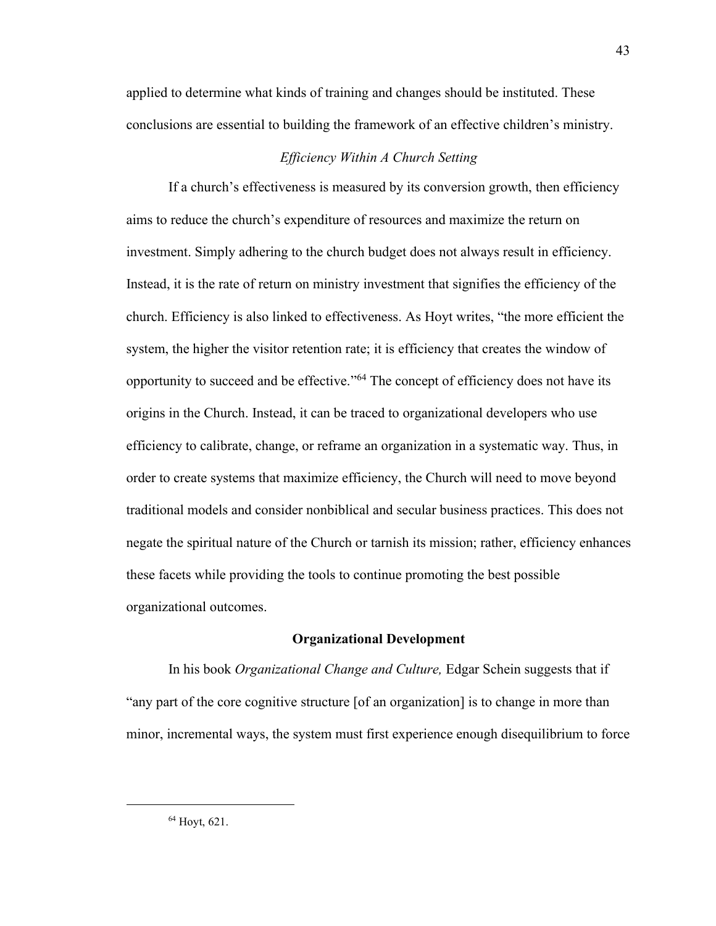applied to determine what kinds of training and changes should be instituted. These conclusions are essential to building the framework of an effective children's ministry.

## *Efficiency Within A Church Setting*

If a church's effectiveness is measured by its conversion growth, then efficiency aims to reduce the church's expenditure of resources and maximize the return on investment. Simply adhering to the church budget does not always result in efficiency. Instead, it is the rate of return on ministry investment that signifies the efficiency of the church. Efficiency is also linked to effectiveness. As Hoyt writes, "the more efficient the system, the higher the visitor retention rate; it is efficiency that creates the window of opportunity to succeed and be effective."<sup>64</sup> The concept of efficiency does not have its origins in the Church. Instead, it can be traced to organizational developers who use efficiency to calibrate, change, or reframe an organization in a systematic way. Thus, in order to create systems that maximize efficiency, the Church will need to move beyond traditional models and consider nonbiblical and secular business practices. This does not negate the spiritual nature of the Church or tarnish its mission; rather, efficiency enhances these facets while providing the tools to continue promoting the best possible organizational outcomes.

### **Organizational Development**

In his book *Organizational Change and Culture,* Edgar Schein suggests that if "any part of the core cognitive structure [of an organization] is to change in more than minor, incremental ways, the system must first experience enough disequilibrium to force

<sup>64</sup> Hoyt, 621.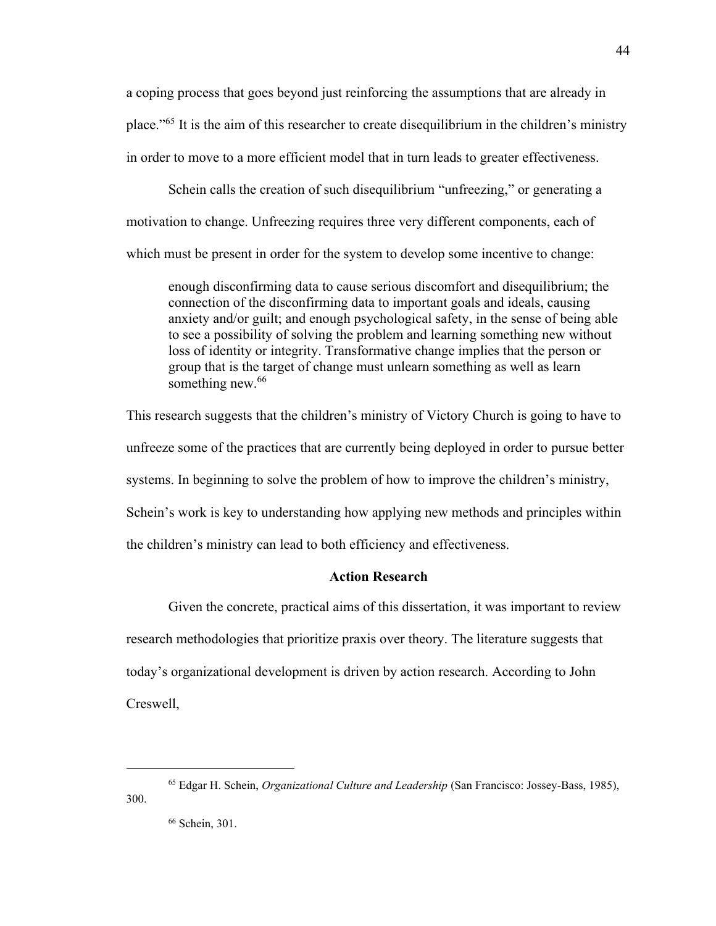a coping process that goes beyond just reinforcing the assumptions that are already in place." <sup>65</sup> It is the aim of this researcher to create disequilibrium in the children's ministry in order to move to a more efficient model that in turn leads to greater effectiveness.

Schein calls the creation of such disequilibrium "unfreezing," or generating a motivation to change. Unfreezing requires three very different components, each of which must be present in order for the system to develop some incentive to change:

enough disconfirming data to cause serious discomfort and disequilibrium; the connection of the disconfirming data to important goals and ideals, causing anxiety and/or guilt; and enough psychological safety, in the sense of being able to see a possibility of solving the problem and learning something new without loss of identity or integrity. Transformative change implies that the person or group that is the target of change must unlearn something as well as learn something new.<sup>66</sup>

This research suggests that the children's ministry of Victory Church is going to have to unfreeze some of the practices that are currently being deployed in order to pursue better systems. In beginning to solve the problem of how to improve the children's ministry, Schein's work is key to understanding how applying new methods and principles within the children's ministry can lead to both efficiency and effectiveness.

## **Action Research**

Given the concrete, practical aims of this dissertation, it was important to review research methodologies that prioritize praxis over theory. The literature suggests that today's organizational development is driven by action research. According to John Creswell,

<sup>65</sup> Edgar H. Schein, *Organizational Culture and Leadership* (San Francisco: Jossey-Bass, 1985), 300.

<sup>66</sup> Schein, 301.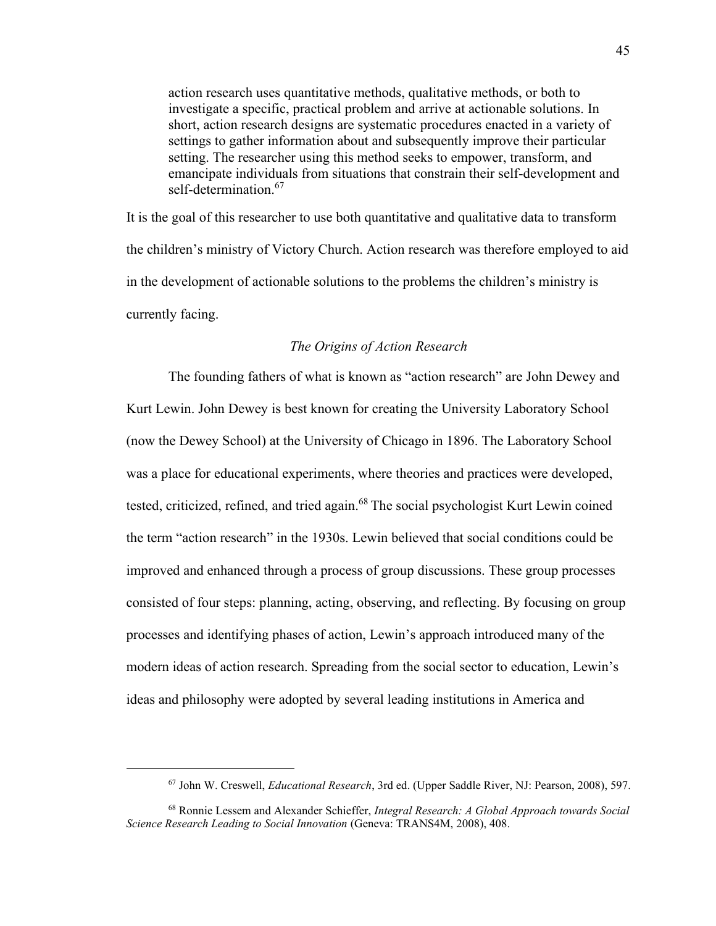action research uses quantitative methods, qualitative methods, or both to investigate a specific, practical problem and arrive at actionable solutions. In short, action research designs are systematic procedures enacted in a variety of settings to gather information about and subsequently improve their particular setting. The researcher using this method seeks to empower, transform, and emancipate individuals from situations that constrain their self-development and self-determination.<sup>67</sup>

It is the goal of this researcher to use both quantitative and qualitative data to transform the children's ministry of Victory Church. Action research was therefore employed to aid in the development of actionable solutions to the problems the children's ministry is currently facing.

## *The Origins of Action Research*

The founding fathers of what is known as "action research" are John Dewey and Kurt Lewin. John Dewey is best known for creating the University Laboratory School (now the Dewey School) at the University of Chicago in 1896. The Laboratory School was a place for educational experiments, where theories and practices were developed, tested, criticized, refined, and tried again.<sup>68</sup> The social psychologist Kurt Lewin coined the term "action research" in the 1930s. Lewin believed that social conditions could be improved and enhanced through a process of group discussions. These group processes consisted of four steps: planning, acting, observing, and reflecting. By focusing on group processes and identifying phases of action, Lewin's approach introduced many of the modern ideas of action research. Spreading from the social sector to education, Lewin's ideas and philosophy were adopted by several leading institutions in America and

<sup>67</sup> John W. Creswell, *Educational Research*, 3rd ed. (Upper Saddle River, NJ: Pearson, 2008), 597.

<sup>68</sup> Ronnie Lessem and Alexander Schieffer, *Integral Research: A Global Approach towards Social Science Research Leading to Social Innovation* (Geneva: TRANS4M, 2008), 408.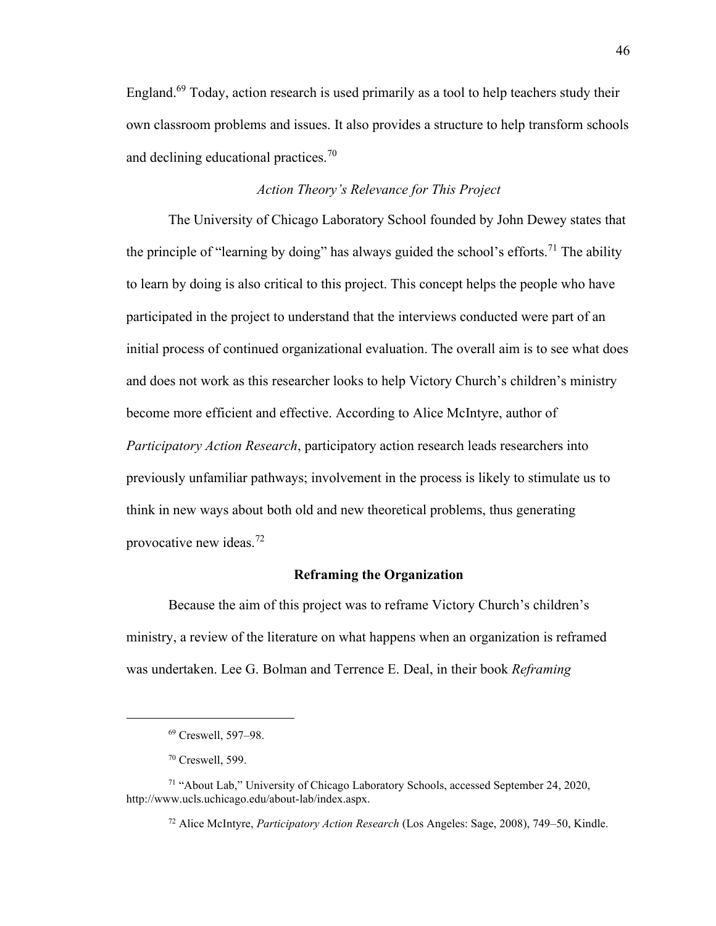England.<sup>69</sup> Today, action research is used primarily as a tool to help teachers study their own classroom problems and issues. It also provides a structure to help transform schools and declining educational practices.<sup>70</sup>

## *Action Theory's Relevance for This Project*

The University of Chicago Laboratory School founded by John Dewey states that the principle of "learning by doing" has always guided the school's efforts.<sup>71</sup> The ability to learn by doing is also critical to this project. This concept helps the people who have participated in the project to understand that the interviews conducted were part of an initial process of continued organizational evaluation. The overall aim is to see what does and does not work as this researcher looks to help Victory Church's children's ministry become more efficient and effective. According to Alice McIntyre, author of *Participatory Action Research*, participatory action research leads researchers into previously unfamiliar pathways; involvement in the process is likely to stimulate us to think in new ways about both old and new theoretical problems, thus generating provocative new ideas. $72$ 

## **Reframing the Organization**

Because the aim of this project was to reframe Victory Church's children's ministry, a review of the literature on what happens when an organization is reframed was undertaken. Lee G. Bolman and Terrence E. Deal, in their book *Reframing* 

<sup>69</sup> Creswell, 597–98.

<sup>70</sup> Creswell, 599.

<sup>71</sup> "About Lab," University of Chicago Laboratory Schools, accessed September 24, 2020, http://www.ucls.uchicago.edu/about-lab/index.aspx.

<sup>72</sup> Alice McIntyre, *Participatory Action Research* (Los Angeles: Sage, 2008), 749–50, Kindle.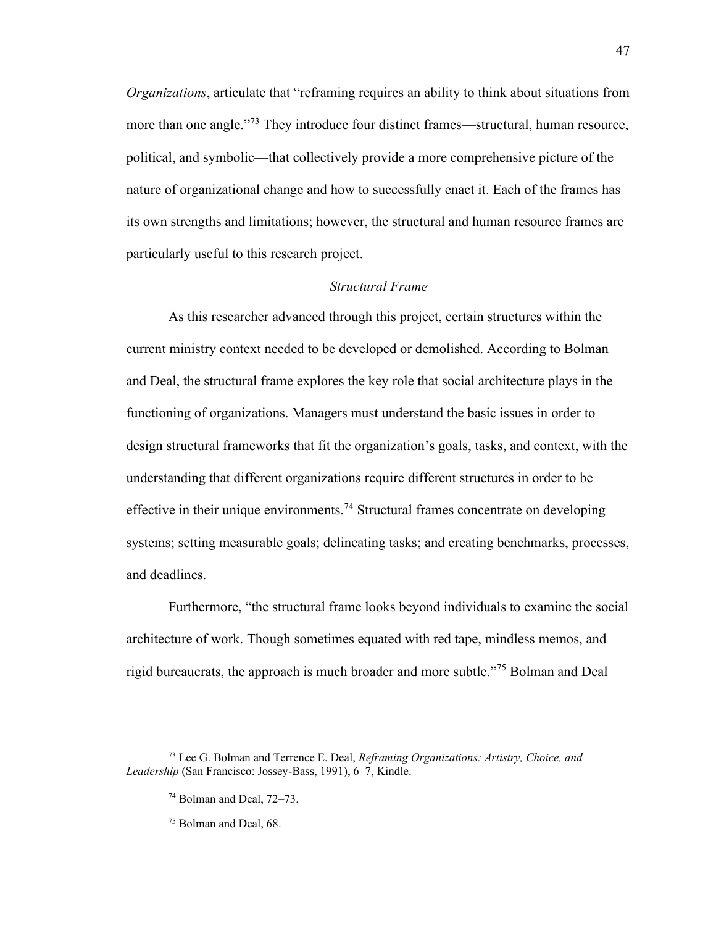*Organizations*, articulate that "reframing requires an ability to think about situations from more than one angle."<sup>73</sup> They introduce four distinct frames—structural, human resource, political, and symbolic—that collectively provide a more comprehensive picture of the nature of organizational change and how to successfully enact it. Each of the frames has its own strengths and limitations; however, the structural and human resource frames are particularly useful to this research project.

## *Structural Frame*

As this researcher advanced through this project, certain structures within the current ministry context needed to be developed or demolished. According to Bolman and Deal, the structural frame explores the key role that social architecture plays in the functioning of organizations. Managers must understand the basic issues in order to design structural frameworks that fit the organization's goals, tasks, and context, with the understanding that different organizations require different structures in order to be effective in their unique environments.<sup>74</sup> Structural frames concentrate on developing systems; setting measurable goals; delineating tasks; and creating benchmarks, processes, and deadlines.

Furthermore, "the structural frame looks beyond individuals to examine the social architecture of work. Though sometimes equated with red tape, mindless memos, and rigid bureaucrats, the approach is much broader and more subtle." <sup>75</sup> Bolman and Deal

<sup>73</sup> Lee G. Bolman and Terrence E. Deal, *Reframing Organizations: Artistry, Choice, and Leadership* (San Francisco: Jossey-Bass, 1991), 6–7, Kindle.

<sup>74</sup> Bolman and Deal, 72–73.

<sup>75</sup> Bolman and Deal, 68.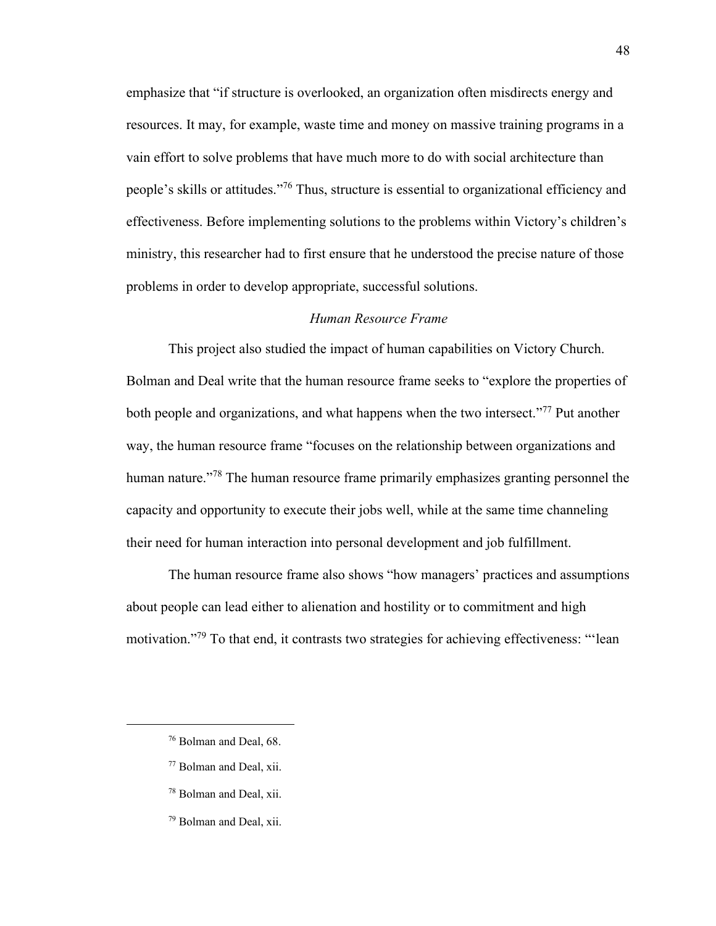emphasize that "if structure is overlooked, an organization often misdirects energy and resources. It may, for example, waste time and money on massive training programs in a vain effort to solve problems that have much more to do with social architecture than people's skills or attitudes."<sup>76</sup> Thus, structure is essential to organizational efficiency and effectiveness. Before implementing solutions to the problems within Victory's children's ministry, this researcher had to first ensure that he understood the precise nature of those problems in order to develop appropriate, successful solutions.

## *Human Resource Frame*

This project also studied the impact of human capabilities on Victory Church. Bolman and Deal write that the human resource frame seeks to "explore the properties of both people and organizations, and what happens when the two intersect."<sup>77</sup> Put another way, the human resource frame "focuses on the relationship between organizations and human nature."<sup>78</sup> The human resource frame primarily emphasizes granting personnel the capacity and opportunity to execute their jobs well, while at the same time channeling their need for human interaction into personal development and job fulfillment.

The human resource frame also shows "how managers' practices and assumptions about people can lead either to alienation and hostility or to commitment and high motivation."<sup>79</sup> To that end, it contrasts two strategies for achieving effectiveness: "'lean

- <sup>77</sup> Bolman and Deal, xii.
- <sup>78</sup> Bolman and Deal, xii.
- <sup>79</sup> Bolman and Deal, xii.

<sup>76</sup> Bolman and Deal, 68.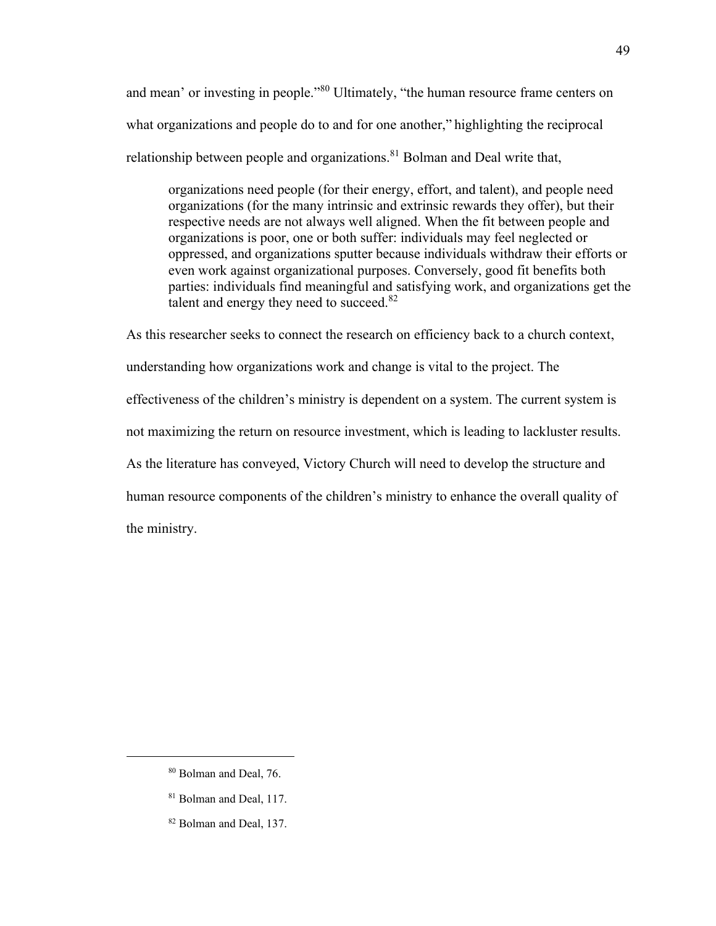and mean' or investing in people."<sup>80</sup> Ultimately, "the human resource frame centers on what organizations and people do to and for one another," highlighting the reciprocal relationship between people and organizations.<sup>81</sup> Bolman and Deal write that,

organizations need people (for their energy, effort, and talent), and people need organizations (for the many intrinsic and extrinsic rewards they offer), but their respective needs are not always well aligned. When the fit between people and organizations is poor, one or both suffer: individuals may feel neglected or oppressed, and organizations sputter because individuals withdraw their efforts or even work against organizational purposes. Conversely, good fit benefits both parties: individuals find meaningful and satisfying work, and organizations get the talent and energy they need to succeed. $82$ 

As this researcher seeks to connect the research on efficiency back to a church context, understanding how organizations work and change is vital to the project. The effectiveness of the children's ministry is dependent on a system. The current system is not maximizing the return on resource investment, which is leading to lackluster results. As the literature has conveyed, Victory Church will need to develop the structure and human resource components of the children's ministry to enhance the overall quality of the ministry.

49

<sup>80</sup> Bolman and Deal, 76.

<sup>&</sup>lt;sup>81</sup> Bolman and Deal, 117.

<sup>82</sup> Bolman and Deal, 137.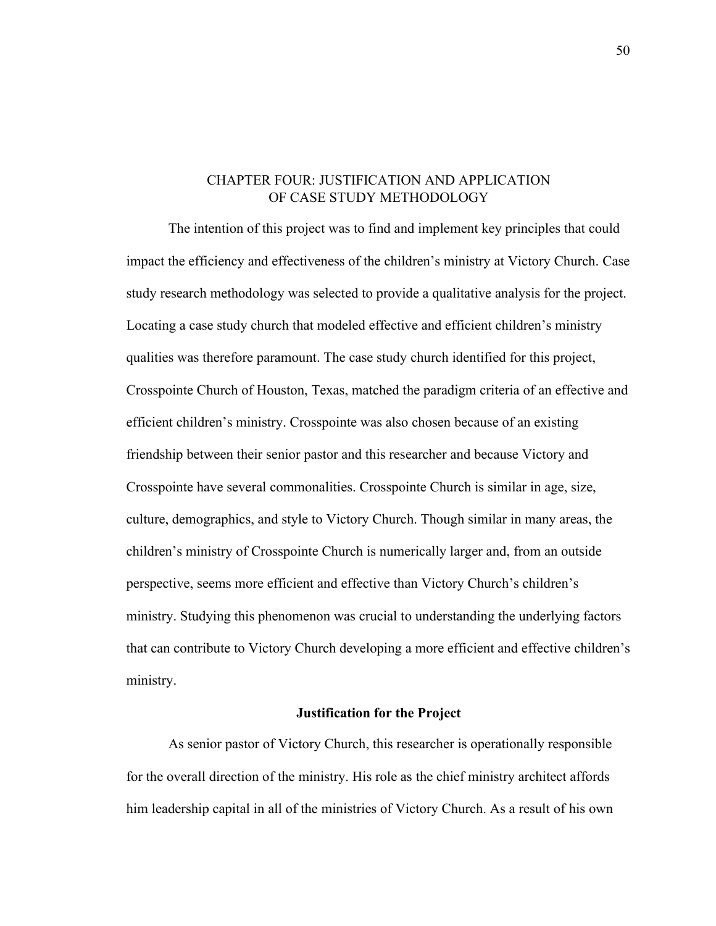## CHAPTER FOUR: JUSTIFICATION AND APPLICATION OF CASE STUDY METHODOLOGY

The intention of this project was to find and implement key principles that could impact the efficiency and effectiveness of the children's ministry at Victory Church. Case study research methodology was selected to provide a qualitative analysis for the project. Locating a case study church that modeled effective and efficient children's ministry qualities was therefore paramount. The case study church identified for this project, Crosspointe Church of Houston, Texas, matched the paradigm criteria of an effective and efficient children's ministry. Crosspointe was also chosen because of an existing friendship between their senior pastor and this researcher and because Victory and Crosspointe have several commonalities. Crosspointe Church is similar in age, size, culture, demographics, and style to Victory Church. Though similar in many areas, the children's ministry of Crosspointe Church is numerically larger and, from an outside perspective, seems more efficient and effective than Victory Church's children's ministry. Studying this phenomenon was crucial to understanding the underlying factors that can contribute to Victory Church developing a more efficient and effective children's ministry.

### **Justification for the Project**

As senior pastor of Victory Church, this researcher is operationally responsible for the overall direction of the ministry. His role as the chief ministry architect affords him leadership capital in all of the ministries of Victory Church. As a result of his own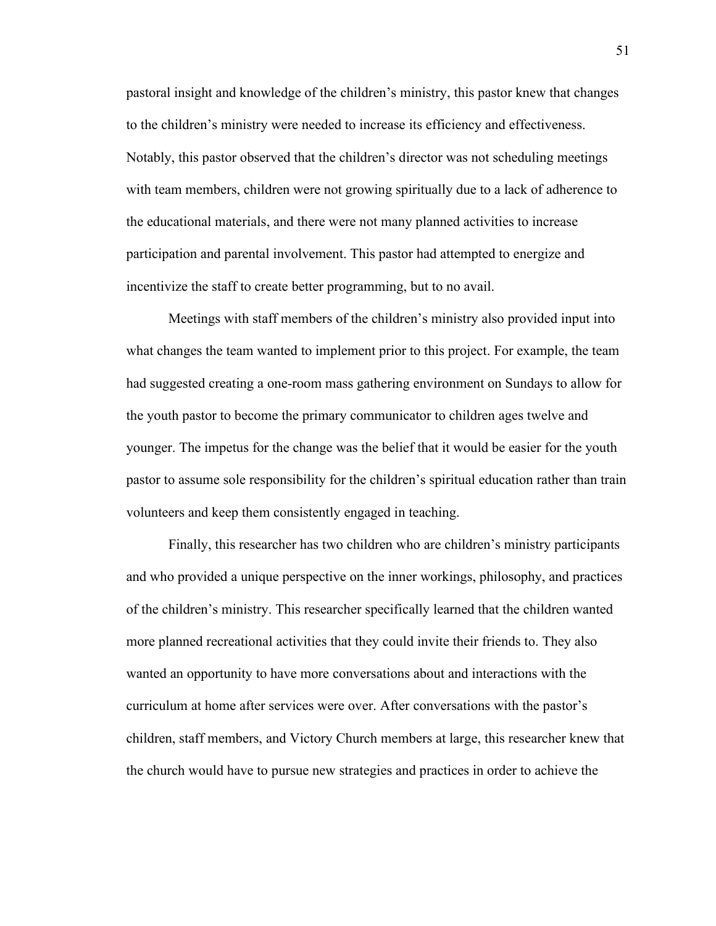pastoral insight and knowledge of the children's ministry, this pastor knew that changes to the children's ministry were needed to increase its efficiency and effectiveness. Notably, this pastor observed that the children's director was not scheduling meetings with team members, children were not growing spiritually due to a lack of adherence to the educational materials, and there were not many planned activities to increase participation and parental involvement. This pastor had attempted to energize and incentivize the staff to create better programming, but to no avail.

Meetings with staff members of the children's ministry also provided input into what changes the team wanted to implement prior to this project. For example, the team had suggested creating a one-room mass gathering environment on Sundays to allow for the youth pastor to become the primary communicator to children ages twelve and younger. The impetus for the change was the belief that it would be easier for the youth pastor to assume sole responsibility for the children's spiritual education rather than train volunteers and keep them consistently engaged in teaching.

Finally, this researcher has two children who are children's ministry participants and who provided a unique perspective on the inner workings, philosophy, and practices of the children's ministry. This researcher specifically learned that the children wanted more planned recreational activities that they could invite their friends to. They also wanted an opportunity to have more conversations about and interactions with the curriculum at home after services were over. After conversations with the pastor's children, staff members, and Victory Church members at large, this researcher knew that the church would have to pursue new strategies and practices in order to achieve the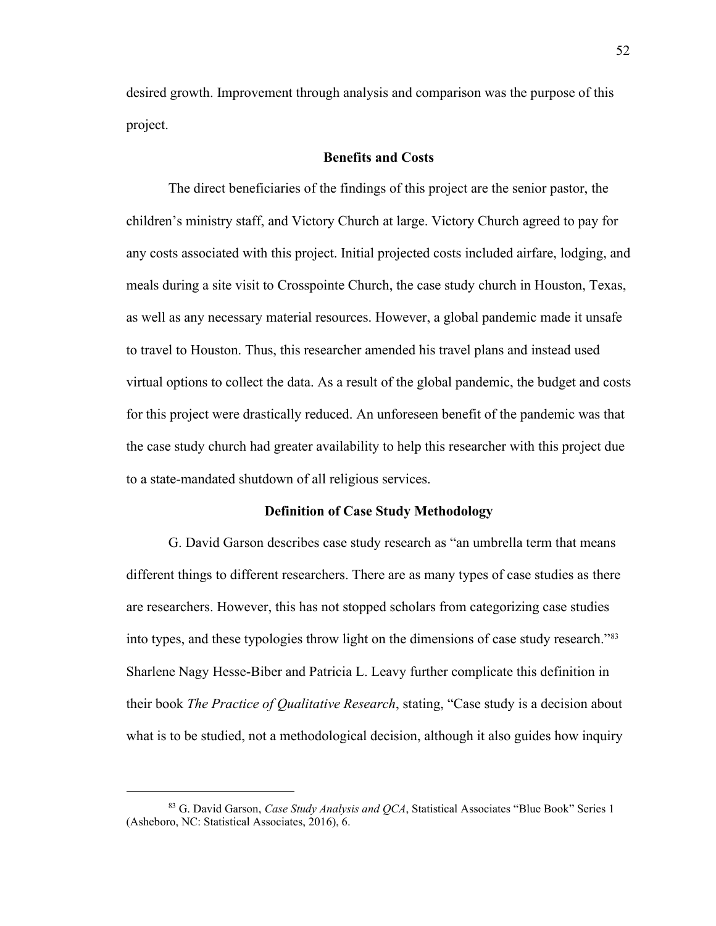desired growth. Improvement through analysis and comparison was the purpose of this project.

## **Benefits and Costs**

The direct beneficiaries of the findings of this project are the senior pastor, the children's ministry staff, and Victory Church at large. Victory Church agreed to pay for any costs associated with this project. Initial projected costs included airfare, lodging, and meals during a site visit to Crosspointe Church, the case study church in Houston, Texas, as well as any necessary material resources. However, a global pandemic made it unsafe to travel to Houston. Thus, this researcher amended his travel plans and instead used virtual options to collect the data. As a result of the global pandemic, the budget and costs for this project were drastically reduced. An unforeseen benefit of the pandemic was that the case study church had greater availability to help this researcher with this project due to a state-mandated shutdown of all religious services.

### **Definition of Case Study Methodology**

G. David Garson describes case study research as "an umbrella term that means different things to different researchers. There are as many types of case studies as there are researchers. However, this has not stopped scholars from categorizing case studies into types, and these typologies throw light on the dimensions of case study research.<sup>883</sup> Sharlene Nagy Hesse-Biber and Patricia L. Leavy further complicate this definition in their book *The Practice of Qualitative Research*, stating, "Case study is a decision about what is to be studied, not a methodological decision, although it also guides how inquiry

<sup>83</sup> G. David Garson, *Case Study Analysis and QCA*, Statistical Associates "Blue Book" Series 1 (Asheboro, NC: Statistical Associates, 2016), 6.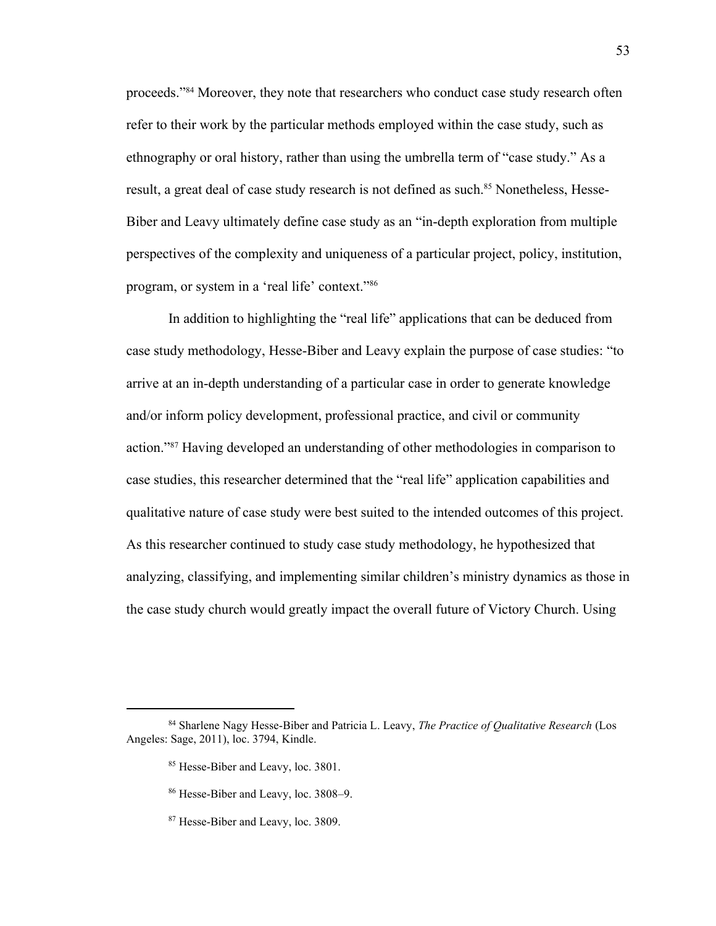proceeds."<sup>84</sup> Moreover, they note that researchers who conduct case study research often refer to their work by the particular methods employed within the case study, such as ethnography or oral history, rather than using the umbrella term of "case study." As a result, a great deal of case study research is not defined as such.<sup>85</sup> Nonetheless, Hesse-Biber and Leavy ultimately define case study as an "in-depth exploration from multiple perspectives of the complexity and uniqueness of a particular project, policy, institution, program, or system in a 'real life' context." 86

In addition to highlighting the "real life" applications that can be deduced from case study methodology, Hesse-Biber and Leavy explain the purpose of case studies: "to arrive at an in-depth understanding of a particular case in order to generate knowledge and/or inform policy development, professional practice, and civil or community action." <sup>87</sup> Having developed an understanding of other methodologies in comparison to case studies, this researcher determined that the "real life" application capabilities and qualitative nature of case study were best suited to the intended outcomes of this project. As this researcher continued to study case study methodology, he hypothesized that analyzing, classifying, and implementing similar children's ministry dynamics as those in the case study church would greatly impact the overall future of Victory Church. Using

<sup>84</sup> Sharlene Nagy Hesse-Biber and Patricia L. Leavy, *The Practice of Qualitative Research* (Los Angeles: Sage, 2011), loc. 3794, Kindle.

<sup>&</sup>lt;sup>85</sup> Hesse-Biber and Leavy, loc. 3801.

<sup>86</sup> Hesse-Biber and Leavy, loc. 3808–9.

<sup>&</sup>lt;sup>87</sup> Hesse-Biber and Leavy, loc. 3809.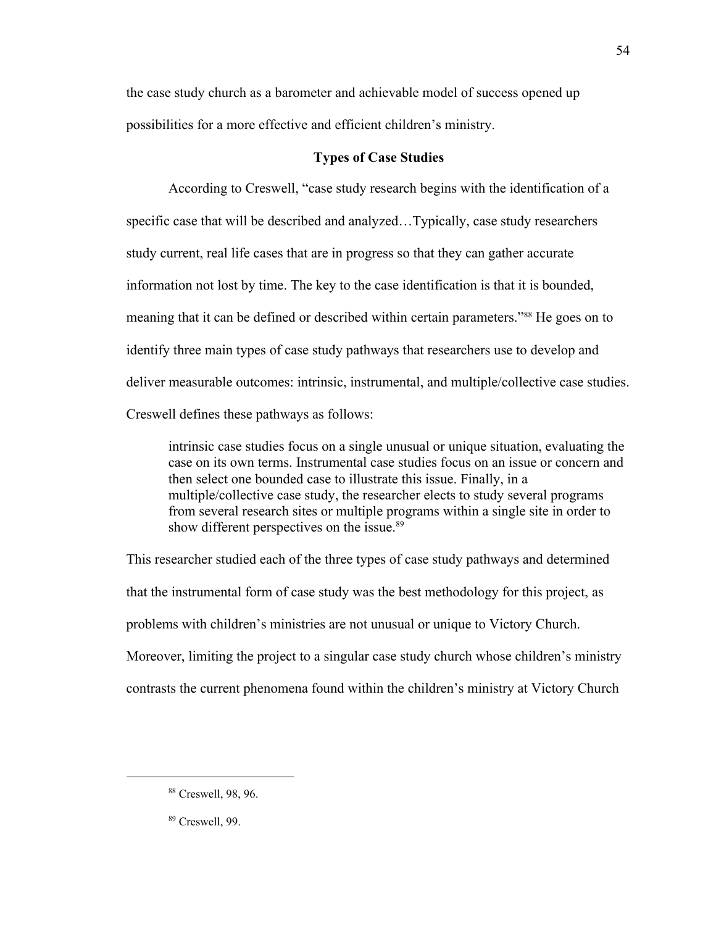the case study church as a barometer and achievable model of success opened up possibilities for a more effective and efficient children's ministry.

## **Types of Case Studies**

According to Creswell, "case study research begins with the identification of a specific case that will be described and analyzed…Typically, case study researchers study current, real life cases that are in progress so that they can gather accurate information not lost by time. The key to the case identification is that it is bounded, meaning that it can be defined or described within certain parameters."<sup>88</sup> He goes on to identify three main types of case study pathways that researchers use to develop and deliver measurable outcomes: intrinsic, instrumental, and multiple/collective case studies. Creswell defines these pathways as follows:

intrinsic case studies focus on a single unusual or unique situation, evaluating the case on its own terms. Instrumental case studies focus on an issue or concern and then select one bounded case to illustrate this issue. Finally, in a multiple/collective case study, the researcher elects to study several programs from several research sites or multiple programs within a single site in order to show different perspectives on the issue.<sup>89</sup>

This researcher studied each of the three types of case study pathways and determined that the instrumental form of case study was the best methodology for this project, as problems with children's ministries are not unusual or unique to Victory Church. Moreover, limiting the project to a singular case study church whose children's ministry contrasts the current phenomena found within the children's ministry at Victory Church

<sup>88</sup> Creswell, 98, 96.

<sup>89</sup> Creswell, 99.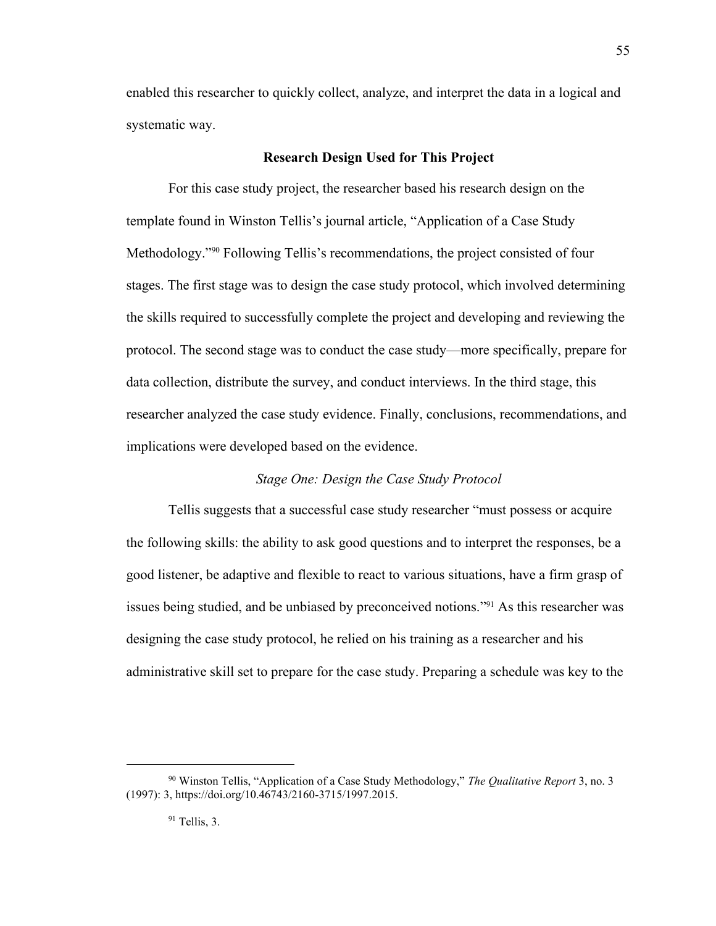enabled this researcher to quickly collect, analyze, and interpret the data in a logical and systematic way.

55

## **Research Design Used for This Project**

For this case study project, the researcher based his research design on the template found in Winston Tellis's journal article, "Application of a Case Study Methodology."<sup>90</sup> Following Tellis's recommendations, the project consisted of four stages. The first stage was to design the case study protocol, which involved determining the skills required to successfully complete the project and developing and reviewing the protocol. The second stage was to conduct the case study—more specifically, prepare for data collection, distribute the survey, and conduct interviews. In the third stage, this researcher analyzed the case study evidence. Finally, conclusions, recommendations, and implications were developed based on the evidence.

## *Stage One: Design the Case Study Protocol*

Tellis suggests that a successful case study researcher "must possess or acquire the following skills: the ability to ask good questions and to interpret the responses, be a good listener, be adaptive and flexible to react to various situations, have a firm grasp of issues being studied, and be unbiased by preconceived notions." <sup>91</sup> As this researcher was designing the case study protocol, he relied on his training as a researcher and his administrative skill set to prepare for the case study. Preparing a schedule was key to the

<sup>90</sup> Winston Tellis, "Application of a Case Study Methodology," *The Qualitative Report* 3, no. 3 (1997): 3, https://doi.org/10.46743/2160-3715/1997.2015.

 $91$  Tellis, 3.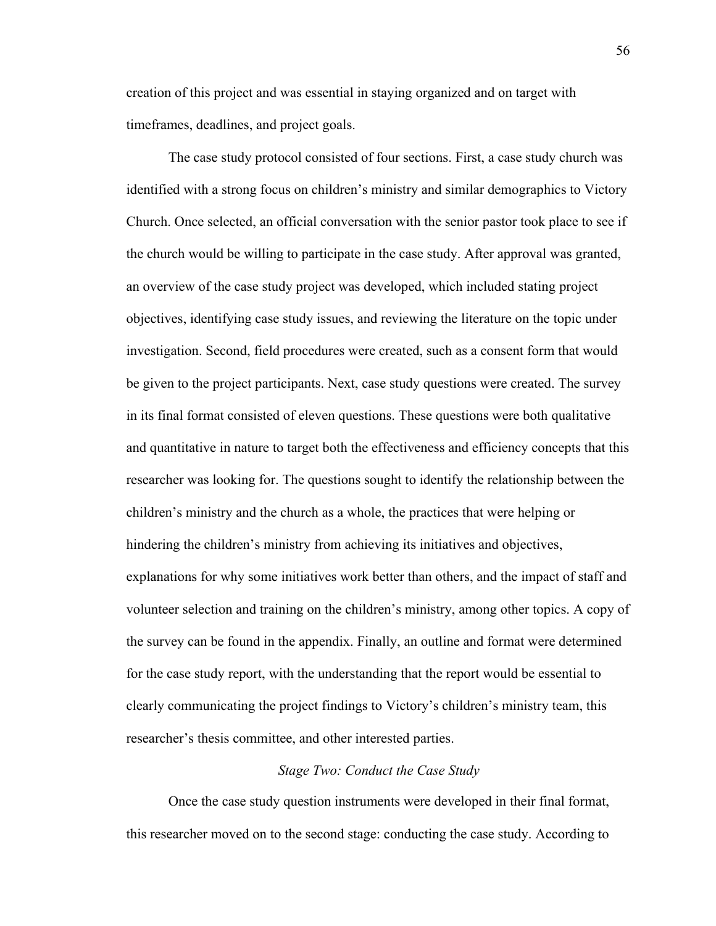creation of this project and was essential in staying organized and on target with timeframes, deadlines, and project goals.

The case study protocol consisted of four sections. First, a case study church was identified with a strong focus on children's ministry and similar demographics to Victory Church. Once selected, an official conversation with the senior pastor took place to see if the church would be willing to participate in the case study. After approval was granted, an overview of the case study project was developed, which included stating project objectives, identifying case study issues, and reviewing the literature on the topic under investigation. Second, field procedures were created, such as a consent form that would be given to the project participants. Next, case study questions were created. The survey in its final format consisted of eleven questions. These questions were both qualitative and quantitative in nature to target both the effectiveness and efficiency concepts that this researcher was looking for. The questions sought to identify the relationship between the children's ministry and the church as a whole, the practices that were helping or hindering the children's ministry from achieving its initiatives and objectives, explanations for why some initiatives work better than others, and the impact of staff and volunteer selection and training on the children's ministry, among other topics. A copy of the survey can be found in the appendix. Finally, an outline and format were determined for the case study report, with the understanding that the report would be essential to clearly communicating the project findings to Victory's children's ministry team, this researcher's thesis committee, and other interested parties.

## *Stage Two: Conduct the Case Study*

Once the case study question instruments were developed in their final format, this researcher moved on to the second stage: conducting the case study. According to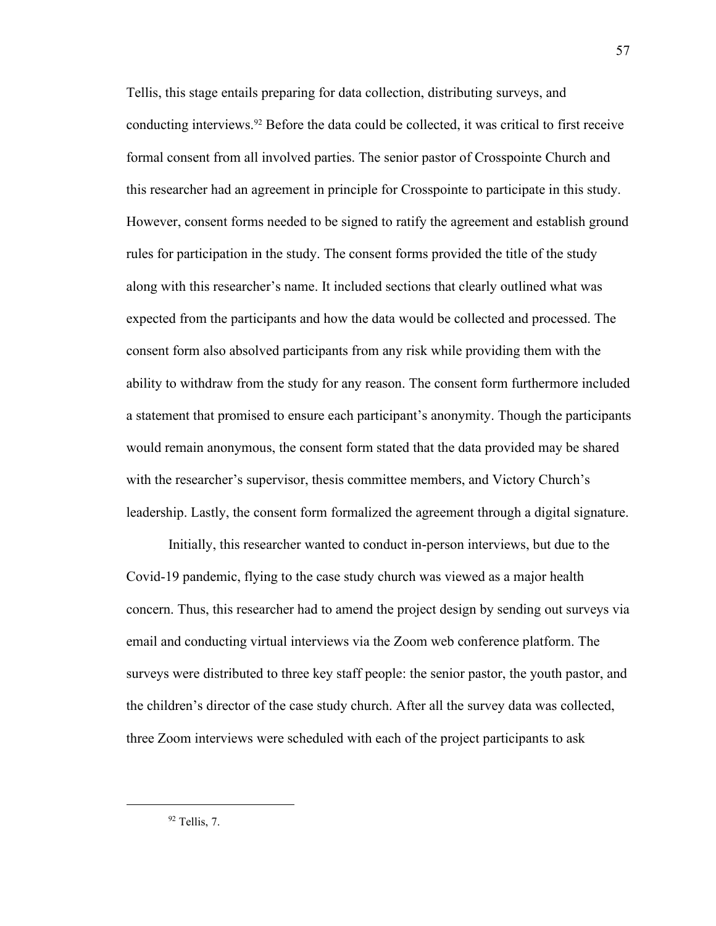Tellis, this stage entails preparing for data collection, distributing surveys, and conducting interviews.<sup>92</sup> Before the data could be collected, it was critical to first receive formal consent from all involved parties. The senior pastor of Crosspointe Church and this researcher had an agreement in principle for Crosspointe to participate in this study. However, consent forms needed to be signed to ratify the agreement and establish ground rules for participation in the study. The consent forms provided the title of the study along with this researcher's name. It included sections that clearly outlined what was expected from the participants and how the data would be collected and processed. The consent form also absolved participants from any risk while providing them with the ability to withdraw from the study for any reason. The consent form furthermore included a statement that promised to ensure each participant's anonymity. Though the participants would remain anonymous, the consent form stated that the data provided may be shared with the researcher's supervisor, thesis committee members, and Victory Church's leadership. Lastly, the consent form formalized the agreement through a digital signature.

Initially, this researcher wanted to conduct in-person interviews, but due to the Covid-19 pandemic, flying to the case study church was viewed as a major health concern. Thus, this researcher had to amend the project design by sending out surveys via email and conducting virtual interviews via the Zoom web conference platform. The surveys were distributed to three key staff people: the senior pastor, the youth pastor, and the children's director of the case study church. After all the survey data was collected, three Zoom interviews were scheduled with each of the project participants to ask

 $92$  Tellis, 7.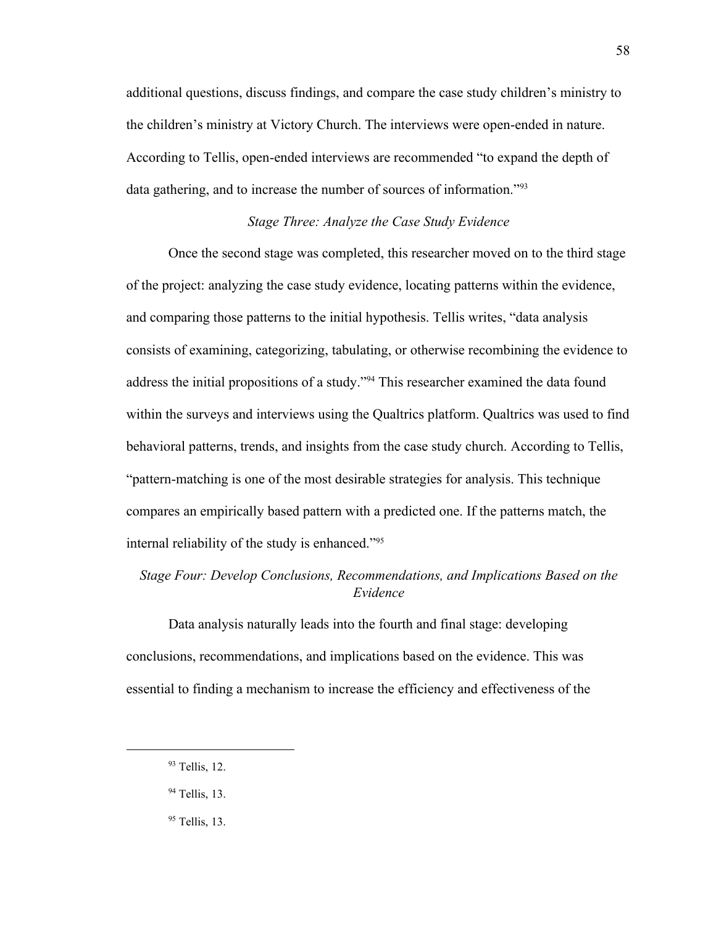additional questions, discuss findings, and compare the case study children's ministry to the children's ministry at Victory Church. The interviews were open-ended in nature. According to Tellis, open-ended interviews are recommended "to expand the depth of data gathering, and to increase the number of sources of information."<sup>93</sup>

## *Stage Three: Analyze the Case Study Evidence*

Once the second stage was completed, this researcher moved on to the third stage of the project: analyzing the case study evidence, locating patterns within the evidence, and comparing those patterns to the initial hypothesis. Tellis writes, "data analysis consists of examining, categorizing, tabulating, or otherwise recombining the evidence to address the initial propositions of a study."<sup>94</sup> This researcher examined the data found within the surveys and interviews using the Qualtrics platform. Qualtrics was used to find behavioral patterns, trends, and insights from the case study church. According to Tellis, "pattern-matching is one of the most desirable strategies for analysis. This technique compares an empirically based pattern with a predicted one. If the patterns match, the internal reliability of the study is enhanced."<sup>95</sup>

# *Stage Four: Develop Conclusions, Recommendations, and Implications Based on the Evidence*

Data analysis naturally leads into the fourth and final stage: developing conclusions, recommendations, and implications based on the evidence. This was essential to finding a mechanism to increase the efficiency and effectiveness of the

<sup>93</sup> Tellis, 12.

<sup>94</sup> Tellis, 13.

<sup>&</sup>lt;sup>95</sup> Tellis, 13.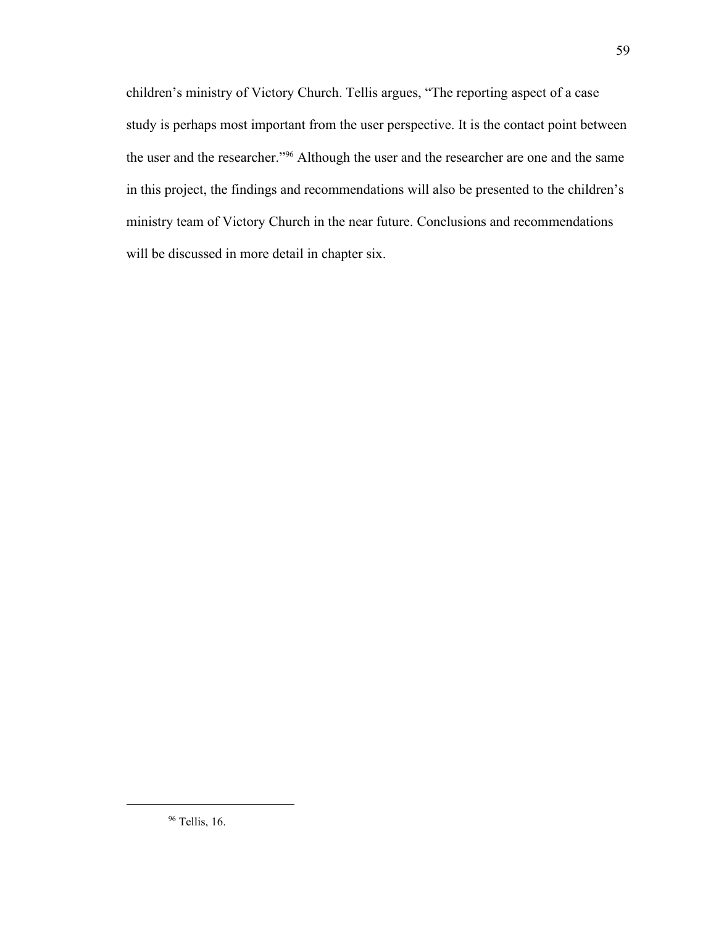children's ministry of Victory Church. Tellis argues, "The reporting aspect of a case study is perhaps most important from the user perspective. It is the contact point between the user and the researcher."<sup>96</sup> Although the user and the researcher are one and the same in this project, the findings and recommendations will also be presented to the children's ministry team of Victory Church in the near future. Conclusions and recommendations will be discussed in more detail in chapter six.

<sup>96</sup> Tellis, 16.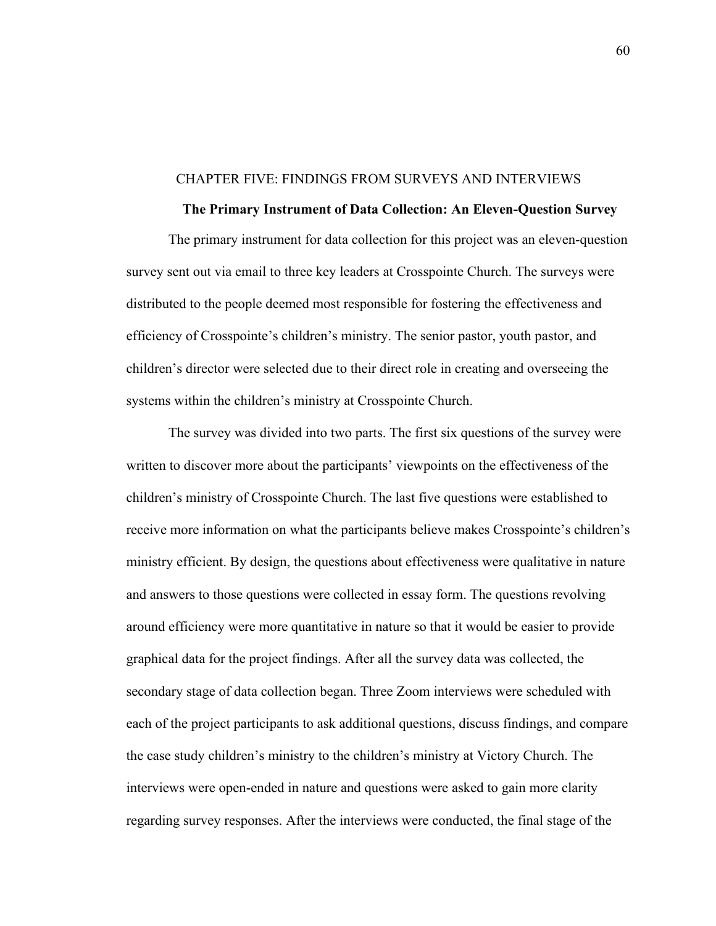### CHAPTER FIVE: FINDINGS FROM SURVEYS AND INTERVIEWS

#### **The Primary Instrument of Data Collection: An Eleven-Question Survey**

The primary instrument for data collection for this project was an eleven-question survey sent out via email to three key leaders at Crosspointe Church. The surveys were distributed to the people deemed most responsible for fostering the effectiveness and efficiency of Crosspointe's children's ministry. The senior pastor, youth pastor, and children's director were selected due to their direct role in creating and overseeing the systems within the children's ministry at Crosspointe Church.

The survey was divided into two parts. The first six questions of the survey were written to discover more about the participants' viewpoints on the effectiveness of the children's ministry of Crosspointe Church. The last five questions were established to receive more information on what the participants believe makes Crosspointe's children's ministry efficient. By design, the questions about effectiveness were qualitative in nature and answers to those questions were collected in essay form. The questions revolving around efficiency were more quantitative in nature so that it would be easier to provide graphical data for the project findings. After all the survey data was collected, the secondary stage of data collection began. Three Zoom interviews were scheduled with each of the project participants to ask additional questions, discuss findings, and compare the case study children's ministry to the children's ministry at Victory Church. The interviews were open-ended in nature and questions were asked to gain more clarity regarding survey responses. After the interviews were conducted, the final stage of the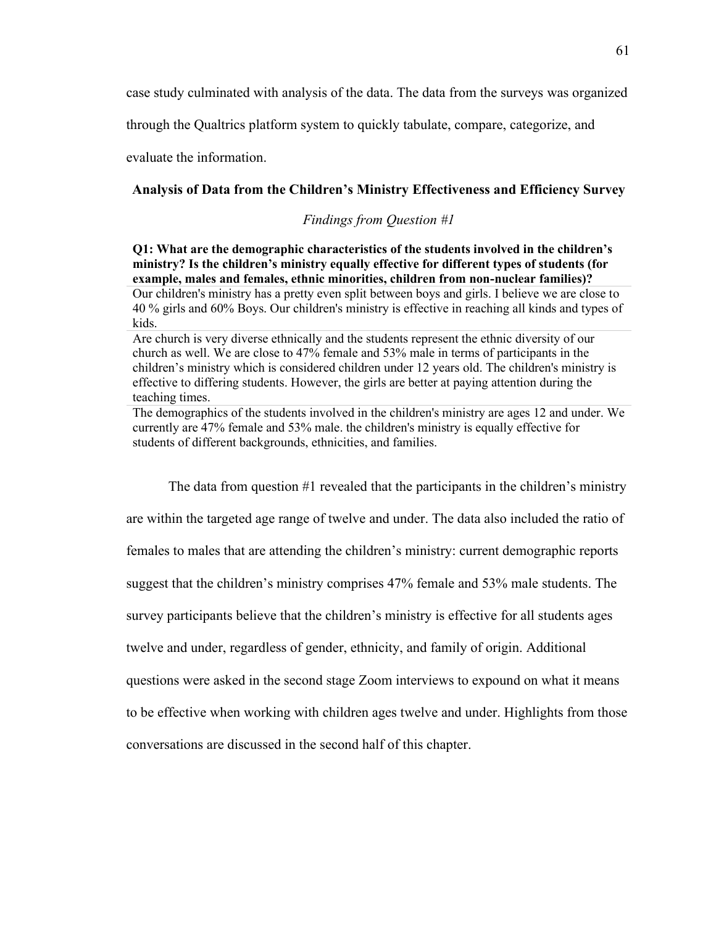case study culminated with analysis of the data. The data from the surveys was organized

through the Qualtrics platform system to quickly tabulate, compare, categorize, and

evaluate the information.

## **Analysis of Data from the Children's Ministry Effectiveness and Efficiency Survey**

## *Findings from Question #1*

**Q1: What are the demographic characteristics of the students involved in the children's ministry? Is the children's ministry equally effective for different types of students (for example, males and females, ethnic minorities, children from non-nuclear families)?** Our children's ministry has a pretty even split between boys and girls. I believe we are close to 40 % girls and 60% Boys. Our children's ministry is effective in reaching all kinds and types of kids.

Are church is very diverse ethnically and the students represent the ethnic diversity of our church as well. We are close to 47% female and 53% male in terms of participants in the children's ministry which is considered children under 12 years old. The children's ministry is effective to differing students. However, the girls are better at paying attention during the teaching times.

The demographics of the students involved in the children's ministry are ages 12 and under. We currently are 47% female and 53% male. the children's ministry is equally effective for students of different backgrounds, ethnicities, and families.

The data from question #1 revealed that the participants in the children's ministry are within the targeted age range of twelve and under. The data also included the ratio of females to males that are attending the children's ministry: current demographic reports suggest that the children's ministry comprises 47% female and 53% male students. The survey participants believe that the children's ministry is effective for all students ages twelve and under, regardless of gender, ethnicity, and family of origin. Additional questions were asked in the second stage Zoom interviews to expound on what it means to be effective when working with children ages twelve and under. Highlights from those conversations are discussed in the second half of this chapter.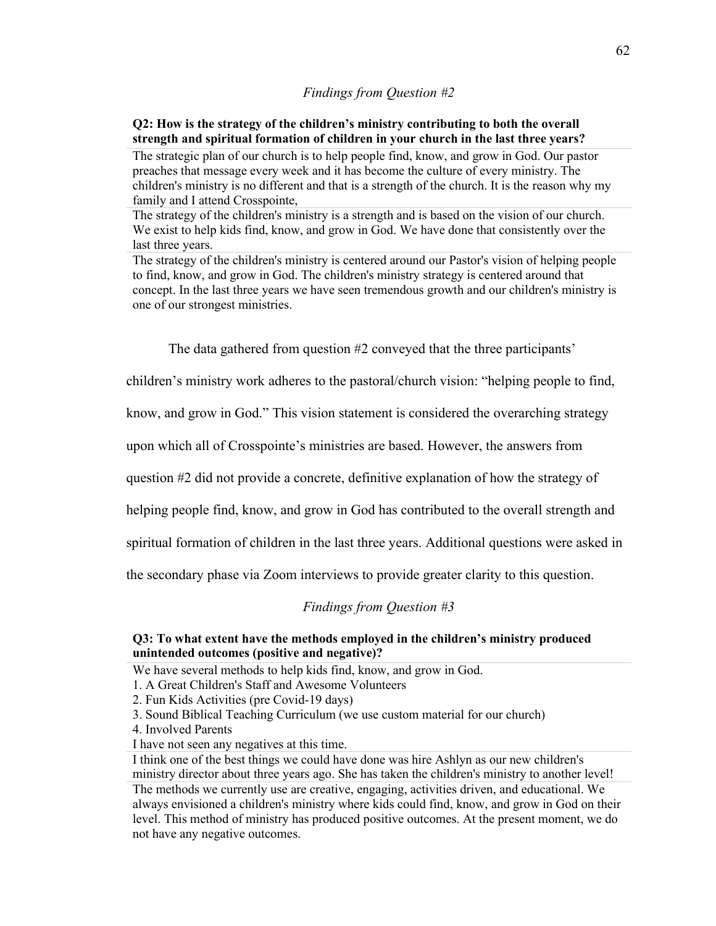#### *Findings from Question #2*

## **Q2: How is the strategy of the children's ministry contributing to both the overall strength and spiritual formation of children in your church in the last three years?**

The strategic plan of our church is to help people find, know, and grow in God. Our pastor preaches that message every week and it has become the culture of every ministry. The children's ministry is no different and that is a strength of the church. It is the reason why my family and I attend Crosspointe,

The strategy of the children's ministry is a strength and is based on the vision of our church. We exist to help kids find, know, and grow in God. We have done that consistently over the last three years.

The strategy of the children's ministry is centered around our Pastor's vision of helping people to find, know, and grow in God. The children's ministry strategy is centered around that concept. In the last three years we have seen tremendous growth and our children's ministry is one of our strongest ministries.

The data gathered from question #2 conveyed that the three participants'

children's ministry work adheres to the pastoral/church vision: "helping people to find,

know, and grow in God." This vision statement is considered the overarching strategy

upon which all of Crosspointe's ministries are based. However, the answers from

question #2 did not provide a concrete, definitive explanation of how the strategy of

helping people find, know, and grow in God has contributed to the overall strength and

spiritual formation of children in the last three years. Additional questions were asked in

the secondary phase via Zoom interviews to provide greater clarity to this question.

## *Findings from Question #3*

### **Q3: To what extent have the methods employed in the children's ministry produced unintended outcomes (positive and negative)?**

We have several methods to help kids find, know, and grow in God.

1. A Great Children's Staff and Awesome Volunteers

2. Fun Kids Activities (pre Covid-19 days)

3. Sound Biblical Teaching Curriculum (we use custom material for our church)

- 4. Involved Parents
- I have not seen any negatives at this time.

I think one of the best things we could have done was hire Ashlyn as our new children's ministry director about three years ago. She has taken the children's ministry to another level! The methods we currently use are creative, engaging, activities driven, and educational. We always envisioned a children's ministry where kids could find, know, and grow in God on their level. This method of ministry has produced positive outcomes. At the present moment, we do not have any negative outcomes.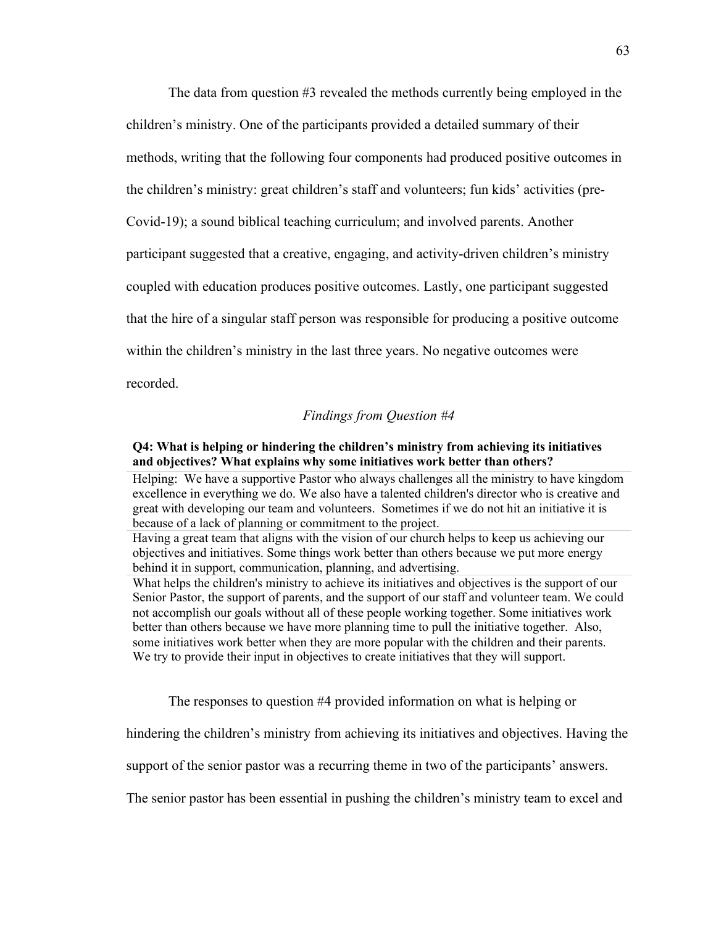The data from question #3 revealed the methods currently being employed in the children's ministry. One of the participants provided a detailed summary of their methods, writing that the following four components had produced positive outcomes in the children's ministry: great children's staff and volunteers; fun kids' activities (pre-Covid-19); a sound biblical teaching curriculum; and involved parents. Another participant suggested that a creative, engaging, and activity-driven children's ministry coupled with education produces positive outcomes. Lastly, one participant suggested that the hire of a singular staff person was responsible for producing a positive outcome within the children's ministry in the last three years. No negative outcomes were recorded.

## *Findings from Question #4*

## **Q4: What is helping or hindering the children's ministry from achieving its initiatives and objectives? What explains why some initiatives work better than others?**

Helping: We have a supportive Pastor who always challenges all the ministry to have kingdom excellence in everything we do. We also have a talented children's director who is creative and great with developing our team and volunteers. Sometimes if we do not hit an initiative it is because of a lack of planning or commitment to the project.

Having a great team that aligns with the vision of our church helps to keep us achieving our objectives and initiatives. Some things work better than others because we put more energy behind it in support, communication, planning, and advertising.

What helps the children's ministry to achieve its initiatives and objectives is the support of our Senior Pastor, the support of parents, and the support of our staff and volunteer team. We could not accomplish our goals without all of these people working together. Some initiatives work better than others because we have more planning time to pull the initiative together. Also, some initiatives work better when they are more popular with the children and their parents. We try to provide their input in objectives to create initiatives that they will support.

The responses to question #4 provided information on what is helping or

hindering the children's ministry from achieving its initiatives and objectives. Having the

support of the senior pastor was a recurring theme in two of the participants' answers.

The senior pastor has been essential in pushing the children's ministry team to excel and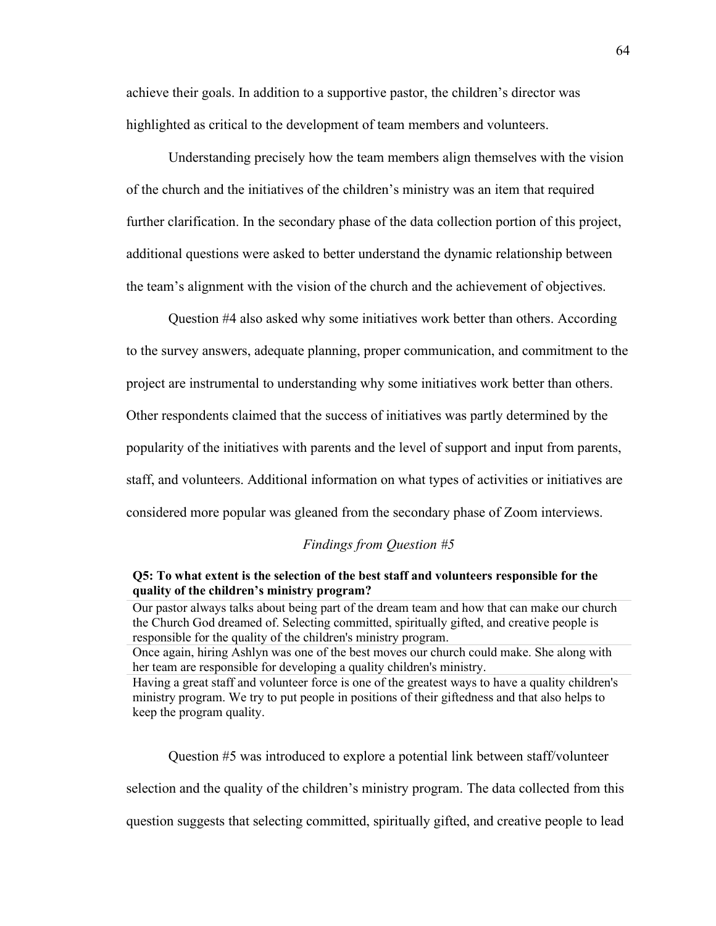achieve their goals. In addition to a supportive pastor, the children's director was highlighted as critical to the development of team members and volunteers.

Understanding precisely how the team members align themselves with the vision of the church and the initiatives of the children's ministry was an item that required further clarification. In the secondary phase of the data collection portion of this project, additional questions were asked to better understand the dynamic relationship between the team's alignment with the vision of the church and the achievement of objectives.

Question #4 also asked why some initiatives work better than others. According to the survey answers, adequate planning, proper communication, and commitment to the project are instrumental to understanding why some initiatives work better than others. Other respondents claimed that the success of initiatives was partly determined by the popularity of the initiatives with parents and the level of support and input from parents, staff, and volunteers. Additional information on what types of activities or initiatives are considered more popular was gleaned from the secondary phase of Zoom interviews.

## *Findings from Question #5*

## **Q5: To what extent is the selection of the best staff and volunteers responsible for the quality of the children's ministry program?**

Our pastor always talks about being part of the dream team and how that can make our church the Church God dreamed of. Selecting committed, spiritually gifted, and creative people is responsible for the quality of the children's ministry program.

Once again, hiring Ashlyn was one of the best moves our church could make. She along with her team are responsible for developing a quality children's ministry.

Having a great staff and volunteer force is one of the greatest ways to have a quality children's ministry program. We try to put people in positions of their giftedness and that also helps to keep the program quality.

Question #5 was introduced to explore a potential link between staff/volunteer

selection and the quality of the children's ministry program. The data collected from this

question suggests that selecting committed, spiritually gifted, and creative people to lead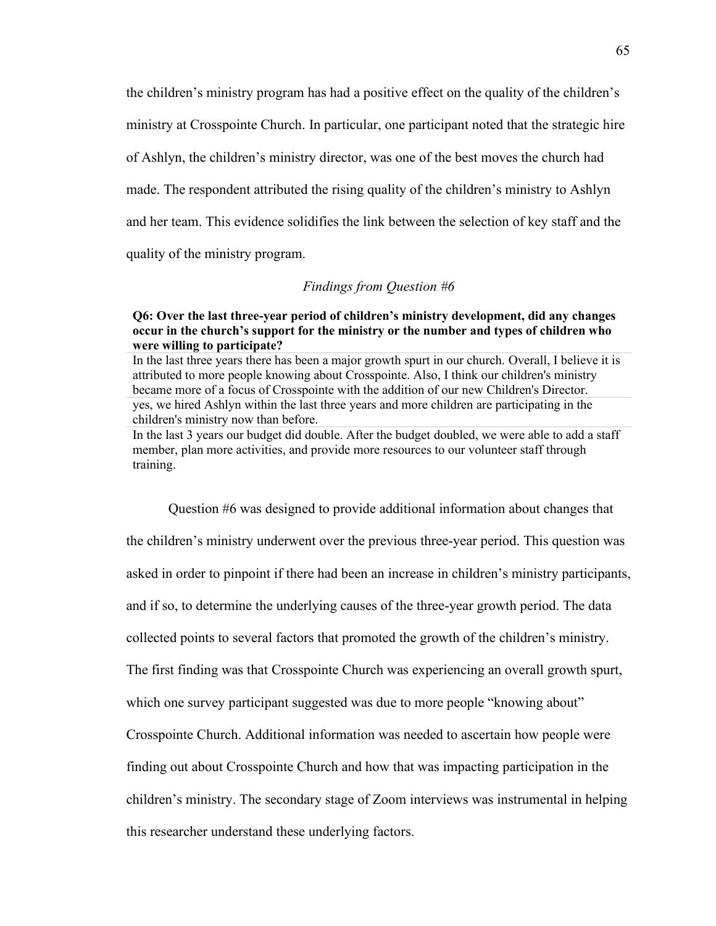the children's ministry program has had a positive effect on the quality of the children's ministry at Crosspointe Church. In particular, one participant noted that the strategic hire of Ashlyn, the children's ministry director, was one of the best moves the church had made. The respondent attributed the rising quality of the children's ministry to Ashlyn and her team. This evidence solidifies the link between the selection of key staff and the quality of the ministry program.

#### *Findings from Question #6*

## **Q6: Over the last three-year period of children's ministry development, did any changes occur in the church's support for the ministry or the number and types of children who were willing to participate?**

In the last 3 years our budget did double. After the budget doubled, we were able to add a staff member, plan more activities, and provide more resources to our volunteer staff through training.

Question #6 was designed to provide additional information about changes that the children's ministry underwent over the previous three-year period. This question was asked in order to pinpoint if there had been an increase in children's ministry participants, and if so, to determine the underlying causes of the three-year growth period. The data collected points to several factors that promoted the growth of the children's ministry. The first finding was that Crosspointe Church was experiencing an overall growth spurt, which one survey participant suggested was due to more people "knowing about" Crosspointe Church. Additional information was needed to ascertain how people were finding out about Crosspointe Church and how that was impacting participation in the children's ministry. The secondary stage of Zoom interviews was instrumental in helping this researcher understand these underlying factors.

In the last three years there has been a major growth spurt in our church. Overall, I believe it is attributed to more people knowing about Crosspointe. Also, I think our children's ministry became more of a focus of Crosspointe with the addition of our new Children's Director. yes, we hired Ashlyn within the last three years and more children are participating in the children's ministry now than before.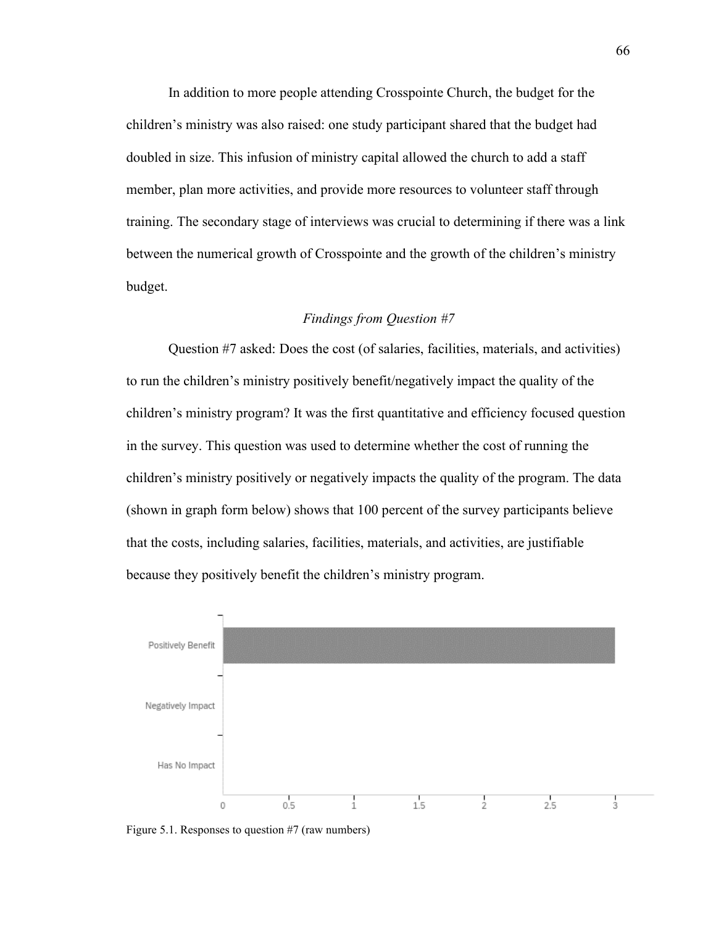In addition to more people attending Crosspointe Church, the budget for the children's ministry was also raised: one study participant shared that the budget had doubled in size. This infusion of ministry capital allowed the church to add a staff member, plan more activities, and provide more resources to volunteer staff through training. The secondary stage of interviews was crucial to determining if there was a link between the numerical growth of Crosspointe and the growth of the children's ministry budget.

## *Findings from Question #7*

Question #7 asked: Does the cost (of salaries, facilities, materials, and activities) to run the children's ministry positively benefit/negatively impact the quality of the children's ministry program? It was the first quantitative and efficiency focused question in the survey. This question was used to determine whether the cost of running the children's ministry positively or negatively impacts the quality of the program. The data (shown in graph form below) shows that 100 percent of the survey participants believe that the costs, including salaries, facilities, materials, and activities, are justifiable because they positively benefit the children's ministry program.



Figure 5.1. Responses to question #7 (raw numbers)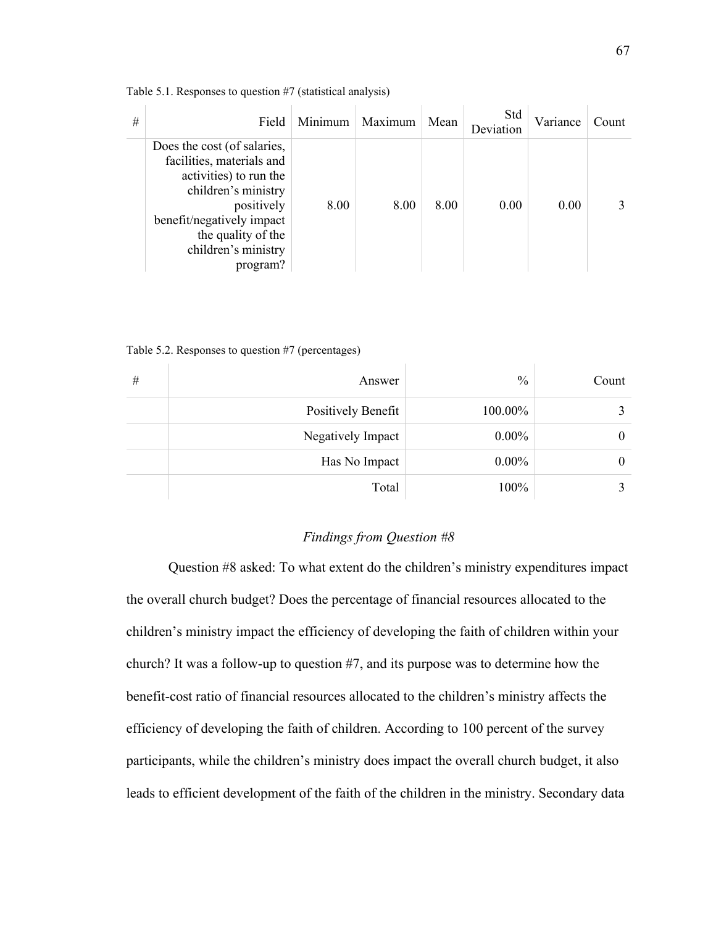| # | Field                                                                                                                                                                                                         | Minimum | Maximum | Mean | Std<br>Deviation | Variance | Count |
|---|---------------------------------------------------------------------------------------------------------------------------------------------------------------------------------------------------------------|---------|---------|------|------------------|----------|-------|
|   | Does the cost (of salaries,<br>facilities, materials and<br>activities) to run the<br>children's ministry<br>positively<br>benefit/negatively impact<br>the quality of the<br>children's ministry<br>program? | 8.00    | 8.00    | 8.00 | 0.00             | 0.00     |       |

Table 5.1. Responses to question #7 (statistical analysis)

Table 5.2. Responses to question #7 (percentages)

| # | Answer             | $\frac{0}{0}$ | Count |
|---|--------------------|---------------|-------|
|   | Positively Benefit | 100.00%       |       |
|   | Negatively Impact  | $0.00\%$      | 0     |
|   | Has No Impact      | $0.00\%$      | 0     |
|   | Total              | 100%          |       |

### *Findings from Question #8*

Question #8 asked: To what extent do the children's ministry expenditures impact the overall church budget? Does the percentage of financial resources allocated to the children's ministry impact the efficiency of developing the faith of children within your church? It was a follow-up to question #7, and its purpose was to determine how the benefit-cost ratio of financial resources allocated to the children's ministry affects the efficiency of developing the faith of children. According to 100 percent of the survey participants, while the children's ministry does impact the overall church budget, it also leads to efficient development of the faith of the children in the ministry. Secondary data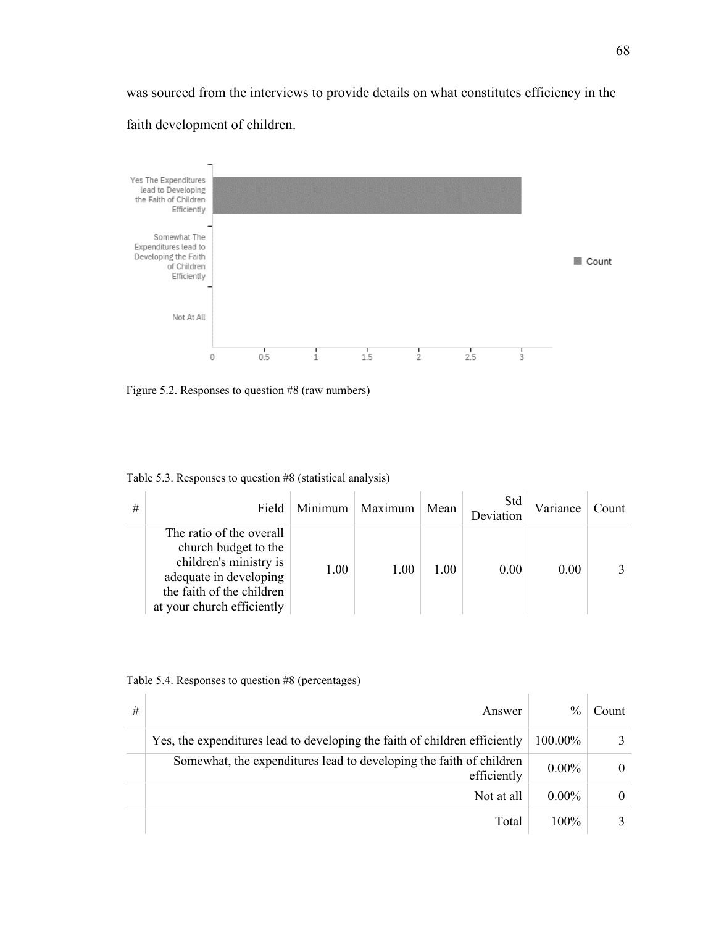was sourced from the interviews to provide details on what constitutes efficiency in the

# faith development of children.



Figure 5.2. Responses to question #8 (raw numbers)

| Table 5.3. Responses to question #8 (statistical analysis) |  |  |
|------------------------------------------------------------|--|--|
|                                                            |  |  |

| # | Field                                                                                                                                                           | Minimum | Maximum | Mean | Std<br>Deviation | Variance | Count |
|---|-----------------------------------------------------------------------------------------------------------------------------------------------------------------|---------|---------|------|------------------|----------|-------|
|   | The ratio of the overall<br>church budget to the<br>children's ministry is<br>adequate in developing<br>the faith of the children<br>at your church efficiently | 1.00    | 1.00    | 1.00 | 0.00             | 0.00     |       |

#### Table 5.4. Responses to question #8 (percentages)

| # | Answer                                                                             |          | Count |
|---|------------------------------------------------------------------------------------|----------|-------|
|   | Yes, the expenditures lead to developing the faith of children efficiently         | 100.00%  |       |
|   | Somewhat, the expenditures lead to developing the faith of children<br>efficiently | $0.00\%$ | 0     |
|   | Not at all                                                                         | $0.00\%$ |       |
|   | Total                                                                              | 100%     |       |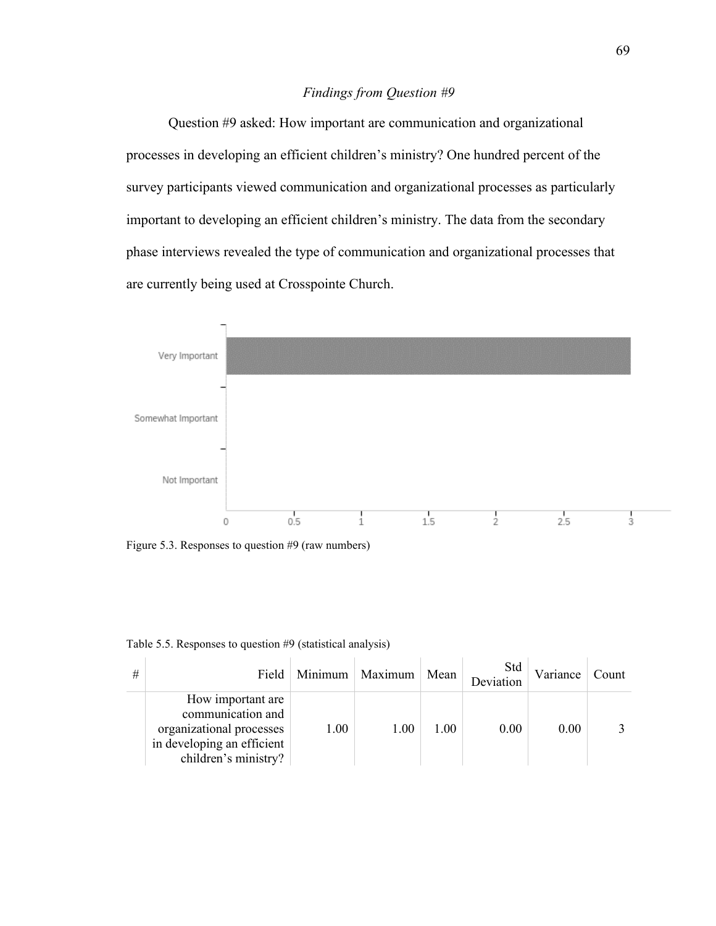## *Findings from Question #9*

Question #9 asked: How important are communication and organizational processes in developing an efficient children's ministry? One hundred percent of the survey participants viewed communication and organizational processes as particularly important to developing an efficient children's ministry. The data from the secondary phase interviews revealed the type of communication and organizational processes that are currently being used at Crosspointe Church.



Figure 5.3. Responses to question #9 (raw numbers)

| # |                                                                                                                           |      | Field   Minimum   Maximum | Mean | Std<br>Deviation | Variance | Count |
|---|---------------------------------------------------------------------------------------------------------------------------|------|---------------------------|------|------------------|----------|-------|
|   | How important are.<br>communication and<br>organizational processes<br>in developing an efficient<br>children's ministry? | 1.00 | 1.00                      | 1.00 | 0.00             | 0.00     |       |

Table 5.5. Responses to question #9 (statistical analysis)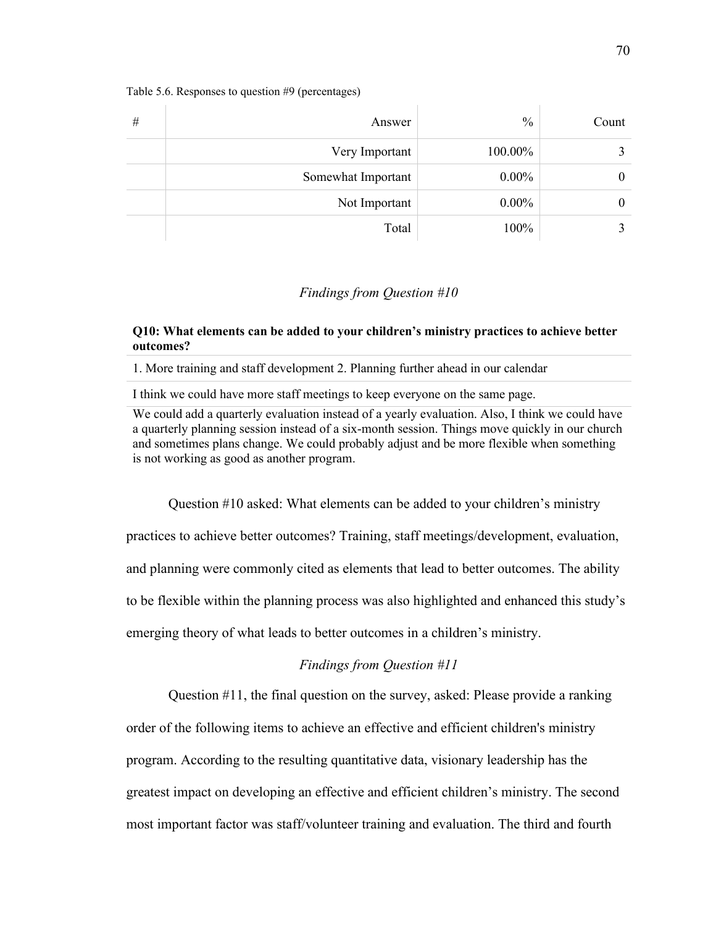| # | Answer             | $\frac{0}{0}$ | Count |
|---|--------------------|---------------|-------|
|   | Very Important     | 100.00%       |       |
|   | Somewhat Important | $0.00\%$      | 0     |
|   | Not Important      | $0.00\%$      |       |
|   | Total              | 100%          |       |

#### Table 5.6. Responses to question #9 (percentages)

### *Findings from Question #10*

### **Q10: What elements can be added to your children's ministry practices to achieve better outcomes?**

1. More training and staff development 2. Planning further ahead in our calendar

I think we could have more staff meetings to keep everyone on the same page.

Question #10 asked: What elements can be added to your children's ministry

practices to achieve better outcomes? Training, staff meetings/development, evaluation,

and planning were commonly cited as elements that lead to better outcomes. The ability

to be flexible within the planning process was also highlighted and enhanced this study's

emerging theory of what leads to better outcomes in a children's ministry.

## *Findings from Question #11*

Question #11, the final question on the survey, asked: Please provide a ranking

order of the following items to achieve an effective and efficient children's ministry program. According to the resulting quantitative data, visionary leadership has the greatest impact on developing an effective and efficient children's ministry. The second most important factor was staff/volunteer training and evaluation. The third and fourth

We could add a quarterly evaluation instead of a yearly evaluation. Also, I think we could have a quarterly planning session instead of a six-month session. Things move quickly in our church and sometimes plans change. We could probably adjust and be more flexible when something is not working as good as another program.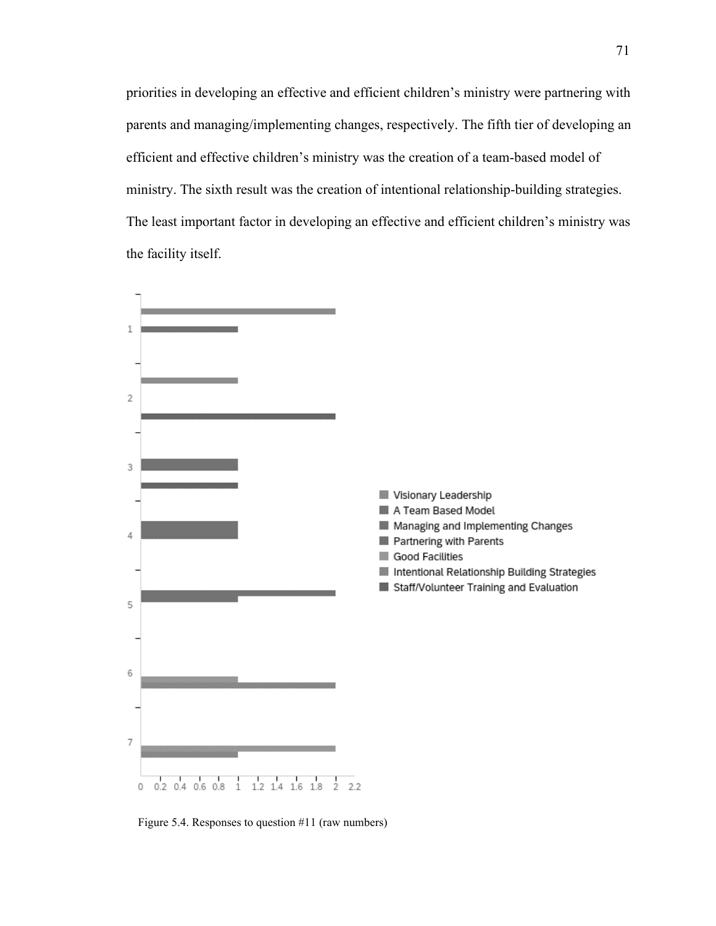priorities in developing an effective and efficient children's ministry were partnering with parents and managing/implementing changes, respectively. The fifth tier of developing an efficient and effective children's ministry was the creation of a team-based model of ministry. The sixth result was the creation of intentional relationship-building strategies. The least important factor in developing an effective and efficient children's ministry was the facility itself.



Figure 5.4. Responses to question #11 (raw numbers)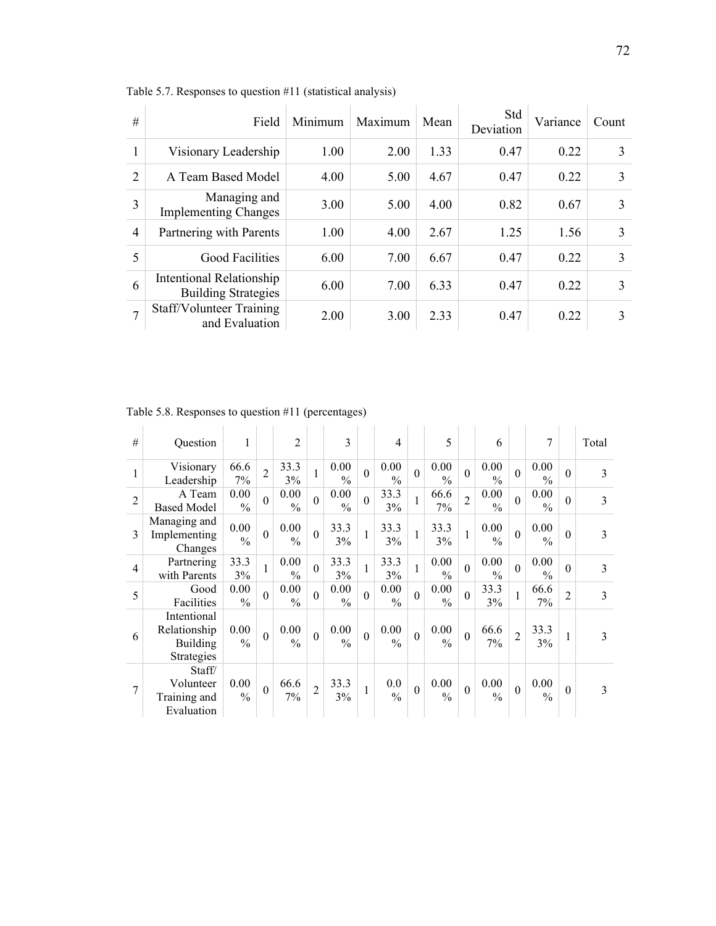| #              | Field                                                  | Minimum | Maximum | Mean | Std<br>Deviation | Variance | Count |
|----------------|--------------------------------------------------------|---------|---------|------|------------------|----------|-------|
|                | Visionary Leadership                                   | 1.00    | 2.00    | 1.33 | 0.47             | 0.22     | 3     |
| $\mathfrak{D}$ | A Team Based Model                                     | 4.00    | 5.00    | 4.67 | 0.47             | 0.22     | 3     |
| 3              | Managing and<br><b>Implementing Changes</b>            | 3.00    | 5.00    | 4.00 | 0.82             | 0.67     | 3     |
| $\overline{4}$ | Partnering with Parents                                | 1.00    | 4.00    | 2.67 | 1.25             | 1.56     | 3     |
| 5              | <b>Good Facilities</b>                                 | 6.00    | 7.00    | 6.67 | 0.47             | 0.22     | 3     |
| 6              | Intentional Relationship<br><b>Building Strategies</b> | 6.00    | 7.00    | 6.33 | 0.47             | 0.22     | 3     |
|                | Staff/Volunteer Training<br>and Evaluation             | 2.00    | 3.00    | 2.33 | 0.47             | 0.22     | 3     |

Table 5.7. Responses to question #11 (statistical analysis)

| #              | <b>Ouestion</b>                                              | 1                     |                | $\overline{2}$        |                | 3                     |          | 4                     |              | 5                     |                | 6                     |                | 7                     |                | Total |
|----------------|--------------------------------------------------------------|-----------------------|----------------|-----------------------|----------------|-----------------------|----------|-----------------------|--------------|-----------------------|----------------|-----------------------|----------------|-----------------------|----------------|-------|
| 1              | Visionary<br>Leadership                                      | 66.6<br>7%            | $\overline{2}$ | 33.3<br>3%            | 1              | 0.00<br>$\frac{0}{0}$ | $\Omega$ | 0.00<br>$\frac{0}{0}$ | $\theta$     | 0.00<br>$\frac{0}{0}$ | $\theta$       | 0.00<br>$\frac{0}{0}$ | $\overline{0}$ | 0.00<br>$\frac{0}{0}$ | $\theta$       | 3     |
| $\overline{2}$ | A Team<br><b>Based Model</b>                                 | 0.00<br>$\frac{0}{0}$ | $\theta$       | 0.00<br>$\frac{0}{0}$ | $\overline{0}$ | 0.00<br>$\frac{0}{0}$ | $\Omega$ | 33.3<br>3%            | $\mathbf{1}$ | 66.6<br>7%            | $\overline{2}$ | 0.00<br>$\frac{0}{0}$ | $\overline{0}$ | 0.00<br>$\frac{0}{0}$ | $\theta$       | 3     |
| 3              | Managing and<br>Implementing<br>Changes                      | 0.00<br>$\frac{0}{0}$ | $\theta$       | 0.00<br>$\frac{0}{0}$ | $\theta$       | 33.3<br>3%            | 1        | 33.3<br>3%            | $\mathbf{1}$ | 33.3<br>3%            | $\mathbf{1}$   | 0.00<br>$\frac{0}{0}$ | $\theta$       | 0.00<br>$\frac{0}{0}$ | $\mathbf{0}$   | 3     |
| $\overline{4}$ | Partnering<br>with Parents                                   | 33.3<br>3%            | 1              | 0.00<br>$\frac{0}{0}$ | $\Omega$       | 33.3<br>3%            | 1        | 33.3<br>3%            | $\mathbf{1}$ | 0.00<br>$\frac{0}{0}$ | $\theta$       | 0.00<br>$\frac{0}{0}$ | $\overline{0}$ | 0.00<br>$\frac{0}{0}$ | $\theta$       | 3     |
| 5              | Good<br>Facilities                                           | 0.00<br>$\frac{0}{0}$ | $\theta$       | 0.00<br>$\frac{0}{0}$ | $\theta$       | 0.00<br>$\frac{0}{0}$ | $\Omega$ | 0.00<br>$\frac{0}{0}$ | $\theta$     | 0.00<br>$\frac{0}{0}$ | $\overline{0}$ | 33.3<br>3%            | $\mathbf{1}$   | 66.6<br>7%            | $\overline{2}$ | 3     |
| 6              | Intentional<br>Relationship<br>Building<br><b>Strategies</b> | 0.00<br>$\frac{0}{0}$ | $\theta$       | 0.00<br>$\frac{0}{0}$ | $\overline{0}$ | 0.00<br>$\frac{0}{0}$ | $\Omega$ | 0.00<br>$\frac{0}{0}$ | $\Omega$     | 0.00<br>$\frac{0}{0}$ | $\theta$       | 66.6<br>7%            | $\overline{2}$ | 33.3<br>3%            | 1              | 3     |
| 7              | Staff/<br>Volunteer<br>Training and<br>Evaluation            | 0.00<br>$\frac{0}{0}$ | $\mathbf{0}$   | 66.6<br>$7\%$         | $\overline{2}$ | 33.3<br>3%            | 1        | 0.0<br>$\frac{0}{0}$  | $\theta$     | 0.00<br>$\frac{0}{0}$ | $\mathbf{0}$   | 0.00<br>$\frac{0}{0}$ | $\mathbf{0}$   | 0.00<br>$\frac{0}{0}$ | $\theta$       | 3     |

Table 5.8. Responses to question #11 (percentages)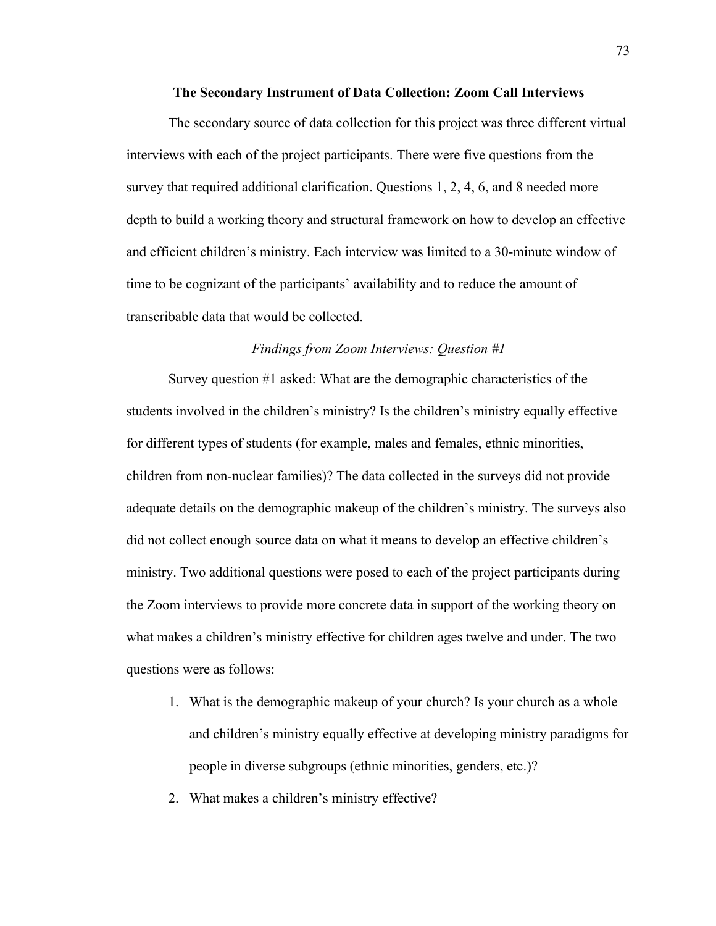#### **The Secondary Instrument of Data Collection: Zoom Call Interviews**

The secondary source of data collection for this project was three different virtual interviews with each of the project participants. There were five questions from the survey that required additional clarification. Questions 1, 2, 4, 6, and 8 needed more depth to build a working theory and structural framework on how to develop an effective and efficient children's ministry. Each interview was limited to a 30-minute window of time to be cognizant of the participants' availability and to reduce the amount of transcribable data that would be collected.

#### *Findings from Zoom Interviews: Question #1*

Survey question #1 asked: What are the demographic characteristics of the students involved in the children's ministry? Is the children's ministry equally effective for different types of students (for example, males and females, ethnic minorities, children from non-nuclear families)? The data collected in the surveys did not provide adequate details on the demographic makeup of the children's ministry. The surveys also did not collect enough source data on what it means to develop an effective children's ministry. Two additional questions were posed to each of the project participants during the Zoom interviews to provide more concrete data in support of the working theory on what makes a children's ministry effective for children ages twelve and under. The two questions were as follows:

- 1. What is the demographic makeup of your church? Is your church as a whole and children's ministry equally effective at developing ministry paradigms for people in diverse subgroups (ethnic minorities, genders, etc.)?
- 2. What makes a children's ministry effective?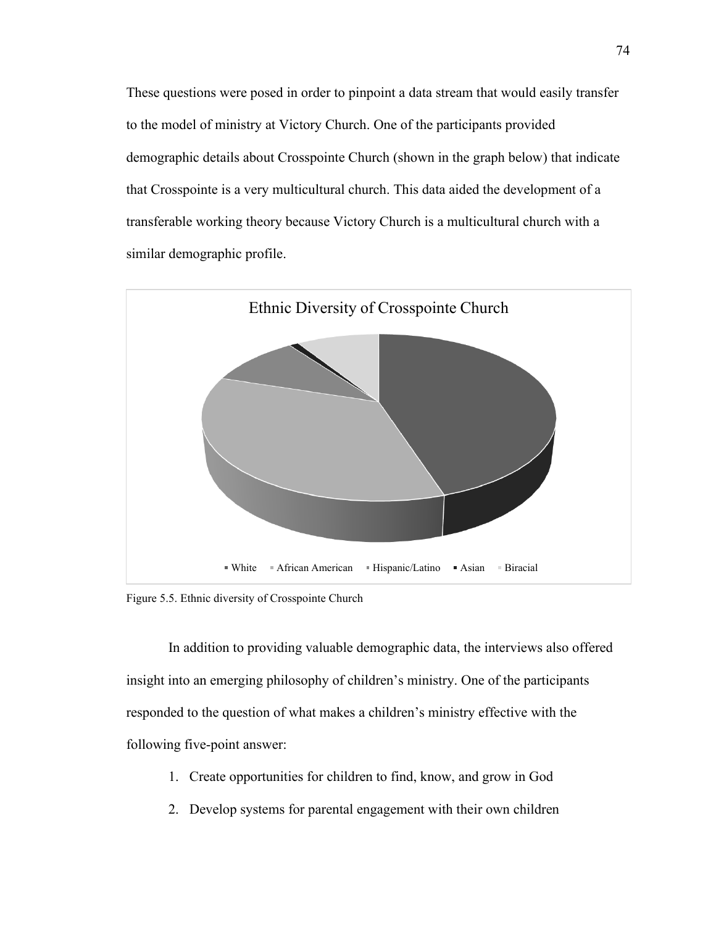These questions were posed in order to pinpoint a data stream that would easily transfer to the model of ministry at Victory Church. One of the participants provided demographic details about Crosspointe Church (shown in the graph below) that indicate that Crosspointe is a very multicultural church. This data aided the development of a transferable working theory because Victory Church is a multicultural church with a similar demographic profile.



Figure 5.5. Ethnic diversity of Crosspointe Church

In addition to providing valuable demographic data, the interviews also offered insight into an emerging philosophy of children's ministry. One of the participants responded to the question of what makes a children's ministry effective with the following five-point answer:

- 1. Create opportunities for children to find, know, and grow in God
- 2. Develop systems for parental engagement with their own children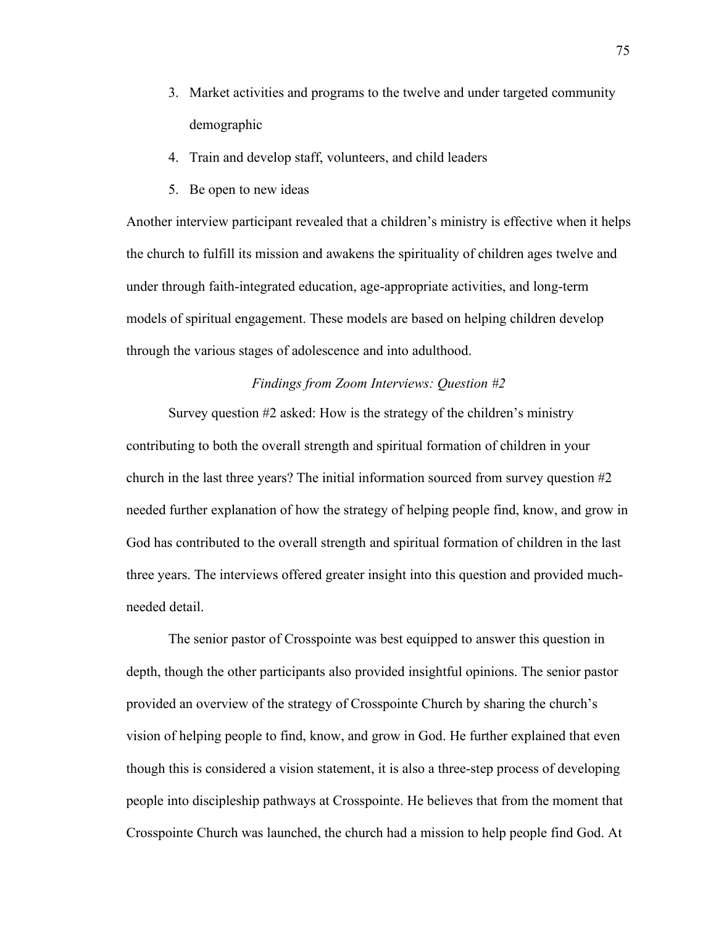- 3. Market activities and programs to the twelve and under targeted community demographic
- 4. Train and develop staff, volunteers, and child leaders
- 5. Be open to new ideas

Another interview participant revealed that a children's ministry is effective when it helps the church to fulfill its mission and awakens the spirituality of children ages twelve and under through faith-integrated education, age-appropriate activities, and long-term models of spiritual engagement. These models are based on helping children develop through the various stages of adolescence and into adulthood.

## *Findings from Zoom Interviews: Question #2*

Survey question #2 asked: How is the strategy of the children's ministry contributing to both the overall strength and spiritual formation of children in your church in the last three years? The initial information sourced from survey question #2 needed further explanation of how the strategy of helping people find, know, and grow in God has contributed to the overall strength and spiritual formation of children in the last three years. The interviews offered greater insight into this question and provided muchneeded detail.

The senior pastor of Crosspointe was best equipped to answer this question in depth, though the other participants also provided insightful opinions. The senior pastor provided an overview of the strategy of Crosspointe Church by sharing the church's vision of helping people to find, know, and grow in God. He further explained that even though this is considered a vision statement, it is also a three-step process of developing people into discipleship pathways at Crosspointe. He believes that from the moment that Crosspointe Church was launched, the church had a mission to help people find God. At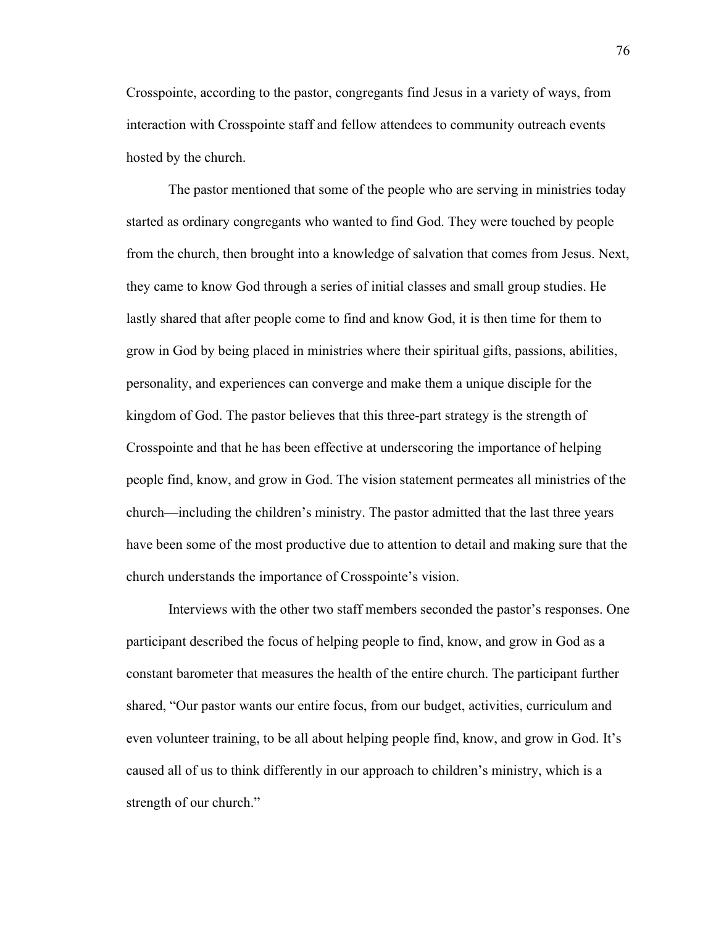Crosspointe, according to the pastor, congregants find Jesus in a variety of ways, from interaction with Crosspointe staff and fellow attendees to community outreach events hosted by the church.

The pastor mentioned that some of the people who are serving in ministries today started as ordinary congregants who wanted to find God. They were touched by people from the church, then brought into a knowledge of salvation that comes from Jesus. Next, they came to know God through a series of initial classes and small group studies. He lastly shared that after people come to find and know God, it is then time for them to grow in God by being placed in ministries where their spiritual gifts, passions, abilities, personality, and experiences can converge and make them a unique disciple for the kingdom of God. The pastor believes that this three-part strategy is the strength of Crosspointe and that he has been effective at underscoring the importance of helping people find, know, and grow in God. The vision statement permeates all ministries of the church—including the children's ministry. The pastor admitted that the last three years have been some of the most productive due to attention to detail and making sure that the church understands the importance of Crosspointe's vision.

Interviews with the other two staff members seconded the pastor's responses. One participant described the focus of helping people to find, know, and grow in God as a constant barometer that measures the health of the entire church. The participant further shared, "Our pastor wants our entire focus, from our budget, activities, curriculum and even volunteer training, to be all about helping people find, know, and grow in God. It's caused all of us to think differently in our approach to children's ministry, which is a strength of our church."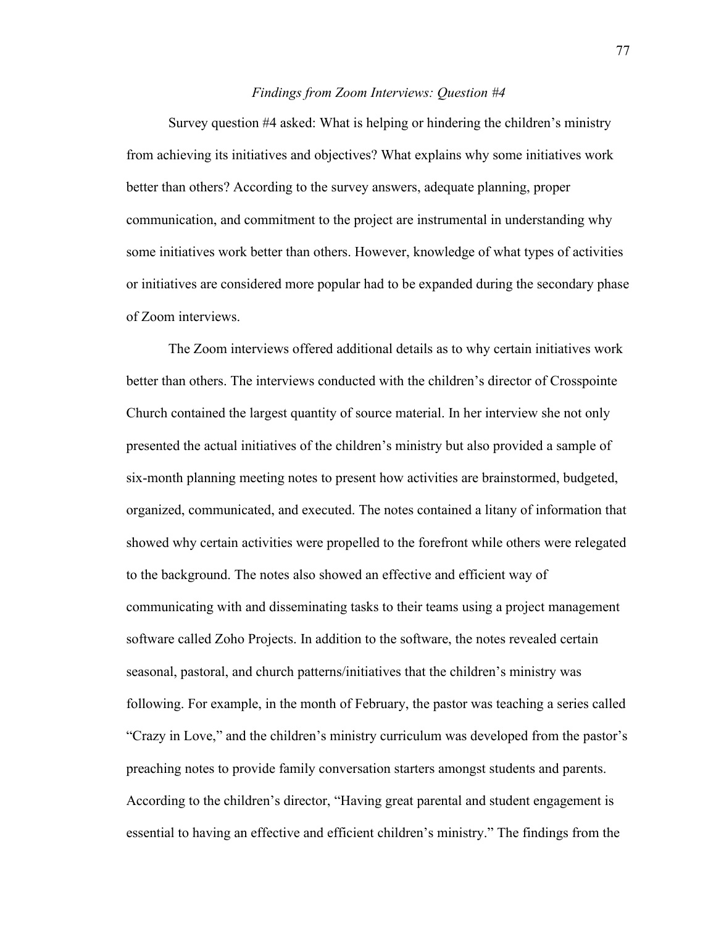#### *Findings from Zoom Interviews: Question #4*

Survey question #4 asked: What is helping or hindering the children's ministry from achieving its initiatives and objectives? What explains why some initiatives work better than others? According to the survey answers, adequate planning, proper communication, and commitment to the project are instrumental in understanding why some initiatives work better than others. However, knowledge of what types of activities or initiatives are considered more popular had to be expanded during the secondary phase of Zoom interviews.

The Zoom interviews offered additional details as to why certain initiatives work better than others. The interviews conducted with the children's director of Crosspointe Church contained the largest quantity of source material. In her interview she not only presented the actual initiatives of the children's ministry but also provided a sample of six-month planning meeting notes to present how activities are brainstormed, budgeted, organized, communicated, and executed. The notes contained a litany of information that showed why certain activities were propelled to the forefront while others were relegated to the background. The notes also showed an effective and efficient way of communicating with and disseminating tasks to their teams using a project management software called Zoho Projects. In addition to the software, the notes revealed certain seasonal, pastoral, and church patterns/initiatives that the children's ministry was following. For example, in the month of February, the pastor was teaching a series called "Crazy in Love," and the children's ministry curriculum was developed from the pastor's preaching notes to provide family conversation starters amongst students and parents. According to the children's director, "Having great parental and student engagement is essential to having an effective and efficient children's ministry." The findings from the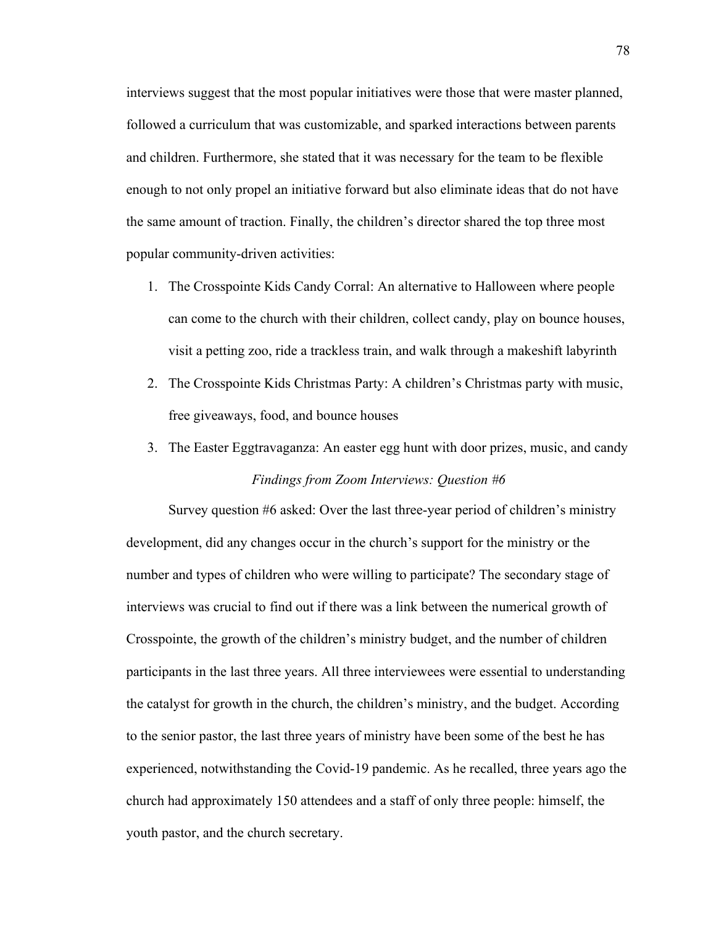interviews suggest that the most popular initiatives were those that were master planned, followed a curriculum that was customizable, and sparked interactions between parents and children. Furthermore, she stated that it was necessary for the team to be flexible enough to not only propel an initiative forward but also eliminate ideas that do not have the same amount of traction. Finally, the children's director shared the top three most popular community-driven activities:

- 1. The Crosspointe Kids Candy Corral: An alternative to Halloween where people can come to the church with their children, collect candy, play on bounce houses, visit a petting zoo, ride a trackless train, and walk through a makeshift labyrinth
- 2. The Crosspointe Kids Christmas Party: A children's Christmas party with music, free giveaways, food, and bounce houses
- 3. The Easter Eggtravaganza: An easter egg hunt with door prizes, music, and candy *Findings from Zoom Interviews: Question #6*

Survey question #6 asked: Over the last three-year period of children's ministry development, did any changes occur in the church's support for the ministry or the number and types of children who were willing to participate? The secondary stage of interviews was crucial to find out if there was a link between the numerical growth of Crosspointe, the growth of the children's ministry budget, and the number of children participants in the last three years. All three interviewees were essential to understanding the catalyst for growth in the church, the children's ministry, and the budget. According to the senior pastor, the last three years of ministry have been some of the best he has experienced, notwithstanding the Covid-19 pandemic. As he recalled, three years ago the church had approximately 150 attendees and a staff of only three people: himself, the youth pastor, and the church secretary.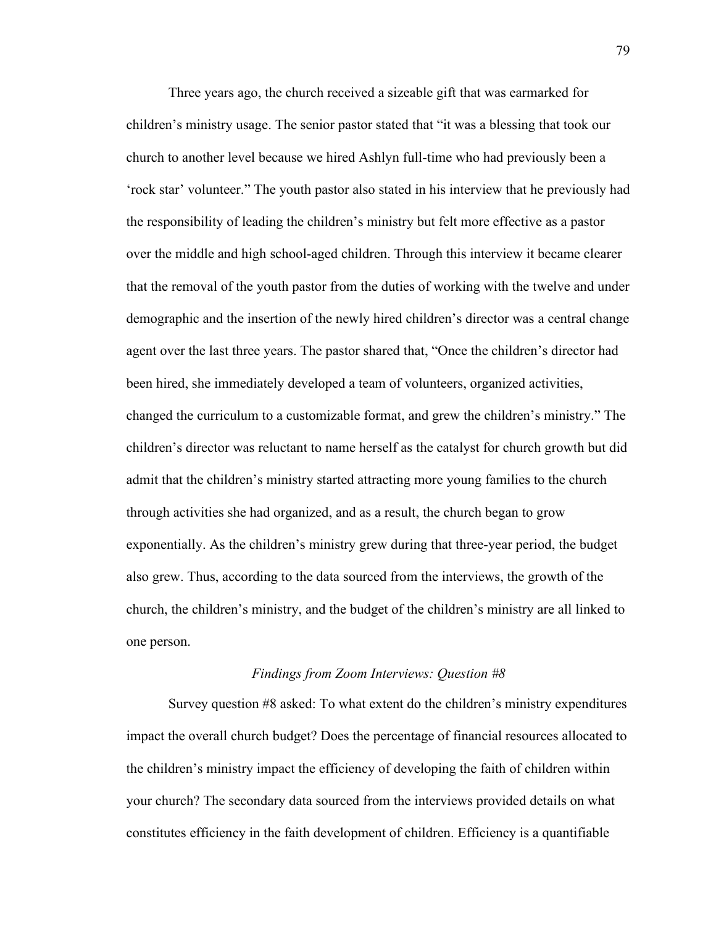Three years ago, the church received a sizeable gift that was earmarked for children's ministry usage. The senior pastor stated that "it was a blessing that took our church to another level because we hired Ashlyn full-time who had previously been a 'rock star' volunteer." The youth pastor also stated in his interview that he previously had the responsibility of leading the children's ministry but felt more effective as a pastor over the middle and high school-aged children. Through this interview it became clearer that the removal of the youth pastor from the duties of working with the twelve and under demographic and the insertion of the newly hired children's director was a central change agent over the last three years. The pastor shared that, "Once the children's director had been hired, she immediately developed a team of volunteers, organized activities, changed the curriculum to a customizable format, and grew the children's ministry." The children's director was reluctant to name herself as the catalyst for church growth but did admit that the children's ministry started attracting more young families to the church through activities she had organized, and as a result, the church began to grow exponentially. As the children's ministry grew during that three-year period, the budget also grew. Thus, according to the data sourced from the interviews, the growth of the church, the children's ministry, and the budget of the children's ministry are all linked to one person.

#### *Findings from Zoom Interviews: Question #8*

Survey question #8 asked: To what extent do the children's ministry expenditures impact the overall church budget? Does the percentage of financial resources allocated to the children's ministry impact the efficiency of developing the faith of children within your church? The secondary data sourced from the interviews provided details on what constitutes efficiency in the faith development of children. Efficiency is a quantifiable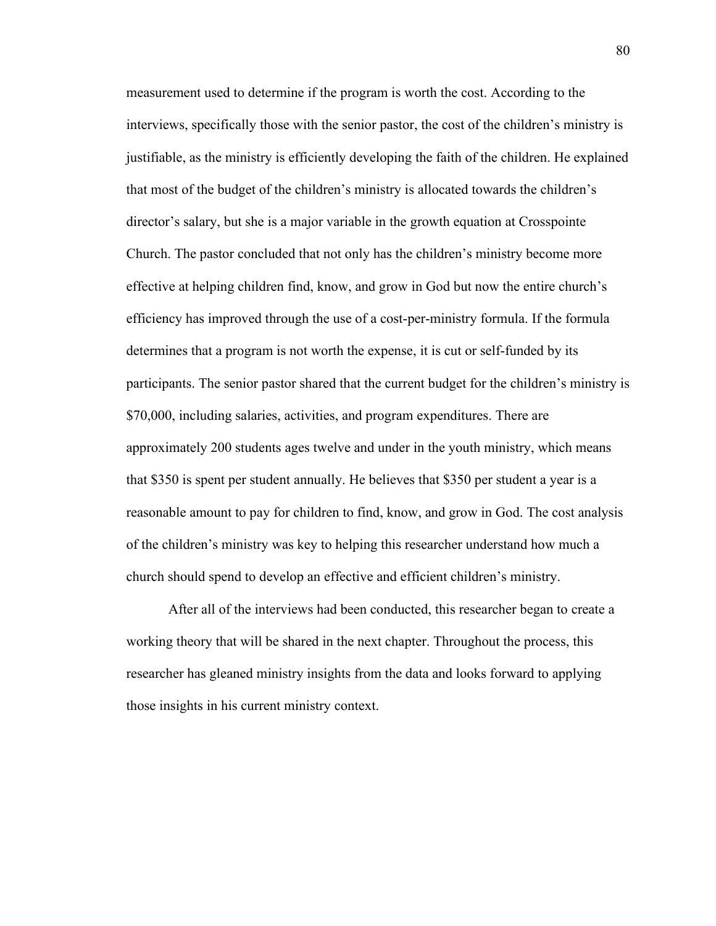measurement used to determine if the program is worth the cost. According to the interviews, specifically those with the senior pastor, the cost of the children's ministry is justifiable, as the ministry is efficiently developing the faith of the children. He explained that most of the budget of the children's ministry is allocated towards the children's director's salary, but she is a major variable in the growth equation at Crosspointe Church. The pastor concluded that not only has the children's ministry become more effective at helping children find, know, and grow in God but now the entire church's efficiency has improved through the use of a cost-per-ministry formula. If the formula determines that a program is not worth the expense, it is cut or self-funded by its participants. The senior pastor shared that the current budget for the children's ministry is \$70,000, including salaries, activities, and program expenditures. There are approximately 200 students ages twelve and under in the youth ministry, which means that \$350 is spent per student annually. He believes that \$350 per student a year is a reasonable amount to pay for children to find, know, and grow in God. The cost analysis of the children's ministry was key to helping this researcher understand how much a church should spend to develop an effective and efficient children's ministry.

After all of the interviews had been conducted, this researcher began to create a working theory that will be shared in the next chapter. Throughout the process, this researcher has gleaned ministry insights from the data and looks forward to applying those insights in his current ministry context.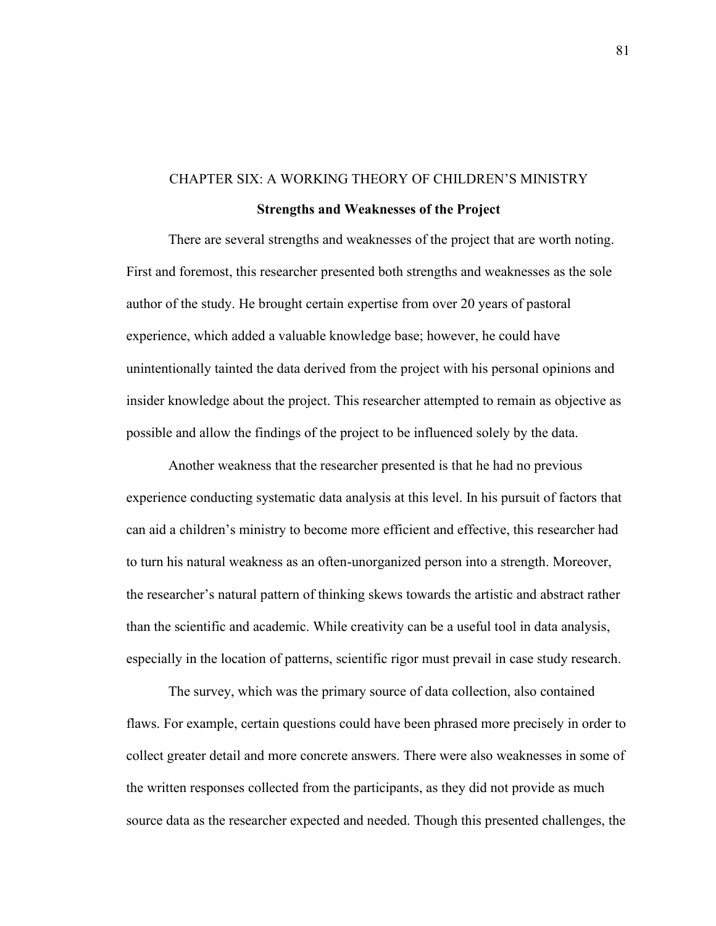# CHAPTER SIX: A WORKING THEORY OF CHILDREN'S MINISTRY

## **Strengths and Weaknesses of the Project**

There are several strengths and weaknesses of the project that are worth noting. First and foremost, this researcher presented both strengths and weaknesses as the sole author of the study. He brought certain expertise from over 20 years of pastoral experience, which added a valuable knowledge base; however, he could have unintentionally tainted the data derived from the project with his personal opinions and insider knowledge about the project. This researcher attempted to remain as objective as possible and allow the findings of the project to be influenced solely by the data.

Another weakness that the researcher presented is that he had no previous experience conducting systematic data analysis at this level. In his pursuit of factors that can aid a children's ministry to become more efficient and effective, this researcher had to turn his natural weakness as an often-unorganized person into a strength. Moreover, the researcher's natural pattern of thinking skews towards the artistic and abstract rather than the scientific and academic. While creativity can be a useful tool in data analysis, especially in the location of patterns, scientific rigor must prevail in case study research.

The survey, which was the primary source of data collection, also contained flaws. For example, certain questions could have been phrased more precisely in order to collect greater detail and more concrete answers. There were also weaknesses in some of the written responses collected from the participants, as they did not provide as much source data as the researcher expected and needed. Though this presented challenges, the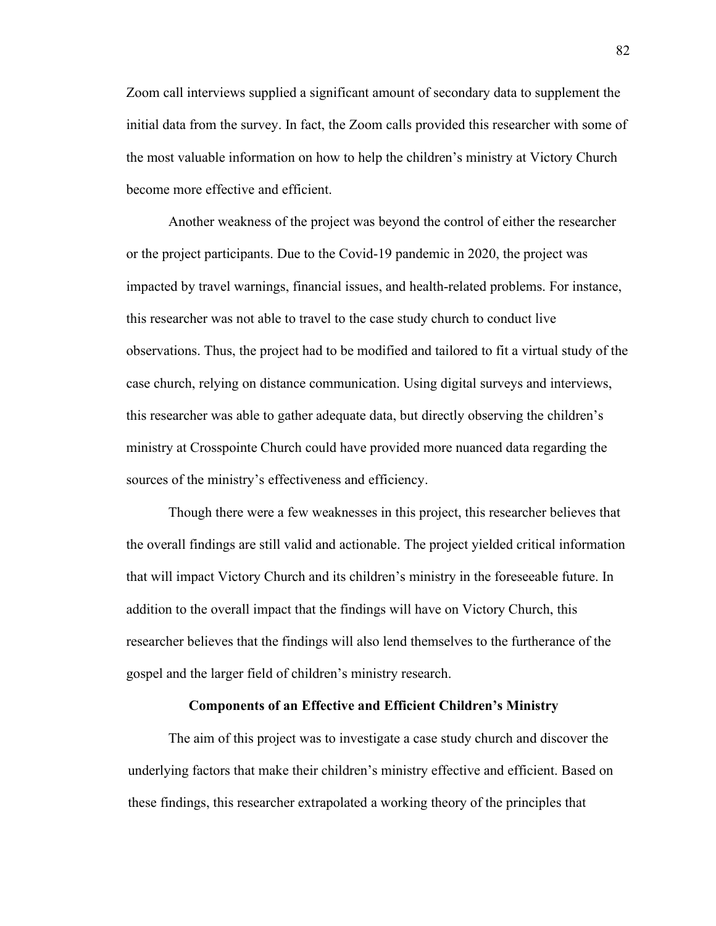Zoom call interviews supplied a significant amount of secondary data to supplement the initial data from the survey. In fact, the Zoom calls provided this researcher with some of the most valuable information on how to help the children's ministry at Victory Church become more effective and efficient.

Another weakness of the project was beyond the control of either the researcher or the project participants. Due to the Covid-19 pandemic in 2020, the project was impacted by travel warnings, financial issues, and health-related problems. For instance, this researcher was not able to travel to the case study church to conduct live observations. Thus, the project had to be modified and tailored to fit a virtual study of the case church, relying on distance communication. Using digital surveys and interviews, this researcher was able to gather adequate data, but directly observing the children's ministry at Crosspointe Church could have provided more nuanced data regarding the sources of the ministry's effectiveness and efficiency.

Though there were a few weaknesses in this project, this researcher believes that the overall findings are still valid and actionable. The project yielded critical information that will impact Victory Church and its children's ministry in the foreseeable future. In addition to the overall impact that the findings will have on Victory Church, this researcher believes that the findings will also lend themselves to the furtherance of the gospel and the larger field of children's ministry research.

#### **Components of an Effective and Efficient Children's Ministry**

The aim of this project was to investigate a case study church and discover the underlying factors that make their children's ministry effective and efficient. Based on these findings, this researcher extrapolated a working theory of the principles that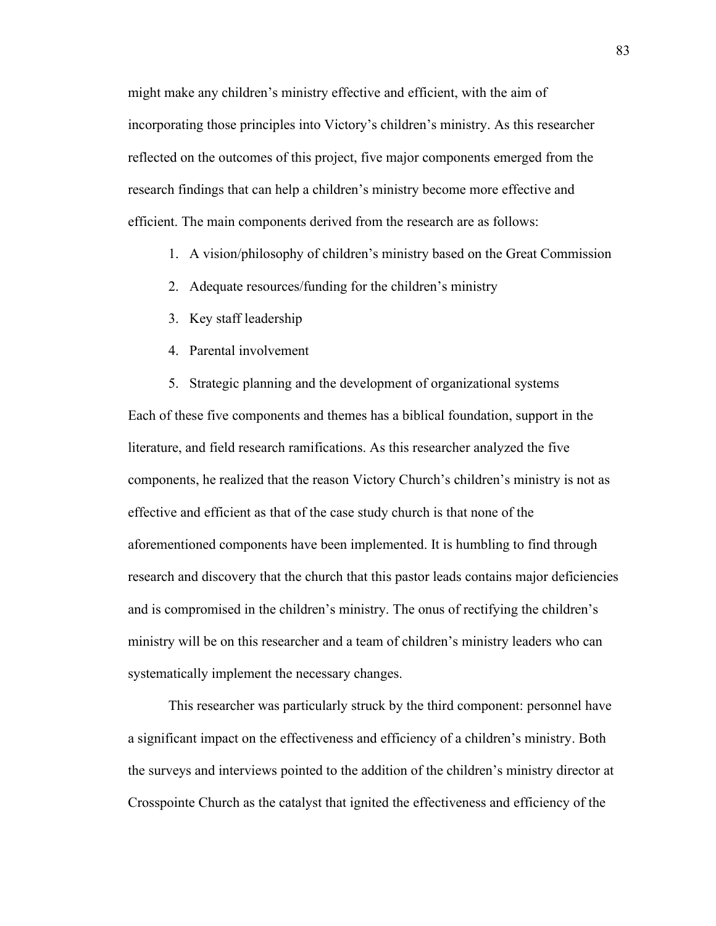might make any children's ministry effective and efficient, with the aim of incorporating those principles into Victory's children's ministry. As this researcher reflected on the outcomes of this project, five major components emerged from the research findings that can help a children's ministry become more effective and efficient. The main components derived from the research are as follows:

- 1. A vision/philosophy of children's ministry based on the Great Commission
- 2. Adequate resources/funding for the children's ministry
- 3. Key staff leadership
- 4. Parental involvement
- 5. Strategic planning and the development of organizational systems

Each of these five components and themes has a biblical foundation, support in the literature, and field research ramifications. As this researcher analyzed the five components, he realized that the reason Victory Church's children's ministry is not as effective and efficient as that of the case study church is that none of the aforementioned components have been implemented. It is humbling to find through research and discovery that the church that this pastor leads contains major deficiencies and is compromised in the children's ministry. The onus of rectifying the children's ministry will be on this researcher and a team of children's ministry leaders who can systematically implement the necessary changes.

This researcher was particularly struck by the third component: personnel have a significant impact on the effectiveness and efficiency of a children's ministry. Both the surveys and interviews pointed to the addition of the children's ministry director at Crosspointe Church as the catalyst that ignited the effectiveness and efficiency of the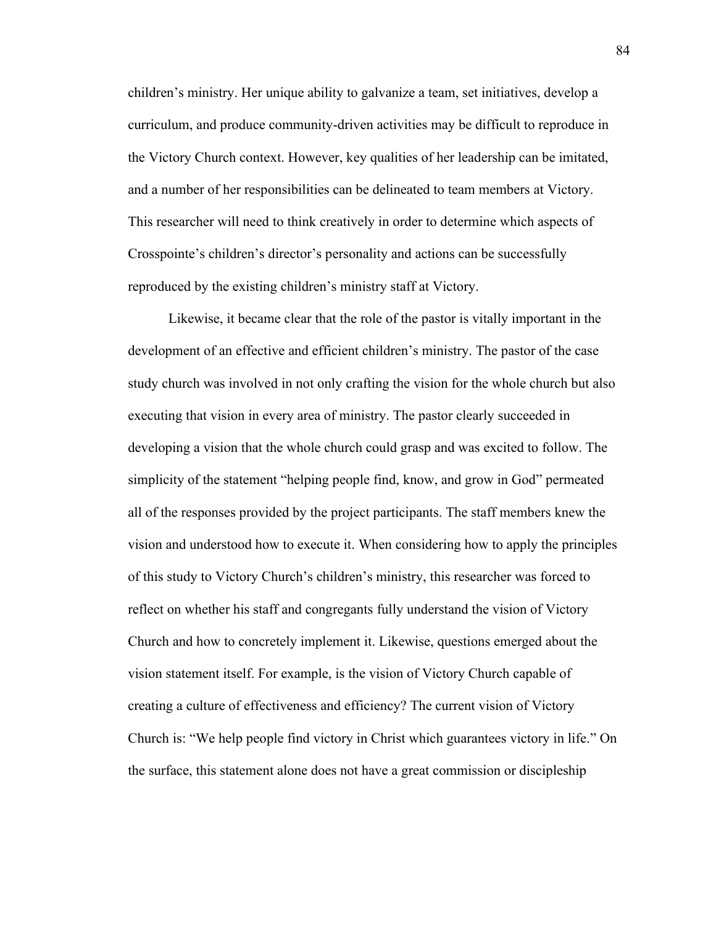children's ministry. Her unique ability to galvanize a team, set initiatives, develop a curriculum, and produce community-driven activities may be difficult to reproduce in the Victory Church context. However, key qualities of her leadership can be imitated, and a number of her responsibilities can be delineated to team members at Victory. This researcher will need to think creatively in order to determine which aspects of Crosspointe's children's director's personality and actions can be successfully reproduced by the existing children's ministry staff at Victory.

Likewise, it became clear that the role of the pastor is vitally important in the development of an effective and efficient children's ministry. The pastor of the case study church was involved in not only crafting the vision for the whole church but also executing that vision in every area of ministry. The pastor clearly succeeded in developing a vision that the whole church could grasp and was excited to follow. The simplicity of the statement "helping people find, know, and grow in God" permeated all of the responses provided by the project participants. The staff members knew the vision and understood how to execute it. When considering how to apply the principles of this study to Victory Church's children's ministry, this researcher was forced to reflect on whether his staff and congregants fully understand the vision of Victory Church and how to concretely implement it. Likewise, questions emerged about the vision statement itself. For example, is the vision of Victory Church capable of creating a culture of effectiveness and efficiency? The current vision of Victory Church is: "We help people find victory in Christ which guarantees victory in life." On the surface, this statement alone does not have a great commission or discipleship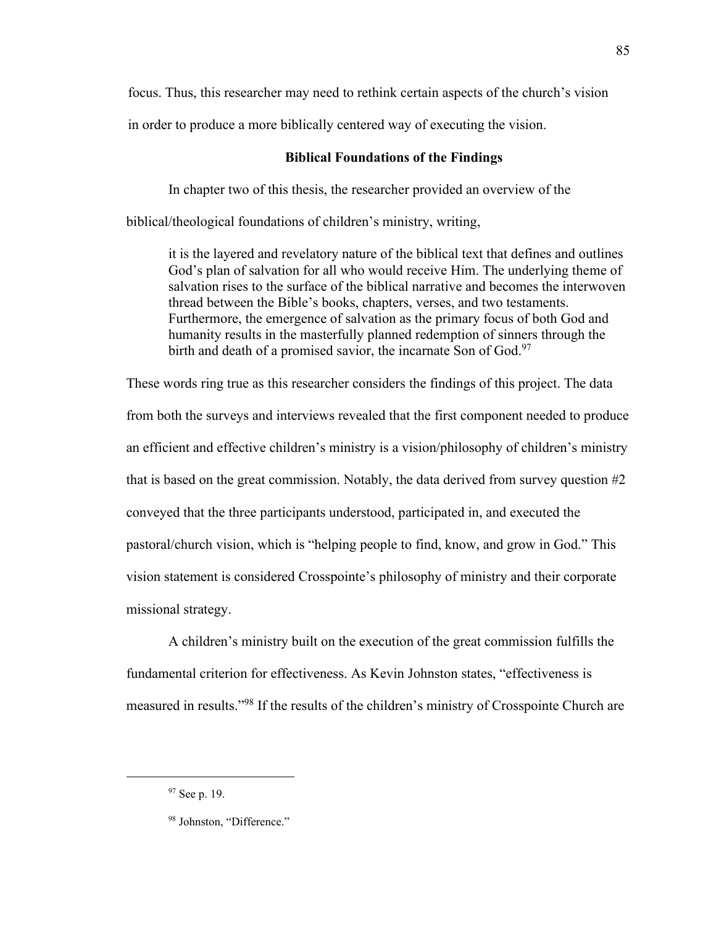focus. Thus, this researcher may need to rethink certain aspects of the church's vision

in order to produce a more biblically centered way of executing the vision.

#### **Biblical Foundations of the Findings**

In chapter two of this thesis, the researcher provided an overview of the

biblical/theological foundations of children's ministry, writing,

it is the layered and revelatory nature of the biblical text that defines and outlines God's plan of salvation for all who would receive Him. The underlying theme of salvation rises to the surface of the biblical narrative and becomes the interwoven thread between the Bible's books, chapters, verses, and two testaments. Furthermore, the emergence of salvation as the primary focus of both God and humanity results in the masterfully planned redemption of sinners through the birth and death of a promised savior, the incarnate Son of God.<sup>97</sup>

These words ring true as this researcher considers the findings of this project. The data from both the surveys and interviews revealed that the first component needed to produce an efficient and effective children's ministry is a vision/philosophy of children's ministry that is based on the great commission. Notably, the data derived from survey question #2 conveyed that the three participants understood, participated in, and executed the pastoral/church vision, which is "helping people to find, know, and grow in God." This vision statement is considered Crosspointe's philosophy of ministry and their corporate missional strategy.

A children's ministry built on the execution of the great commission fulfills the fundamental criterion for effectiveness. As Kevin Johnston states, "effectiveness is measured in results."<sup>98</sup> If the results of the children's ministry of Crosspointe Church are

85

<sup>97</sup> See p. 19.

<sup>98</sup> Johnston, "Difference."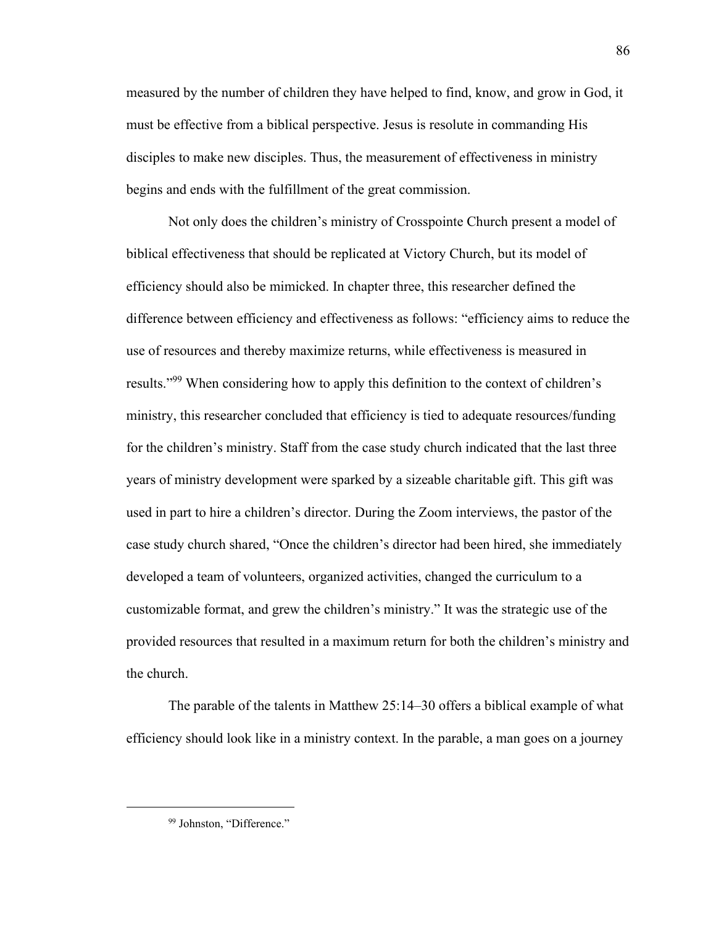measured by the number of children they have helped to find, know, and grow in God, it must be effective from a biblical perspective. Jesus is resolute in commanding His disciples to make new disciples. Thus, the measurement of effectiveness in ministry begins and ends with the fulfillment of the great commission.

Not only does the children's ministry of Crosspointe Church present a model of biblical effectiveness that should be replicated at Victory Church, but its model of efficiency should also be mimicked. In chapter three, this researcher defined the difference between efficiency and effectiveness as follows: "efficiency aims to reduce the use of resources and thereby maximize returns, while effectiveness is measured in results."<sup>99</sup> When considering how to apply this definition to the context of children's ministry, this researcher concluded that efficiency is tied to adequate resources/funding for the children's ministry. Staff from the case study church indicated that the last three years of ministry development were sparked by a sizeable charitable gift. This gift was used in part to hire a children's director. During the Zoom interviews, the pastor of the case study church shared, "Once the children's director had been hired, she immediately developed a team of volunteers, organized activities, changed the curriculum to a customizable format, and grew the children's ministry." It was the strategic use of the provided resources that resulted in a maximum return for both the children's ministry and the church.

The parable of the talents in Matthew 25:14–30 offers a biblical example of what efficiency should look like in a ministry context. In the parable, a man goes on a journey

<sup>99</sup> Johnston, "Difference."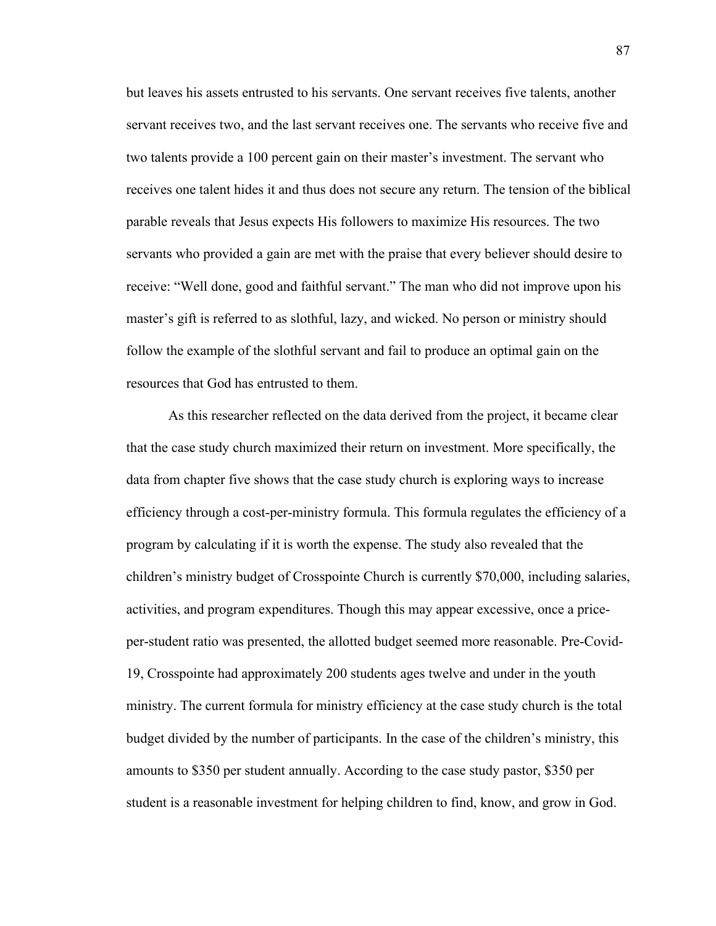but leaves his assets entrusted to his servants. One servant receives five talents, another servant receives two, and the last servant receives one. The servants who receive five and two talents provide a 100 percent gain on their master's investment. The servant who receives one talent hides it and thus does not secure any return. The tension of the biblical parable reveals that Jesus expects His followers to maximize His resources. The two servants who provided a gain are met with the praise that every believer should desire to receive: "Well done, good and faithful servant." The man who did not improve upon his master's gift is referred to as slothful, lazy, and wicked. No person or ministry should follow the example of the slothful servant and fail to produce an optimal gain on the resources that God has entrusted to them.

As this researcher reflected on the data derived from the project, it became clear that the case study church maximized their return on investment. More specifically, the data from chapter five shows that the case study church is exploring ways to increase efficiency through a cost-per-ministry formula. This formula regulates the efficiency of a program by calculating if it is worth the expense. The study also revealed that the children's ministry budget of Crosspointe Church is currently \$70,000, including salaries, activities, and program expenditures. Though this may appear excessive, once a priceper-student ratio was presented, the allotted budget seemed more reasonable. Pre-Covid-19, Crosspointe had approximately 200 students ages twelve and under in the youth ministry. The current formula for ministry efficiency at the case study church is the total budget divided by the number of participants. In the case of the children's ministry, this amounts to \$350 per student annually. According to the case study pastor, \$350 per student is a reasonable investment for helping children to find, know, and grow in God.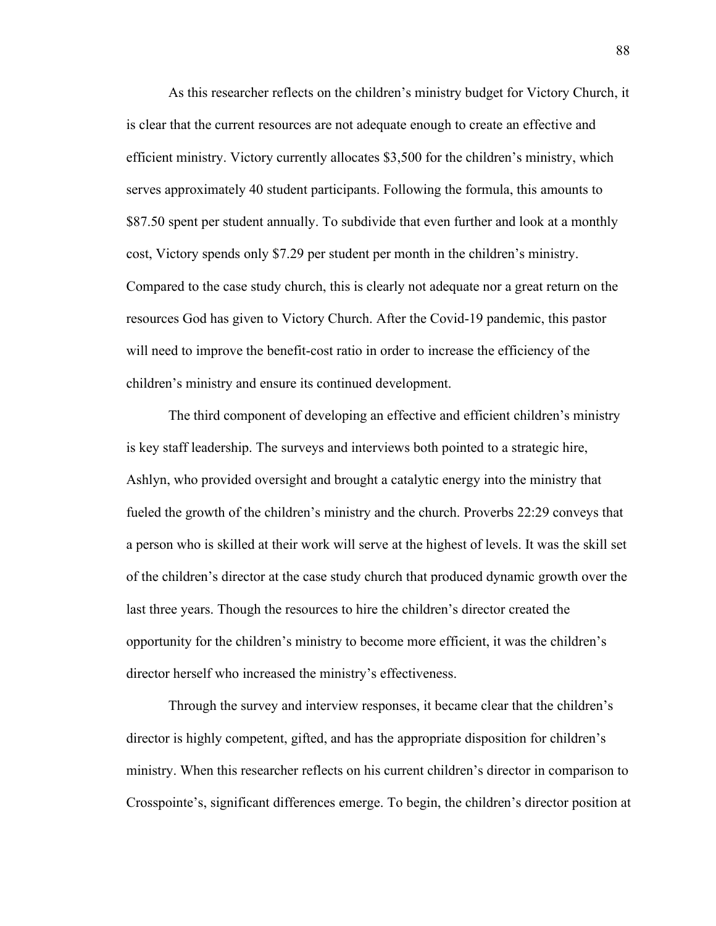As this researcher reflects on the children's ministry budget for Victory Church, it is clear that the current resources are not adequate enough to create an effective and efficient ministry. Victory currently allocates \$3,500 for the children's ministry, which serves approximately 40 student participants. Following the formula, this amounts to \$87.50 spent per student annually. To subdivide that even further and look at a monthly cost, Victory spends only \$7.29 per student per month in the children's ministry. Compared to the case study church, this is clearly not adequate nor a great return on the resources God has given to Victory Church. After the Covid-19 pandemic, this pastor will need to improve the benefit-cost ratio in order to increase the efficiency of the children's ministry and ensure its continued development.

The third component of developing an effective and efficient children's ministry is key staff leadership. The surveys and interviews both pointed to a strategic hire, Ashlyn, who provided oversight and brought a catalytic energy into the ministry that fueled the growth of the children's ministry and the church. Proverbs 22:29 conveys that a person who is skilled at their work will serve at the highest of levels. It was the skill set of the children's director at the case study church that produced dynamic growth over the last three years. Though the resources to hire the children's director created the opportunity for the children's ministry to become more efficient, it was the children's director herself who increased the ministry's effectiveness.

Through the survey and interview responses, it became clear that the children's director is highly competent, gifted, and has the appropriate disposition for children's ministry. When this researcher reflects on his current children's director in comparison to Crosspointe's, significant differences emerge. To begin, the children's director position at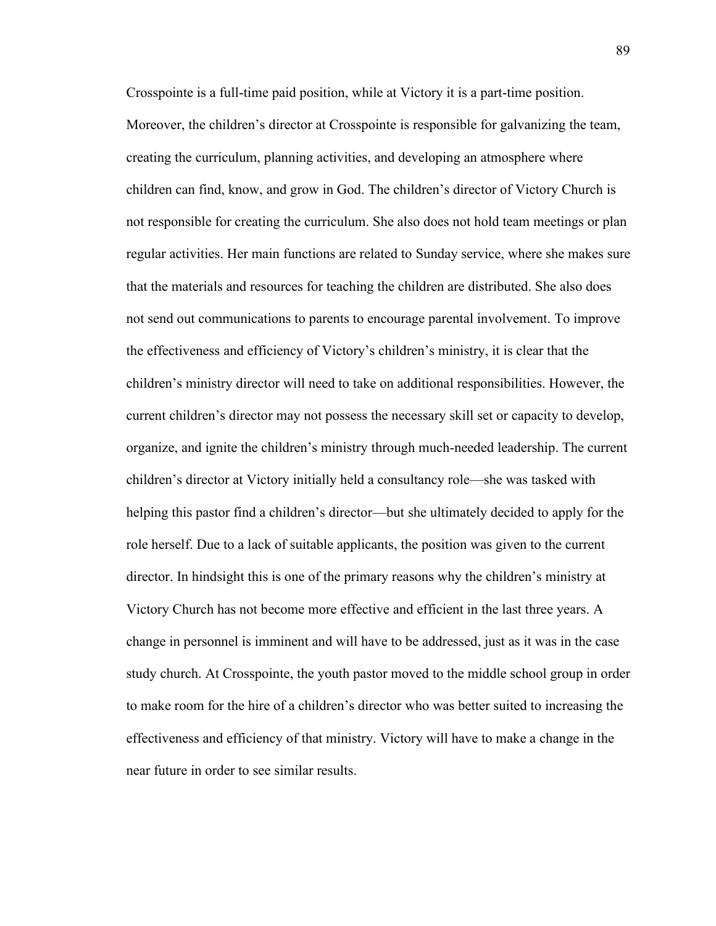Crosspointe is a full-time paid position, while at Victory it is a part-time position. Moreover, the children's director at Crosspointe is responsible for galvanizing the team, creating the curriculum, planning activities, and developing an atmosphere where children can find, know, and grow in God. The children's director of Victory Church is not responsible for creating the curriculum. She also does not hold team meetings or plan regular activities. Her main functions are related to Sunday service, where she makes sure that the materials and resources for teaching the children are distributed. She also does not send out communications to parents to encourage parental involvement. To improve the effectiveness and efficiency of Victory's children's ministry, it is clear that the children's ministry director will need to take on additional responsibilities. However, the current children's director may not possess the necessary skill set or capacity to develop, organize, and ignite the children's ministry through much-needed leadership. The current children's director at Victory initially held a consultancy role—she was tasked with helping this pastor find a children's director—but she ultimately decided to apply for the role herself. Due to a lack of suitable applicants, the position was given to the current director. In hindsight this is one of the primary reasons why the children's ministry at Victory Church has not become more effective and efficient in the last three years. A change in personnel is imminent and will have to be addressed, just as it was in the case study church. At Crosspointe, the youth pastor moved to the middle school group in order to make room for the hire of a children's director who was better suited to increasing the effectiveness and efficiency of that ministry. Victory will have to make a change in the near future in order to see similar results.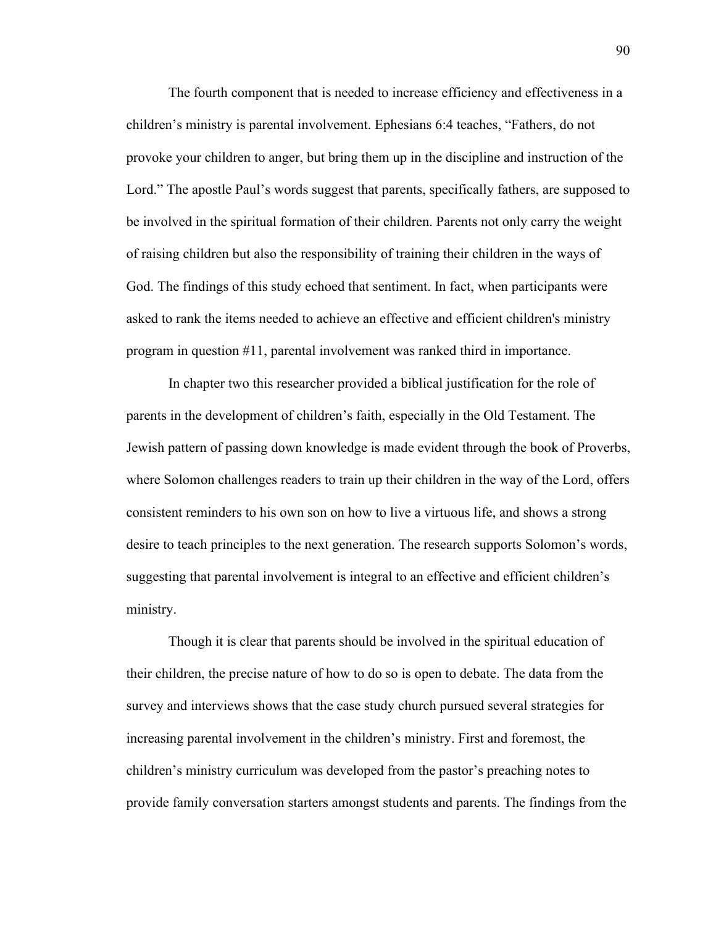The fourth component that is needed to increase efficiency and effectiveness in a children's ministry is parental involvement. Ephesians 6:4 teaches, "Fathers, do not provoke your children to anger, but bring them up in the discipline and instruction of the Lord." The apostle Paul's words suggest that parents, specifically fathers, are supposed to be involved in the spiritual formation of their children. Parents not only carry the weight of raising children but also the responsibility of training their children in the ways of God. The findings of this study echoed that sentiment. In fact, when participants were asked to rank the items needed to achieve an effective and efficient children's ministry program in question #11, parental involvement was ranked third in importance.

In chapter two this researcher provided a biblical justification for the role of parents in the development of children's faith, especially in the Old Testament. The Jewish pattern of passing down knowledge is made evident through the book of Proverbs, where Solomon challenges readers to train up their children in the way of the Lord, offers consistent reminders to his own son on how to live a virtuous life, and shows a strong desire to teach principles to the next generation. The research supports Solomon's words, suggesting that parental involvement is integral to an effective and efficient children's ministry.

Though it is clear that parents should be involved in the spiritual education of their children, the precise nature of how to do so is open to debate. The data from the survey and interviews shows that the case study church pursued several strategies for increasing parental involvement in the children's ministry. First and foremost, the children's ministry curriculum was developed from the pastor's preaching notes to provide family conversation starters amongst students and parents. The findings from the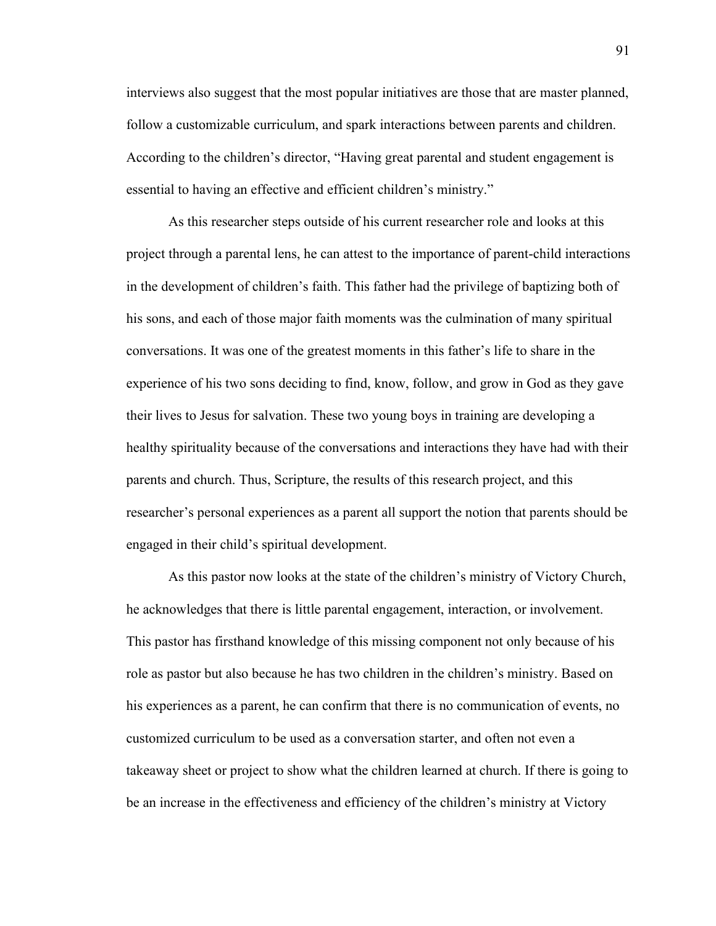interviews also suggest that the most popular initiatives are those that are master planned, follow a customizable curriculum, and spark interactions between parents and children. According to the children's director, "Having great parental and student engagement is essential to having an effective and efficient children's ministry."

As this researcher steps outside of his current researcher role and looks at this project through a parental lens, he can attest to the importance of parent-child interactions in the development of children's faith. This father had the privilege of baptizing both of his sons, and each of those major faith moments was the culmination of many spiritual conversations. It was one of the greatest moments in this father's life to share in the experience of his two sons deciding to find, know, follow, and grow in God as they gave their lives to Jesus for salvation. These two young boys in training are developing a healthy spirituality because of the conversations and interactions they have had with their parents and church. Thus, Scripture, the results of this research project, and this researcher's personal experiences as a parent all support the notion that parents should be engaged in their child's spiritual development.

As this pastor now looks at the state of the children's ministry of Victory Church, he acknowledges that there is little parental engagement, interaction, or involvement. This pastor has firsthand knowledge of this missing component not only because of his role as pastor but also because he has two children in the children's ministry. Based on his experiences as a parent, he can confirm that there is no communication of events, no customized curriculum to be used as a conversation starter, and often not even a takeaway sheet or project to show what the children learned at church. If there is going to be an increase in the effectiveness and efficiency of the children's ministry at Victory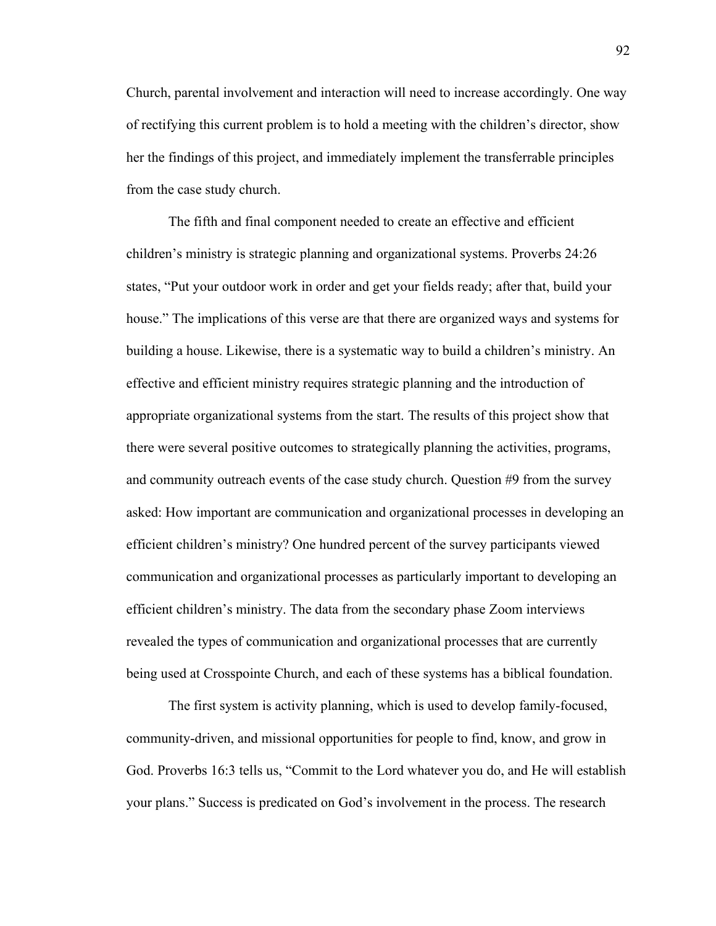Church, parental involvement and interaction will need to increase accordingly. One way of rectifying this current problem is to hold a meeting with the children's director, show her the findings of this project, and immediately implement the transferrable principles from the case study church.

The fifth and final component needed to create an effective and efficient children's ministry is strategic planning and organizational systems. Proverbs 24:26 states, "Put your outdoor work in order and get your fields ready; after that, build your house." The implications of this verse are that there are organized ways and systems for building a house. Likewise, there is a systematic way to build a children's ministry. An effective and efficient ministry requires strategic planning and the introduction of appropriate organizational systems from the start. The results of this project show that there were several positive outcomes to strategically planning the activities, programs, and community outreach events of the case study church. Question #9 from the survey asked: How important are communication and organizational processes in developing an efficient children's ministry? One hundred percent of the survey participants viewed communication and organizational processes as particularly important to developing an efficient children's ministry. The data from the secondary phase Zoom interviews revealed the types of communication and organizational processes that are currently being used at Crosspointe Church, and each of these systems has a biblical foundation.

The first system is activity planning, which is used to develop family-focused, community-driven, and missional opportunities for people to find, know, and grow in God. Proverbs 16:3 tells us, "Commit to the Lord whatever you do, and He will establish your plans." Success is predicated on God's involvement in the process. The research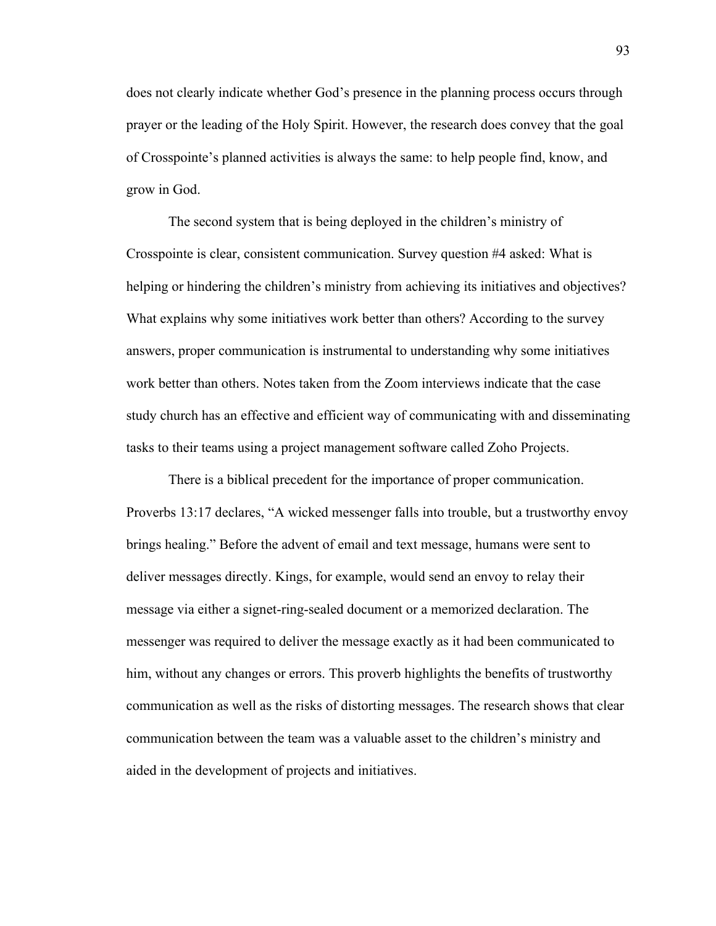does not clearly indicate whether God's presence in the planning process occurs through prayer or the leading of the Holy Spirit. However, the research does convey that the goal of Crosspointe's planned activities is always the same: to help people find, know, and grow in God.

The second system that is being deployed in the children's ministry of Crosspointe is clear, consistent communication. Survey question #4 asked: What is helping or hindering the children's ministry from achieving its initiatives and objectives? What explains why some initiatives work better than others? According to the survey answers, proper communication is instrumental to understanding why some initiatives work better than others. Notes taken from the Zoom interviews indicate that the case study church has an effective and efficient way of communicating with and disseminating tasks to their teams using a project management software called Zoho Projects.

There is a biblical precedent for the importance of proper communication. Proverbs 13:17 declares, "A wicked messenger falls into trouble, but a trustworthy envoy brings healing." Before the advent of email and text message, humans were sent to deliver messages directly. Kings, for example, would send an envoy to relay their message via either a signet-ring-sealed document or a memorized declaration. The messenger was required to deliver the message exactly as it had been communicated to him, without any changes or errors. This proverb highlights the benefits of trustworthy communication as well as the risks of distorting messages. The research shows that clear communication between the team was a valuable asset to the children's ministry and aided in the development of projects and initiatives.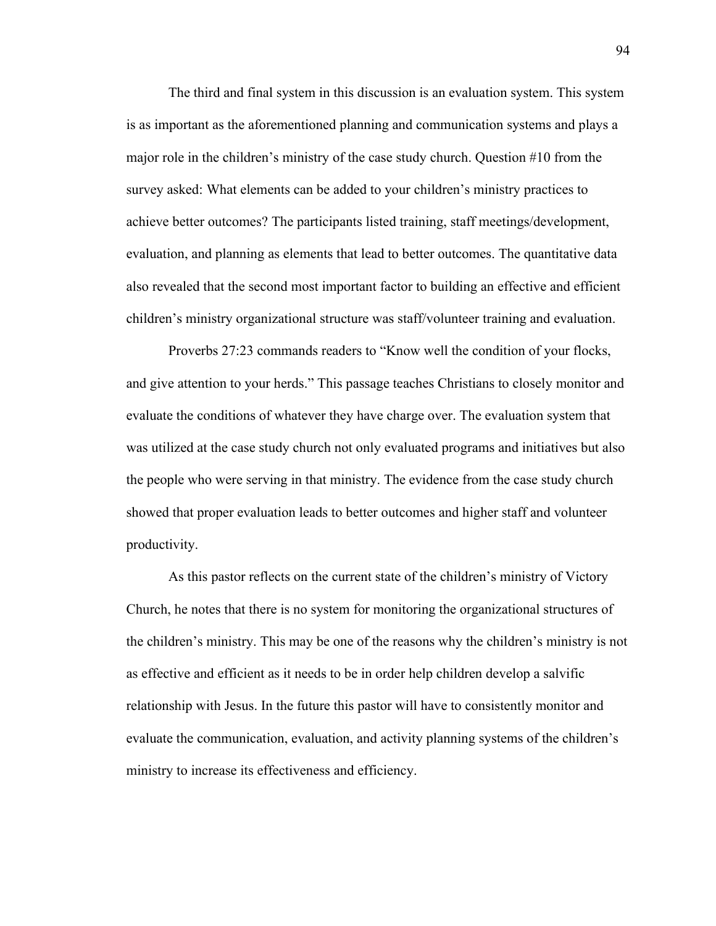The third and final system in this discussion is an evaluation system. This system is as important as the aforementioned planning and communication systems and plays a major role in the children's ministry of the case study church. Question #10 from the survey asked: What elements can be added to your children's ministry practices to achieve better outcomes? The participants listed training, staff meetings/development, evaluation, and planning as elements that lead to better outcomes. The quantitative data also revealed that the second most important factor to building an effective and efficient children's ministry organizational structure was staff/volunteer training and evaluation.

Proverbs 27:23 commands readers to "Know well the condition of your flocks, and give attention to your herds." This passage teaches Christians to closely monitor and evaluate the conditions of whatever they have charge over. The evaluation system that was utilized at the case study church not only evaluated programs and initiatives but also the people who were serving in that ministry. The evidence from the case study church showed that proper evaluation leads to better outcomes and higher staff and volunteer productivity.

As this pastor reflects on the current state of the children's ministry of Victory Church, he notes that there is no system for monitoring the organizational structures of the children's ministry. This may be one of the reasons why the children's ministry is not as effective and efficient as it needs to be in order help children develop a salvific relationship with Jesus. In the future this pastor will have to consistently monitor and evaluate the communication, evaluation, and activity planning systems of the children's ministry to increase its effectiveness and efficiency.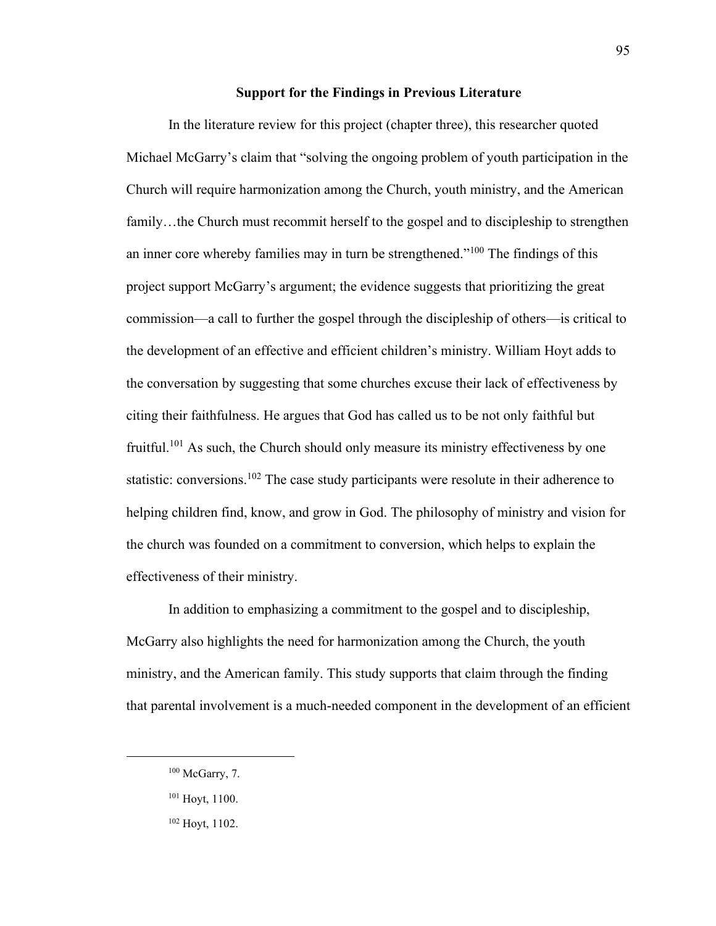#### **Support for the Findings in Previous Literature**

In the literature review for this project (chapter three), this researcher quoted Michael McGarry's claim that "solving the ongoing problem of youth participation in the Church will require harmonization among the Church, youth ministry, and the American family...the Church must recommit herself to the gospel and to discipleship to strengthen an inner core whereby families may in turn be strengthened."<sup>100</sup> The findings of this project support McGarry's argument; the evidence suggests that prioritizing the great commission—a call to further the gospel through the discipleship of others—is critical to the development of an effective and efficient children's ministry. William Hoyt adds to the conversation by suggesting that some churches excuse their lack of effectiveness by citing their faithfulness. He argues that God has called us to be not only faithful but fruitful.<sup>101</sup> As such, the Church should only measure its ministry effectiveness by one statistic: conversions.<sup>102</sup> The case study participants were resolute in their adherence to helping children find, know, and grow in God. The philosophy of ministry and vision for the church was founded on a commitment to conversion, which helps to explain the effectiveness of their ministry.

In addition to emphasizing a commitment to the gospel and to discipleship, McGarry also highlights the need for harmonization among the Church, the youth ministry, and the American family. This study supports that claim through the finding that parental involvement is a much-needed component in the development of an efficient

 $100$  McGarry, 7.

<sup>101</sup> Hoyt, 1100.

<sup>102</sup> Hoyt, 1102.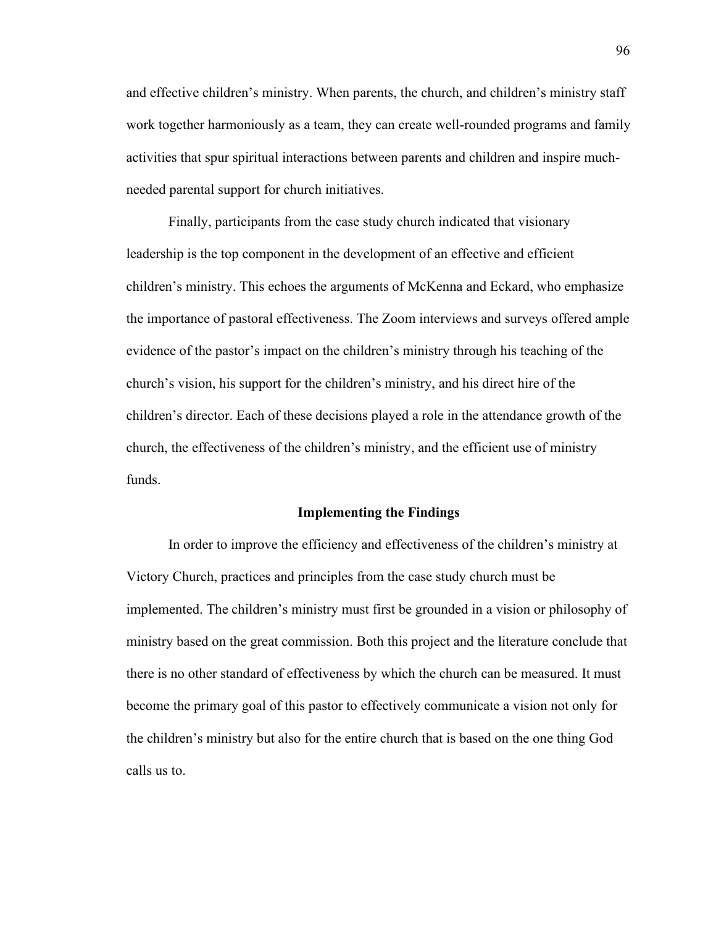and effective children's ministry. When parents, the church, and children's ministry staff work together harmoniously as a team, they can create well-rounded programs and family activities that spur spiritual interactions between parents and children and inspire muchneeded parental support for church initiatives.

Finally, participants from the case study church indicated that visionary leadership is the top component in the development of an effective and efficient children's ministry. This echoes the arguments of McKenna and Eckard, who emphasize the importance of pastoral effectiveness. The Zoom interviews and surveys offered ample evidence of the pastor's impact on the children's ministry through his teaching of the church's vision, his support for the children's ministry, and his direct hire of the children's director. Each of these decisions played a role in the attendance growth of the church, the effectiveness of the children's ministry, and the efficient use of ministry funds.

#### **Implementing the Findings**

In order to improve the efficiency and effectiveness of the children's ministry at Victory Church, practices and principles from the case study church must be implemented. The children's ministry must first be grounded in a vision or philosophy of ministry based on the great commission. Both this project and the literature conclude that there is no other standard of effectiveness by which the church can be measured. It must become the primary goal of this pastor to effectively communicate a vision not only for the children's ministry but also for the entire church that is based on the one thing God calls us to.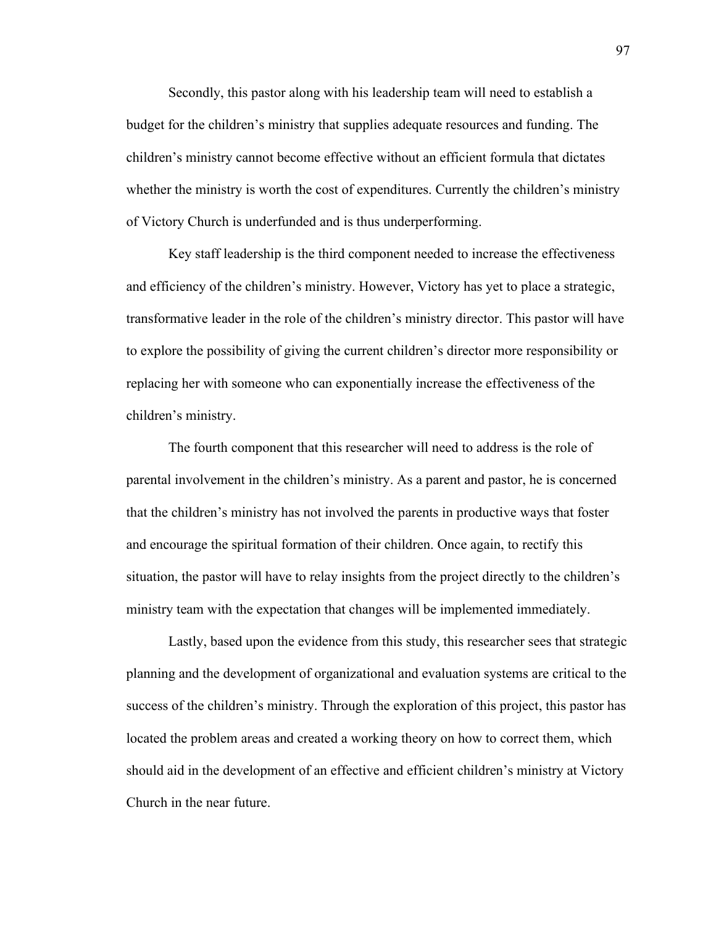Secondly, this pastor along with his leadership team will need to establish a budget for the children's ministry that supplies adequate resources and funding. The children's ministry cannot become effective without an efficient formula that dictates whether the ministry is worth the cost of expenditures. Currently the children's ministry of Victory Church is underfunded and is thus underperforming.

Key staff leadership is the third component needed to increase the effectiveness and efficiency of the children's ministry. However, Victory has yet to place a strategic, transformative leader in the role of the children's ministry director. This pastor will have to explore the possibility of giving the current children's director more responsibility or replacing her with someone who can exponentially increase the effectiveness of the children's ministry.

The fourth component that this researcher will need to address is the role of parental involvement in the children's ministry. As a parent and pastor, he is concerned that the children's ministry has not involved the parents in productive ways that foster and encourage the spiritual formation of their children. Once again, to rectify this situation, the pastor will have to relay insights from the project directly to the children's ministry team with the expectation that changes will be implemented immediately.

Lastly, based upon the evidence from this study, this researcher sees that strategic planning and the development of organizational and evaluation systems are critical to the success of the children's ministry. Through the exploration of this project, this pastor has located the problem areas and created a working theory on how to correct them, which should aid in the development of an effective and efficient children's ministry at Victory Church in the near future.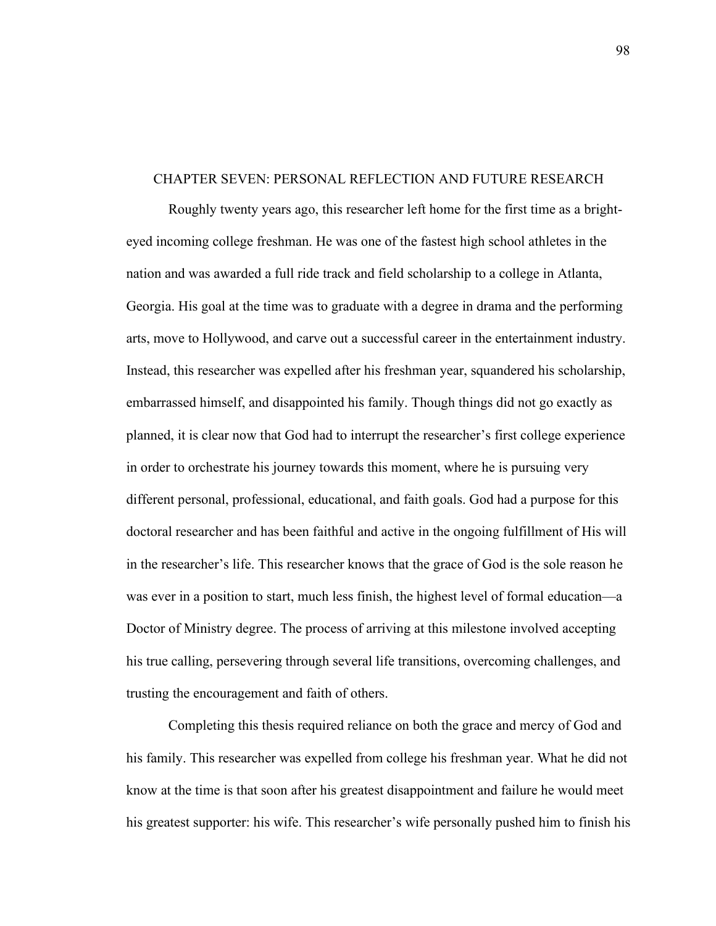#### CHAPTER SEVEN: PERSONAL REFLECTION AND FUTURE RESEARCH

Roughly twenty years ago, this researcher left home for the first time as a brighteyed incoming college freshman. He was one of the fastest high school athletes in the nation and was awarded a full ride track and field scholarship to a college in Atlanta, Georgia. His goal at the time was to graduate with a degree in drama and the performing arts, move to Hollywood, and carve out a successful career in the entertainment industry. Instead, this researcher was expelled after his freshman year, squandered his scholarship, embarrassed himself, and disappointed his family. Though things did not go exactly as planned, it is clear now that God had to interrupt the researcher's first college experience in order to orchestrate his journey towards this moment, where he is pursuing very different personal, professional, educational, and faith goals. God had a purpose for this doctoral researcher and has been faithful and active in the ongoing fulfillment of His will in the researcher's life. This researcher knows that the grace of God is the sole reason he was ever in a position to start, much less finish, the highest level of formal education—a Doctor of Ministry degree. The process of arriving at this milestone involved accepting his true calling, persevering through several life transitions, overcoming challenges, and trusting the encouragement and faith of others.

Completing this thesis required reliance on both the grace and mercy of God and his family. This researcher was expelled from college his freshman year. What he did not know at the time is that soon after his greatest disappointment and failure he would meet his greatest supporter: his wife. This researcher's wife personally pushed him to finish his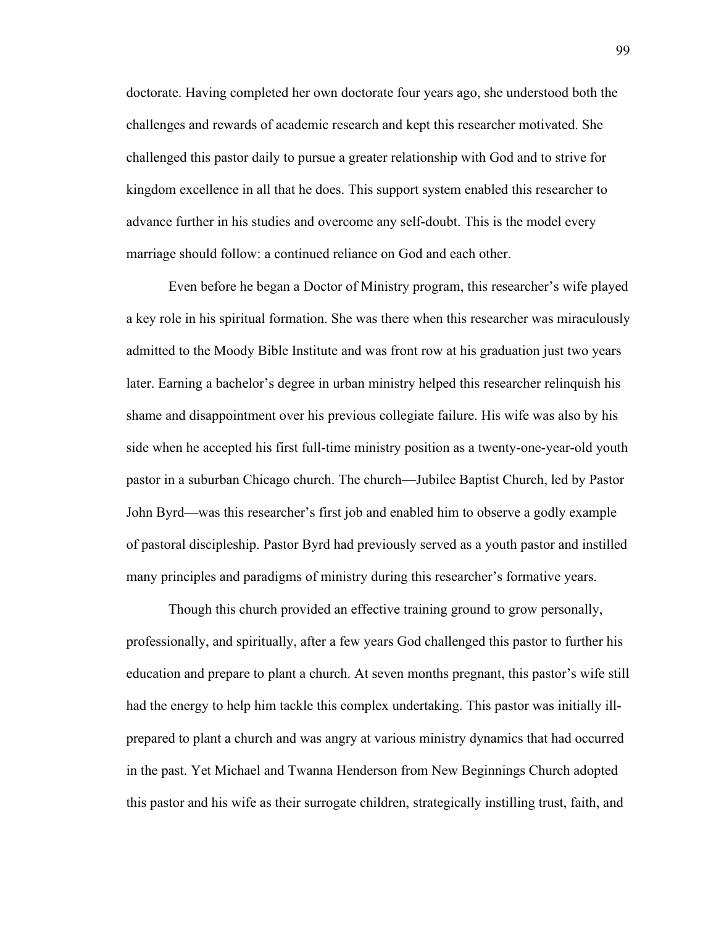doctorate. Having completed her own doctorate four years ago, she understood both the challenges and rewards of academic research and kept this researcher motivated. She challenged this pastor daily to pursue a greater relationship with God and to strive for kingdom excellence in all that he does. This support system enabled this researcher to advance further in his studies and overcome any self-doubt. This is the model every marriage should follow: a continued reliance on God and each other.

Even before he began a Doctor of Ministry program, this researcher's wife played a key role in his spiritual formation. She was there when this researcher was miraculously admitted to the Moody Bible Institute and was front row at his graduation just two years later. Earning a bachelor's degree in urban ministry helped this researcher relinquish his shame and disappointment over his previous collegiate failure. His wife was also by his side when he accepted his first full-time ministry position as a twenty-one-year-old youth pastor in a suburban Chicago church. The church—Jubilee Baptist Church, led by Pastor John Byrd—was this researcher's first job and enabled him to observe a godly example of pastoral discipleship. Pastor Byrd had previously served as a youth pastor and instilled many principles and paradigms of ministry during this researcher's formative years.

Though this church provided an effective training ground to grow personally, professionally, and spiritually, after a few years God challenged this pastor to further his education and prepare to plant a church. At seven months pregnant, this pastor's wife still had the energy to help him tackle this complex undertaking. This pastor was initially illprepared to plant a church and was angry at various ministry dynamics that had occurred in the past. Yet Michael and Twanna Henderson from New Beginnings Church adopted this pastor and his wife as their surrogate children, strategically instilling trust, faith, and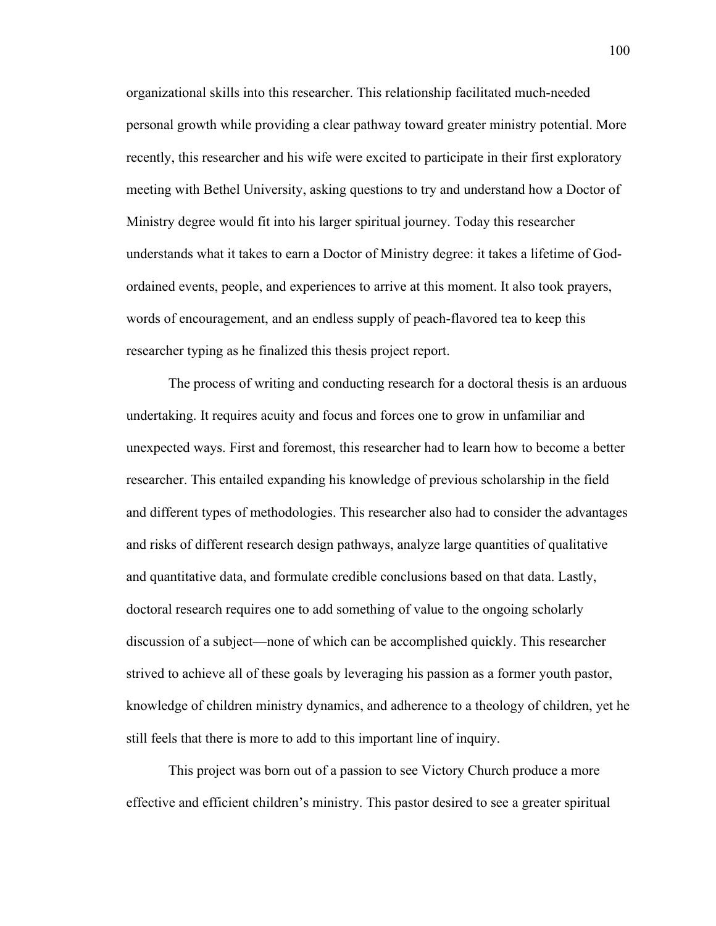organizational skills into this researcher. This relationship facilitated much-needed personal growth while providing a clear pathway toward greater ministry potential. More recently, this researcher and his wife were excited to participate in their first exploratory meeting with Bethel University, asking questions to try and understand how a Doctor of Ministry degree would fit into his larger spiritual journey. Today this researcher understands what it takes to earn a Doctor of Ministry degree: it takes a lifetime of Godordained events, people, and experiences to arrive at this moment. It also took prayers, words of encouragement, and an endless supply of peach-flavored tea to keep this researcher typing as he finalized this thesis project report.

The process of writing and conducting research for a doctoral thesis is an arduous undertaking. It requires acuity and focus and forces one to grow in unfamiliar and unexpected ways. First and foremost, this researcher had to learn how to become a better researcher. This entailed expanding his knowledge of previous scholarship in the field and different types of methodologies. This researcher also had to consider the advantages and risks of different research design pathways, analyze large quantities of qualitative and quantitative data, and formulate credible conclusions based on that data. Lastly, doctoral research requires one to add something of value to the ongoing scholarly discussion of a subject—none of which can be accomplished quickly. This researcher strived to achieve all of these goals by leveraging his passion as a former youth pastor, knowledge of children ministry dynamics, and adherence to a theology of children, yet he still feels that there is more to add to this important line of inquiry.

This project was born out of a passion to see Victory Church produce a more effective and efficient children's ministry. This pastor desired to see a greater spiritual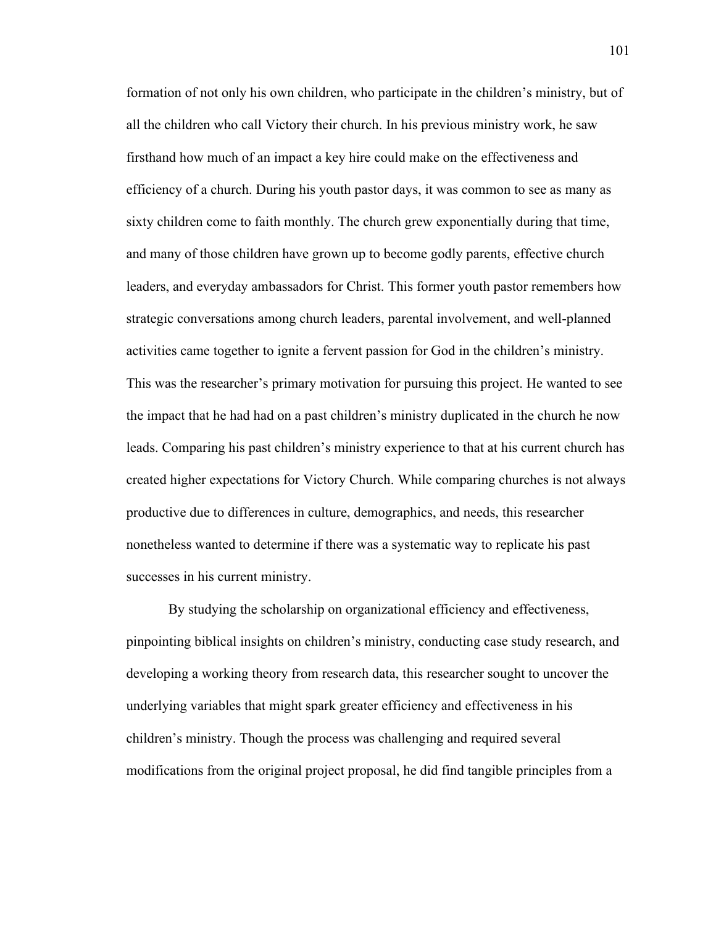formation of not only his own children, who participate in the children's ministry, but of all the children who call Victory their church. In his previous ministry work, he saw firsthand how much of an impact a key hire could make on the effectiveness and efficiency of a church. During his youth pastor days, it was common to see as many as sixty children come to faith monthly. The church grew exponentially during that time, and many of those children have grown up to become godly parents, effective church leaders, and everyday ambassadors for Christ. This former youth pastor remembers how strategic conversations among church leaders, parental involvement, and well-planned activities came together to ignite a fervent passion for God in the children's ministry. This was the researcher's primary motivation for pursuing this project. He wanted to see the impact that he had had on a past children's ministry duplicated in the church he now leads. Comparing his past children's ministry experience to that at his current church has created higher expectations for Victory Church. While comparing churches is not always productive due to differences in culture, demographics, and needs, this researcher nonetheless wanted to determine if there was a systematic way to replicate his past successes in his current ministry.

By studying the scholarship on organizational efficiency and effectiveness, pinpointing biblical insights on children's ministry, conducting case study research, and developing a working theory from research data, this researcher sought to uncover the underlying variables that might spark greater efficiency and effectiveness in his children's ministry. Though the process was challenging and required several modifications from the original project proposal, he did find tangible principles from a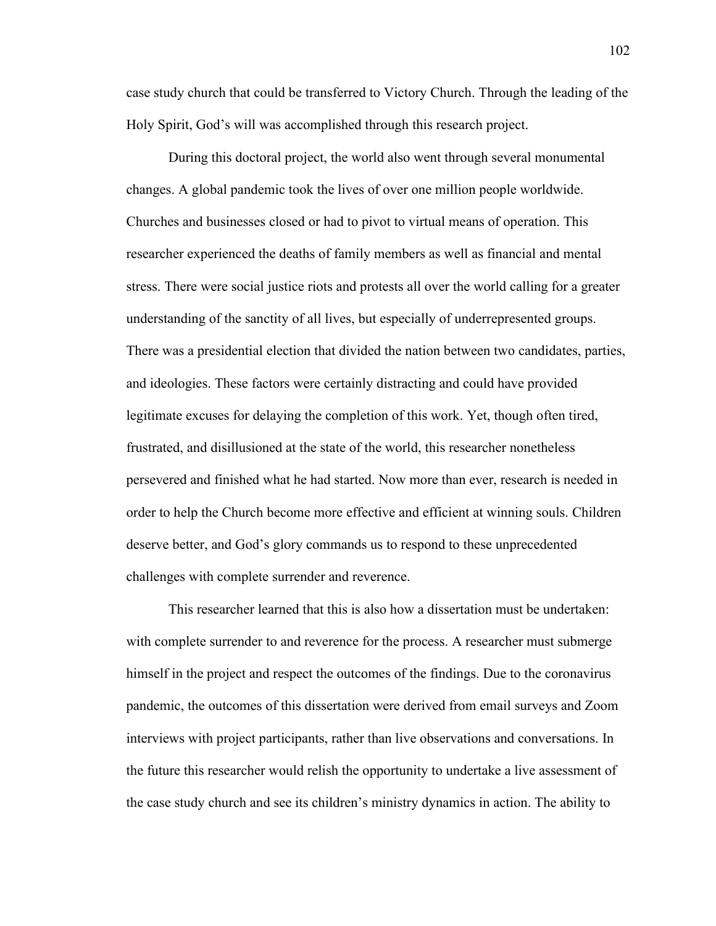case study church that could be transferred to Victory Church. Through the leading of the Holy Spirit, God's will was accomplished through this research project.

During this doctoral project, the world also went through several monumental changes. A global pandemic took the lives of over one million people worldwide. Churches and businesses closed or had to pivot to virtual means of operation. This researcher experienced the deaths of family members as well as financial and mental stress. There were social justice riots and protests all over the world calling for a greater understanding of the sanctity of all lives, but especially of underrepresented groups. There was a presidential election that divided the nation between two candidates, parties, and ideologies. These factors were certainly distracting and could have provided legitimate excuses for delaying the completion of this work. Yet, though often tired, frustrated, and disillusioned at the state of the world, this researcher nonetheless persevered and finished what he had started. Now more than ever, research is needed in order to help the Church become more effective and efficient at winning souls. Children deserve better, and God's glory commands us to respond to these unprecedented challenges with complete surrender and reverence.

This researcher learned that this is also how a dissertation must be undertaken: with complete surrender to and reverence for the process. A researcher must submerge himself in the project and respect the outcomes of the findings. Due to the coronavirus pandemic, the outcomes of this dissertation were derived from email surveys and Zoom interviews with project participants, rather than live observations and conversations. In the future this researcher would relish the opportunity to undertake a live assessment of the case study church and see its children's ministry dynamics in action. The ability to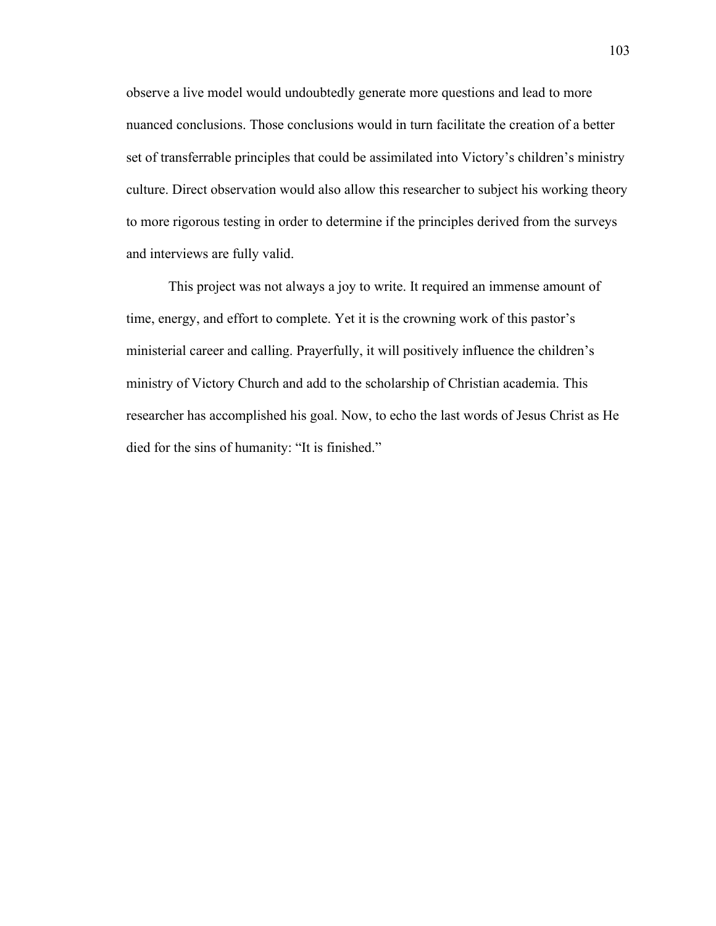observe a live model would undoubtedly generate more questions and lead to more nuanced conclusions. Those conclusions would in turn facilitate the creation of a better set of transferrable principles that could be assimilated into Victory's children's ministry culture. Direct observation would also allow this researcher to subject his working theory to more rigorous testing in order to determine if the principles derived from the surveys and interviews are fully valid.

This project was not always a joy to write. It required an immense amount of time, energy, and effort to complete. Yet it is the crowning work of this pastor's ministerial career and calling. Prayerfully, it will positively influence the children's ministry of Victory Church and add to the scholarship of Christian academia. This researcher has accomplished his goal. Now, to echo the last words of Jesus Christ as He died for the sins of humanity: "It is finished."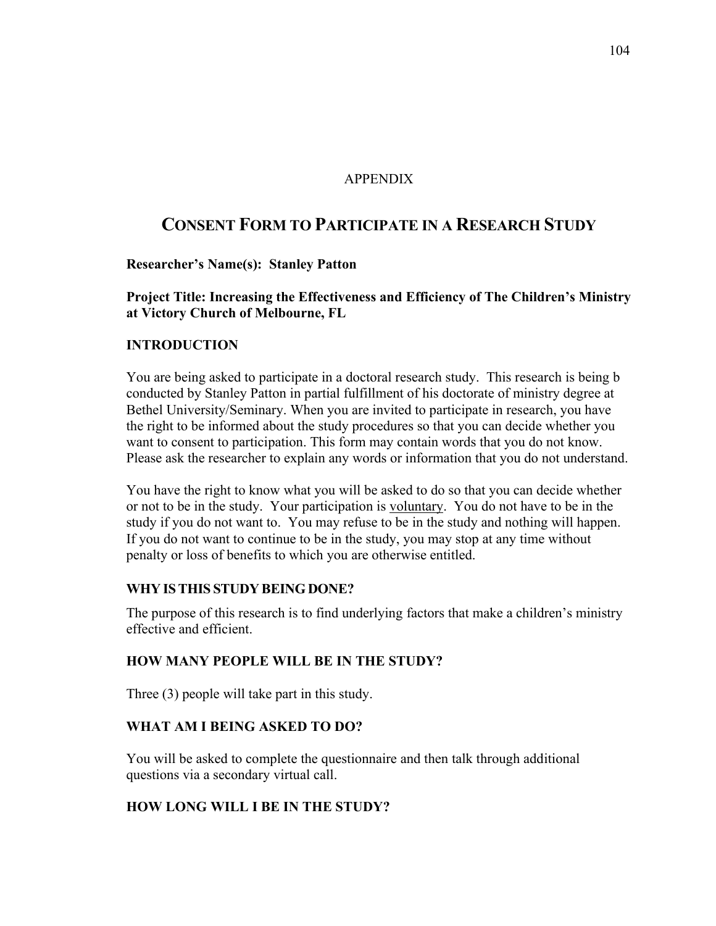## APPENDIX

# **CONSENT FORM TO PARTICIPATE IN A RESEARCH STUDY**

## **Researcher's Name(s): Stanley Patton**

**Project Title: Increasing the Effectiveness and Efficiency of The Children's Ministry at Victory Church of Melbourne, FL**

## **INTRODUCTION**

You are being asked to participate in a doctoral research study. This research is being b conducted by Stanley Patton in partial fulfillment of his doctorate of ministry degree at Bethel University/Seminary. When you are invited to participate in research, you have the right to be informed about the study procedures so that you can decide whether you want to consent to participation. This form may contain words that you do not know. Please ask the researcher to explain any words or information that you do not understand.

You have the right to know what you will be asked to do so that you can decide whether or not to be in the study. Your participation is voluntary. You do not have to be in the study if you do not want to. You may refuse to be in the study and nothing will happen. If you do not want to continue to be in the study, you may stop at any time without penalty or loss of benefits to which you are otherwise entitled.

## **WHY ISTHIS STUDY BEING DONE?**

The purpose of this research is to find underlying factors that make a children's ministry effective and efficient.

## **HOW MANY PEOPLE WILL BE IN THE STUDY?**

Three (3) people will take part in this study.

## **WHAT AM I BEING ASKED TO DO?**

You will be asked to complete the questionnaire and then talk through additional questions via a secondary virtual call.

## **HOW LONG WILL I BE IN THE STUDY?**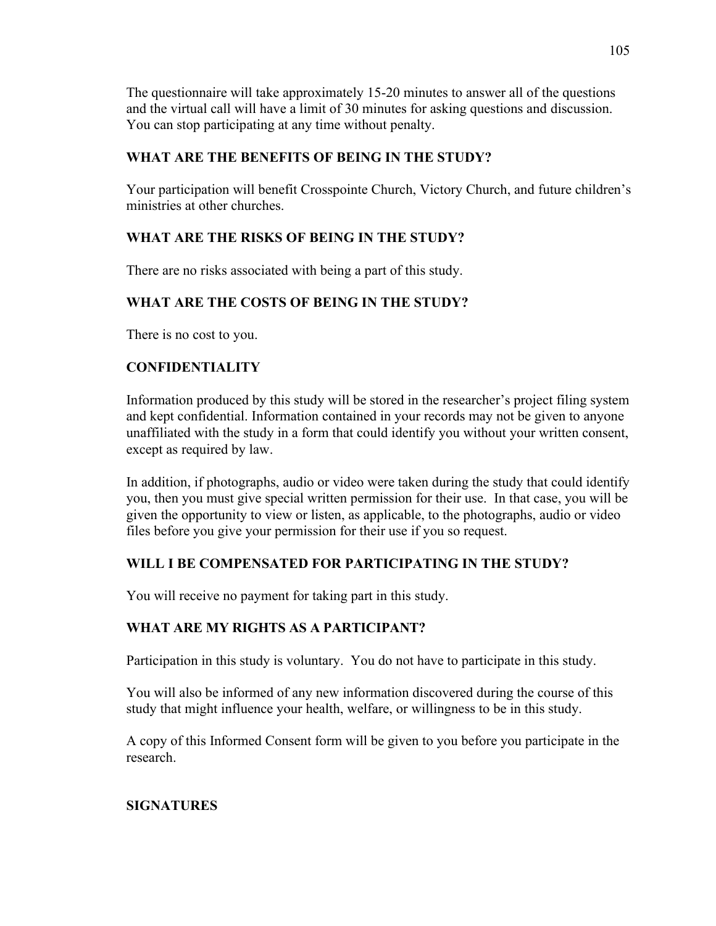The questionnaire will take approximately 15-20 minutes to answer all of the questions and the virtual call will have a limit of 30 minutes for asking questions and discussion. You can stop participating at any time without penalty.

# **WHAT ARE THE BENEFITS OF BEING IN THE STUDY?**

Your participation will benefit Crosspointe Church, Victory Church, and future children's ministries at other churches.

# **WHAT ARE THE RISKS OF BEING IN THE STUDY?**

There are no risks associated with being a part of this study.

# **WHAT ARE THE COSTS OF BEING IN THE STUDY?**

There is no cost to you.

# **CONFIDENTIALITY**

Information produced by this study will be stored in the researcher's project filing system and kept confidential. Information contained in your records may not be given to anyone unaffiliated with the study in a form that could identify you without your written consent, except as required by law.

In addition, if photographs, audio or video were taken during the study that could identify you, then you must give special written permission for their use. In that case, you will be given the opportunity to view or listen, as applicable, to the photographs, audio or video files before you give your permission for their use if you so request.

# **WILL I BE COMPENSATED FOR PARTICIPATING IN THE STUDY?**

You will receive no payment for taking part in this study.

# **WHAT ARE MY RIGHTS AS A PARTICIPANT?**

Participation in this study is voluntary. You do not have to participate in this study.

You will also be informed of any new information discovered during the course of this study that might influence your health, welfare, or willingness to be in this study.

A copy of this Informed Consent form will be given to you before you participate in the research.

# **SIGNATURES**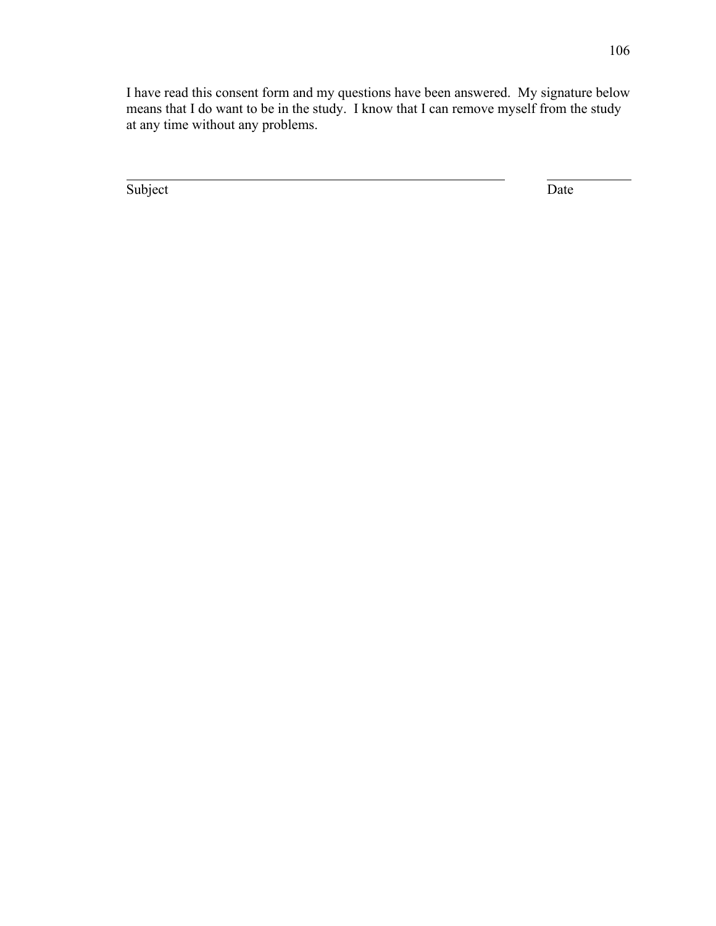I have read this consent form and my questions have been answered. My signature below means that I do want to be in the study. I know that I can remove myself from the study at any time without any problems.

Subject Date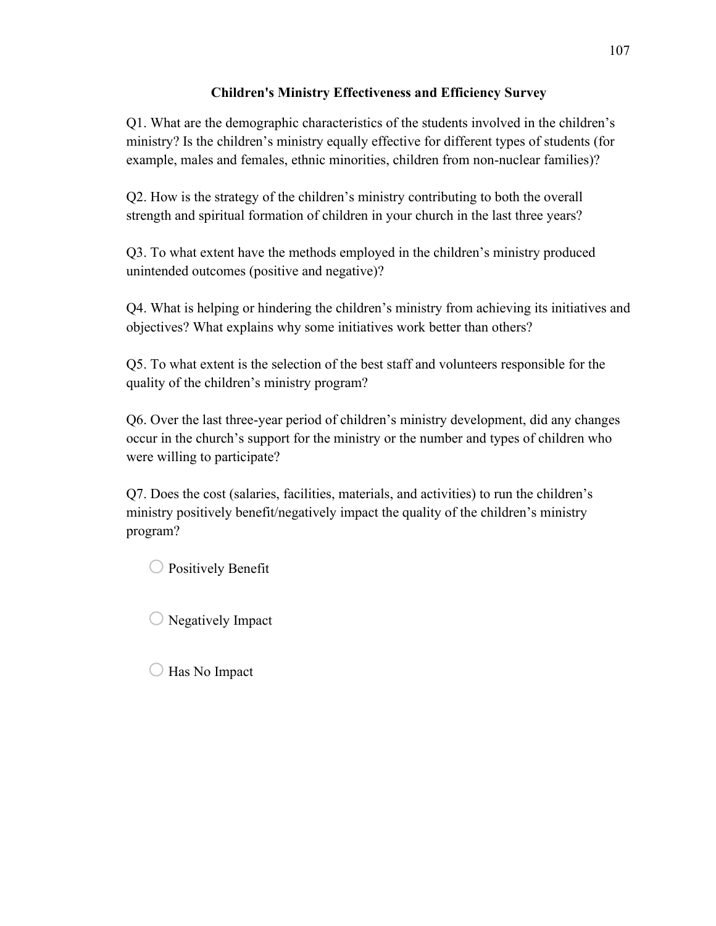# **Children's Ministry Effectiveness and Efficiency Survey**

Q1. What are the demographic characteristics of the students involved in the children's ministry? Is the children's ministry equally effective for different types of students (for example, males and females, ethnic minorities, children from non-nuclear families)?

Q2. How is the strategy of the children's ministry contributing to both the overall strength and spiritual formation of children in your church in the last three years?

Q3. To what extent have the methods employed in the children's ministry produced unintended outcomes (positive and negative)?

Q4. What is helping or hindering the children's ministry from achieving its initiatives and objectives? What explains why some initiatives work better than others?

Q5. To what extent is the selection of the best staff and volunteers responsible for the quality of the children's ministry program?

Q6. Over the last three-year period of children's ministry development, did any changes occur in the church's support for the ministry or the number and types of children who were willing to participate?

Q7. Does the cost (salaries, facilities, materials, and activities) to run the children's ministry positively benefit/negatively impact the quality of the children's ministry program?

 $\bigcirc$  Positively Benefit

 $\bigcirc$  Negatively Impact

 $\bigcirc$  Has No Impact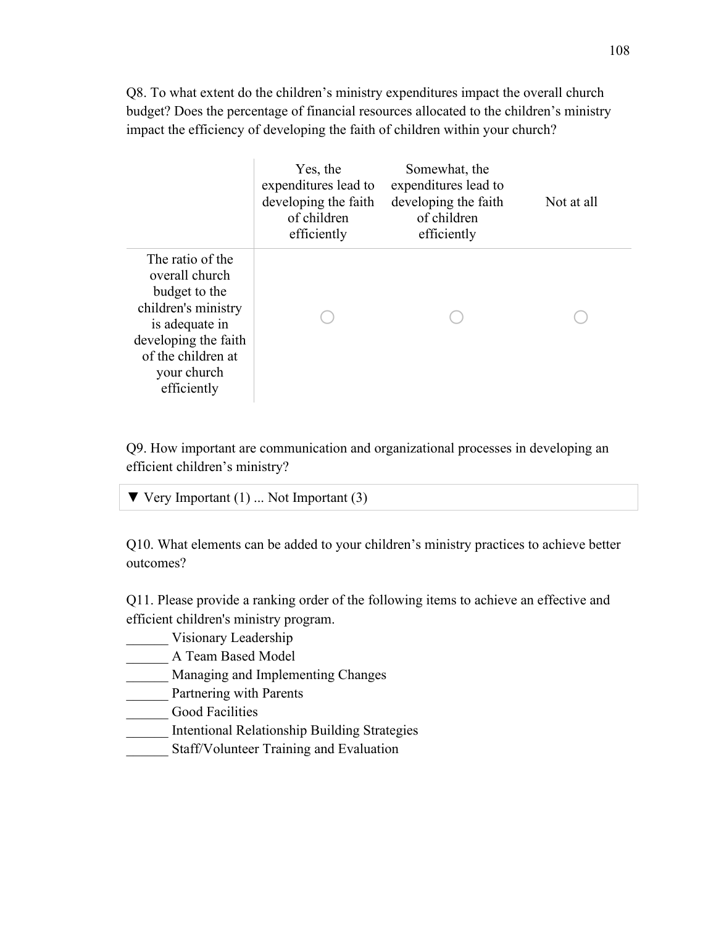Q8. To what extent do the children's ministry expenditures impact the overall church budget? Does the percentage of financial resources allocated to the children's ministry impact the efficiency of developing the faith of children within your church?

|                                                                                                                                                                          | Yes, the<br>expenditures lead to<br>developing the faith<br>of children<br>efficiently | Somewhat, the<br>expenditures lead to<br>developing the faith<br>of children<br>efficiently | Not at all |
|--------------------------------------------------------------------------------------------------------------------------------------------------------------------------|----------------------------------------------------------------------------------------|---------------------------------------------------------------------------------------------|------------|
| The ratio of the<br>overall church<br>budget to the<br>children's ministry<br>is adequate in<br>developing the faith<br>of the children at<br>your church<br>efficiently |                                                                                        |                                                                                             |            |

Q9. How important are communication and organizational processes in developing an efficient children's ministry?

| $\blacktriangledown$ Very Important (1)  Not Important (3) |
|------------------------------------------------------------|
|------------------------------------------------------------|

Q10. What elements can be added to your children's ministry practices to achieve better outcomes?

Q11. Please provide a ranking order of the following items to achieve an effective and efficient children's ministry program.

- \_\_\_\_\_\_ Visionary Leadership
- \_\_\_\_\_\_ A Team Based Model
- \_\_\_\_\_\_ Managing and Implementing Changes
- \_\_\_\_\_\_ Partnering with Parents
- \_\_\_\_\_\_ Good Facilities
- \_\_\_\_\_\_ Intentional Relationship Building Strategies
- Staff/Volunteer Training and Evaluation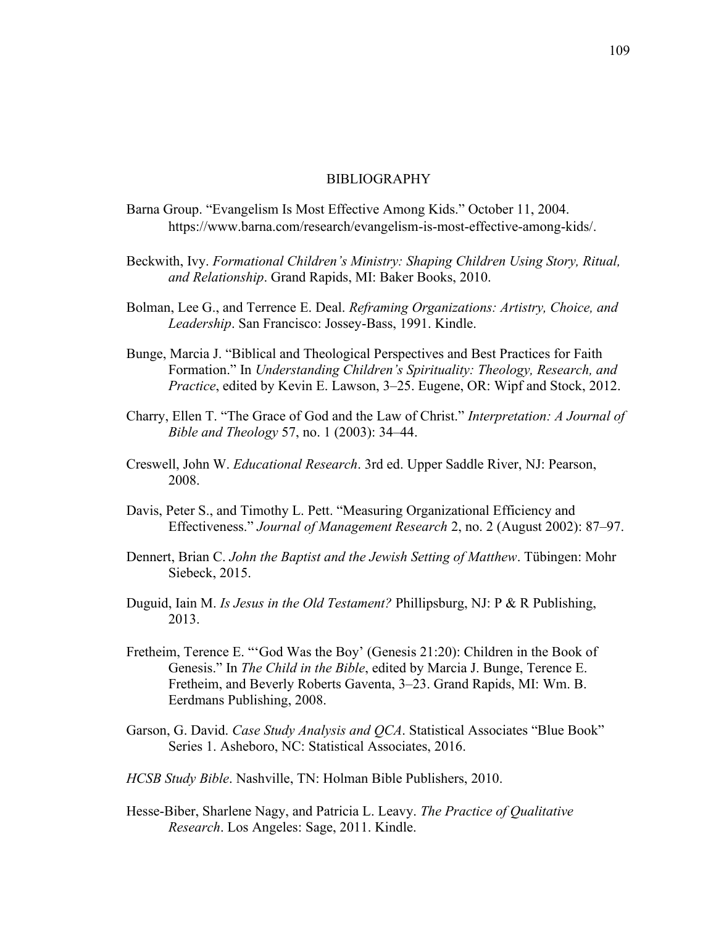## BIBLIOGRAPHY

- Barna Group. "Evangelism Is Most Effective Among Kids." October 11, 2004. https://www.barna.com/research/evangelism-is-most-effective-among-kids/.
- Beckwith, Ivy. *Formational Children's Ministry: Shaping Children Using Story, Ritual, and Relationship*. Grand Rapids, MI: Baker Books, 2010.
- Bolman, Lee G., and Terrence E. Deal. *Reframing Organizations: Artistry, Choice, and Leadership*. San Francisco: Jossey-Bass, 1991. Kindle.
- Bunge, Marcia J. "Biblical and Theological Perspectives and Best Practices for Faith Formation." In *Understanding Children's Spirituality: Theology, Research, and Practice*, edited by Kevin E. Lawson, 3–25. Eugene, OR: Wipf and Stock, 2012.
- Charry, Ellen T. "The Grace of God and the Law of Christ." *Interpretation: A Journal of Bible and Theology* 57, no. 1 (2003): 34–44.
- Creswell, John W. *Educational Research*. 3rd ed. Upper Saddle River, NJ: Pearson, 2008.
- Davis, Peter S., and Timothy L. Pett. "Measuring Organizational Efficiency and Effectiveness." *Journal of Management Research* 2, no. 2 (August 2002): 87–97.
- Dennert, Brian C. *John the Baptist and the Jewish Setting of Matthew*. Tübingen: Mohr Siebeck, 2015.
- Duguid, Iain M. *Is Jesus in the Old Testament?* Phillipsburg, NJ: P & R Publishing, 2013.
- Fretheim, Terence E. "'God Was the Boy' (Genesis 21:20): Children in the Book of Genesis." In *The Child in the Bible*, edited by Marcia J. Bunge, Terence E. Fretheim, and Beverly Roberts Gaventa, 3–23. Grand Rapids, MI: Wm. B. Eerdmans Publishing, 2008.
- Garson, G. David. *Case Study Analysis and QCA*. Statistical Associates "Blue Book" Series 1. Asheboro, NC: Statistical Associates, 2016.
- *HCSB Study Bible*. Nashville, TN: Holman Bible Publishers, 2010.
- Hesse-Biber, Sharlene Nagy, and Patricia L. Leavy. *The Practice of Qualitative Research*. Los Angeles: Sage, 2011. Kindle.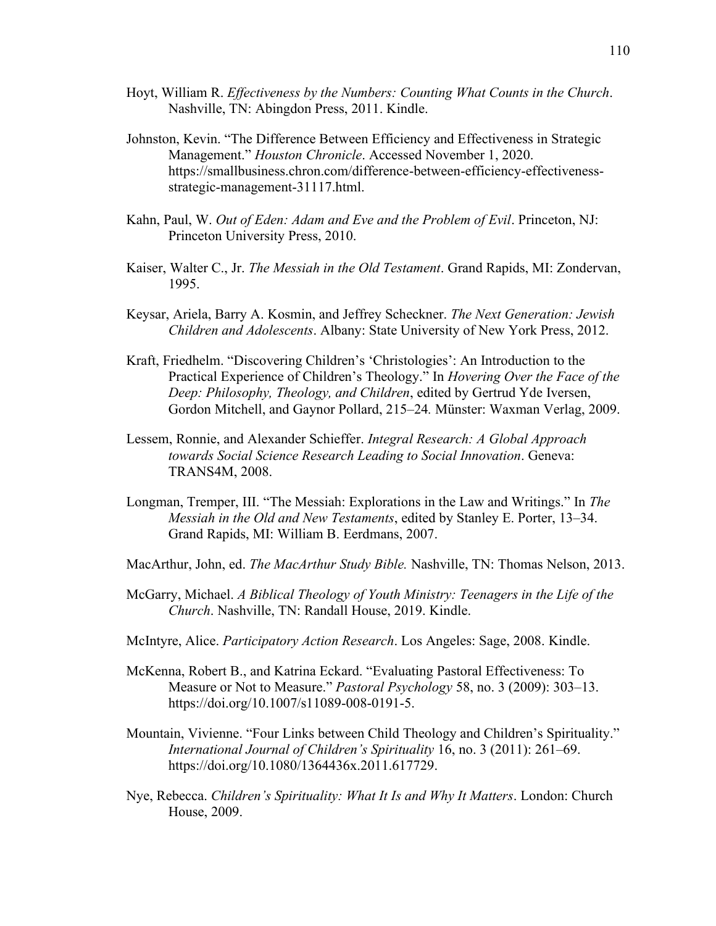- Hoyt, William R. *Effectiveness by the Numbers: Counting What Counts in the Church*. Nashville, TN: Abingdon Press, 2011. Kindle.
- Johnston, Kevin. "The Difference Between Efficiency and Effectiveness in Strategic Management." *Houston Chronicle*. Accessed November 1, 2020. https://smallbusiness.chron.com/difference-between-efficiency-effectivenessstrategic-management-31117.html.
- Kahn, Paul, W. *Out of Eden: Adam and Eve and the Problem of Evil*. Princeton, NJ: Princeton University Press, 2010.
- Kaiser, Walter C., Jr. *The Messiah in the Old Testament*. Grand Rapids, MI: Zondervan, 1995.
- Keysar, Ariela, Barry A. Kosmin, and Jeffrey Scheckner. *The Next Generation: Jewish Children and Adolescents*. Albany: State University of New York Press, 2012.
- Kraft, Friedhelm. "Discovering Children's 'Christologies': An Introduction to the Practical Experience of Children's Theology." In *Hovering Over the Face of the Deep: Philosophy, Theology, and Children*, edited by Gertrud Yde Iversen, Gordon Mitchell, and Gaynor Pollard, 215–24*.* Münster: Waxman Verlag, 2009.
- Lessem, Ronnie, and Alexander Schieffer. *Integral Research: A Global Approach towards Social Science Research Leading to Social Innovation*. Geneva: TRANS4M, 2008.
- Longman, Tremper, III. "The Messiah: Explorations in the Law and Writings." In *The Messiah in the Old and New Testaments*, edited by Stanley E. Porter, 13–34. Grand Rapids, MI: William B. Eerdmans, 2007.
- MacArthur, John, ed. *The MacArthur Study Bible.* Nashville, TN: Thomas Nelson, 2013.
- McGarry, Michael. *A Biblical Theology of Youth Ministry: Teenagers in the Life of the Church*. Nashville, TN: Randall House, 2019. Kindle.
- McIntyre, Alice. *Participatory Action Research*. Los Angeles: Sage, 2008. Kindle.
- McKenna, Robert B., and Katrina Eckard. "Evaluating Pastoral Effectiveness: To Measure or Not to Measure." *Pastoral Psychology* 58, no. 3 (2009): 303–13. https://doi.org/10.1007/s11089-008-0191-5.
- Mountain, Vivienne. "Four Links between Child Theology and Children's Spirituality." *International Journal of Children's Spirituality* 16, no. 3 (2011): 261–69. https://doi.org/10.1080/1364436x.2011.617729.
- Nye, Rebecca. *Children's Spirituality: What It Is and Why It Matters*. London: Church House, 2009.